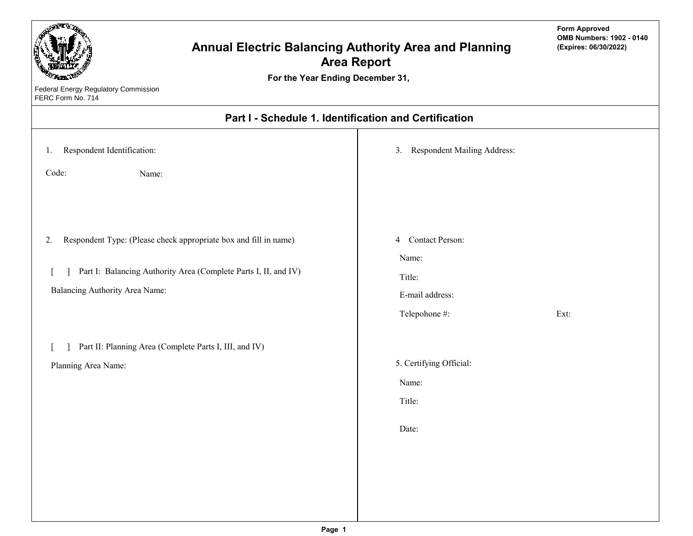| For the Year Ending December 31,<br>Federal Energy Regulatory Commission<br>FERC Form No. 714                                                                               | <b>Annual Electric Balancing Authority Area and Planning</b><br><b>Area Report</b> | <b>Form Approved</b><br><b>OMB Numbers: 1902 - 0140</b><br>(Expires: 06/30/2022) |
|-----------------------------------------------------------------------------------------------------------------------------------------------------------------------------|------------------------------------------------------------------------------------|----------------------------------------------------------------------------------|
|                                                                                                                                                                             | Part I - Schedule 1. Identification and Certification                              |                                                                                  |
| Respondent Identification:<br>1.<br>Code:<br>Name:                                                                                                                          | 3. Respondent Mailing Address:                                                     |                                                                                  |
| Respondent Type: (Please check appropriate box and fill in name)<br>2.<br>Part I: Balancing Authority Area (Complete Parts I, II, and IV)<br>Balancing Authority Area Name: | <b>Contact Person:</b><br>4<br>Name:<br>Title:<br>E-mail address:<br>Telepohone #: | Ext:                                                                             |
| Part II: Planning Area (Complete Parts I, III, and IV)<br>Planning Area Name:                                                                                               | 5. Certifying Official:<br>Name:<br>Title:<br>Date:                                |                                                                                  |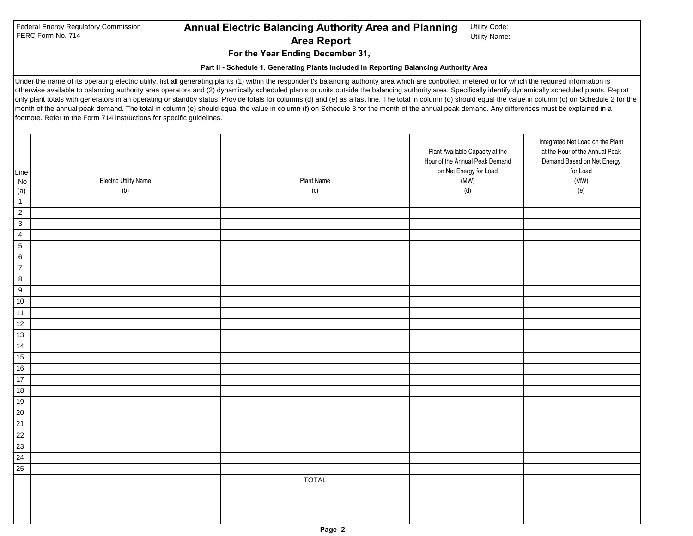|                                                     | Federal Energy Regulatory Commission<br>FERC Form No. 714             | <b>Annual Electric Balancing Authority Area and Planning</b><br><b>Area Report</b>                                                                                                                                                                                                                                                                                                                                                                                                                                                                                                                                                                                                                                                                                                                                                    | Utility Code:<br><b>Utility Name:</b>                                                                      |                                                                                                                             |
|-----------------------------------------------------|-----------------------------------------------------------------------|---------------------------------------------------------------------------------------------------------------------------------------------------------------------------------------------------------------------------------------------------------------------------------------------------------------------------------------------------------------------------------------------------------------------------------------------------------------------------------------------------------------------------------------------------------------------------------------------------------------------------------------------------------------------------------------------------------------------------------------------------------------------------------------------------------------------------------------|------------------------------------------------------------------------------------------------------------|-----------------------------------------------------------------------------------------------------------------------------|
|                                                     |                                                                       | For the Year Ending December 31,                                                                                                                                                                                                                                                                                                                                                                                                                                                                                                                                                                                                                                                                                                                                                                                                      |                                                                                                            |                                                                                                                             |
|                                                     |                                                                       | Part II - Schedule 1. Generating Plants Included in Reporting Balancing Authority Area                                                                                                                                                                                                                                                                                                                                                                                                                                                                                                                                                                                                                                                                                                                                                |                                                                                                            |                                                                                                                             |
|                                                     | footnote. Refer to the Form 714 instructions for specific guidelines. | Under the name of its operating electric utility, list all generating plants (1) within the respondent's balancing authority area which are controlled, metered or for which the required information is<br>otherwise available to balancing authority area operators and (2) dynamically scheduled plants or units outside the balancing authority area. Specifically identify dynamically scheduled plants. Report<br>only plant totals with generators in an operating or standby status. Provide totals for columns (d) and (e) as a last line. The total in column (d) should equal the value in column (c) on Schedule 2 for the<br>month of the annual peak demand. The total in column (e) should equal the value in column (f) on Schedule 3 for the month of the annual peak demand. Any differences must be explained in a |                                                                                                            |                                                                                                                             |
| Line<br>No<br>(a)<br>$\mathbf{1}$<br>$\overline{2}$ | <b>Electric Utility Name</b><br>(b)                                   | <b>Plant Name</b><br>(c)                                                                                                                                                                                                                                                                                                                                                                                                                                                                                                                                                                                                                                                                                                                                                                                                              | Plant Available Capacity at the<br>Hour of the Annual Peak Demand<br>on Net Energy for Load<br>(MW)<br>(d) | Integrated Net Load on the Plant<br>at the Hour of the Annual Peak<br>Demand Based on Net Energy<br>for Load<br>(MW)<br>(e) |
| 3                                                   |                                                                       |                                                                                                                                                                                                                                                                                                                                                                                                                                                                                                                                                                                                                                                                                                                                                                                                                                       |                                                                                                            |                                                                                                                             |
| $\overline{4}$                                      |                                                                       |                                                                                                                                                                                                                                                                                                                                                                                                                                                                                                                                                                                                                                                                                                                                                                                                                                       |                                                                                                            |                                                                                                                             |
| 5                                                   |                                                                       |                                                                                                                                                                                                                                                                                                                                                                                                                                                                                                                                                                                                                                                                                                                                                                                                                                       |                                                                                                            |                                                                                                                             |
| 6<br>$\overline{7}$                                 |                                                                       |                                                                                                                                                                                                                                                                                                                                                                                                                                                                                                                                                                                                                                                                                                                                                                                                                                       |                                                                                                            |                                                                                                                             |
| 8                                                   |                                                                       |                                                                                                                                                                                                                                                                                                                                                                                                                                                                                                                                                                                                                                                                                                                                                                                                                                       |                                                                                                            |                                                                                                                             |
| 9                                                   |                                                                       |                                                                                                                                                                                                                                                                                                                                                                                                                                                                                                                                                                                                                                                                                                                                                                                                                                       |                                                                                                            |                                                                                                                             |
| 10                                                  |                                                                       |                                                                                                                                                                                                                                                                                                                                                                                                                                                                                                                                                                                                                                                                                                                                                                                                                                       |                                                                                                            |                                                                                                                             |
| 11                                                  |                                                                       |                                                                                                                                                                                                                                                                                                                                                                                                                                                                                                                                                                                                                                                                                                                                                                                                                                       |                                                                                                            |                                                                                                                             |
| 12                                                  |                                                                       |                                                                                                                                                                                                                                                                                                                                                                                                                                                                                                                                                                                                                                                                                                                                                                                                                                       |                                                                                                            |                                                                                                                             |
| 13                                                  |                                                                       |                                                                                                                                                                                                                                                                                                                                                                                                                                                                                                                                                                                                                                                                                                                                                                                                                                       |                                                                                                            |                                                                                                                             |
| 14                                                  |                                                                       |                                                                                                                                                                                                                                                                                                                                                                                                                                                                                                                                                                                                                                                                                                                                                                                                                                       |                                                                                                            |                                                                                                                             |
| 15                                                  |                                                                       |                                                                                                                                                                                                                                                                                                                                                                                                                                                                                                                                                                                                                                                                                                                                                                                                                                       |                                                                                                            |                                                                                                                             |
| 16                                                  |                                                                       |                                                                                                                                                                                                                                                                                                                                                                                                                                                                                                                                                                                                                                                                                                                                                                                                                                       |                                                                                                            |                                                                                                                             |
| $17$                                                |                                                                       |                                                                                                                                                                                                                                                                                                                                                                                                                                                                                                                                                                                                                                                                                                                                                                                                                                       |                                                                                                            |                                                                                                                             |
| 18                                                  |                                                                       |                                                                                                                                                                                                                                                                                                                                                                                                                                                                                                                                                                                                                                                                                                                                                                                                                                       |                                                                                                            |                                                                                                                             |
| 19                                                  |                                                                       |                                                                                                                                                                                                                                                                                                                                                                                                                                                                                                                                                                                                                                                                                                                                                                                                                                       |                                                                                                            |                                                                                                                             |
| 20                                                  |                                                                       |                                                                                                                                                                                                                                                                                                                                                                                                                                                                                                                                                                                                                                                                                                                                                                                                                                       |                                                                                                            |                                                                                                                             |
| 21                                                  |                                                                       |                                                                                                                                                                                                                                                                                                                                                                                                                                                                                                                                                                                                                                                                                                                                                                                                                                       |                                                                                                            |                                                                                                                             |
| 22                                                  |                                                                       |                                                                                                                                                                                                                                                                                                                                                                                                                                                                                                                                                                                                                                                                                                                                                                                                                                       |                                                                                                            |                                                                                                                             |
| 23                                                  |                                                                       |                                                                                                                                                                                                                                                                                                                                                                                                                                                                                                                                                                                                                                                                                                                                                                                                                                       |                                                                                                            |                                                                                                                             |
| 24                                                  |                                                                       |                                                                                                                                                                                                                                                                                                                                                                                                                                                                                                                                                                                                                                                                                                                                                                                                                                       |                                                                                                            |                                                                                                                             |
| 25                                                  |                                                                       |                                                                                                                                                                                                                                                                                                                                                                                                                                                                                                                                                                                                                                                                                                                                                                                                                                       |                                                                                                            |                                                                                                                             |
|                                                     |                                                                       | <b>TOTAL</b>                                                                                                                                                                                                                                                                                                                                                                                                                                                                                                                                                                                                                                                                                                                                                                                                                          |                                                                                                            |                                                                                                                             |
|                                                     |                                                                       |                                                                                                                                                                                                                                                                                                                                                                                                                                                                                                                                                                                                                                                                                                                                                                                                                                       |                                                                                                            |                                                                                                                             |

Utility Code: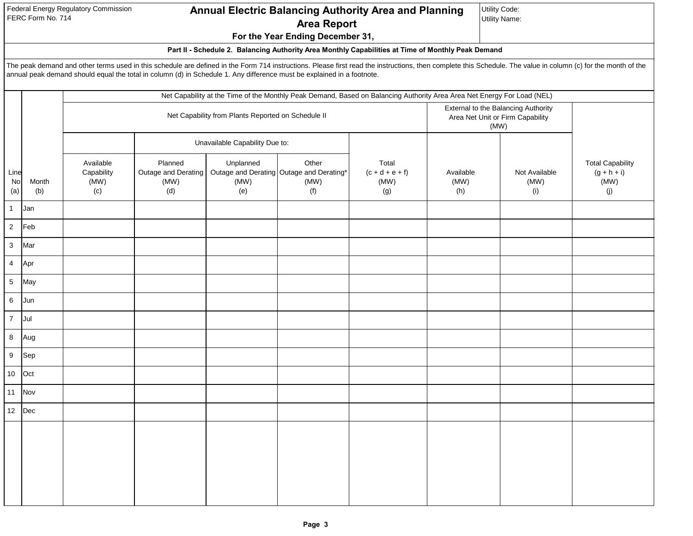Federal Energy Regulatory Commission FERC Form No. 714

# **Annual Electric Balancing Authority Area and Planning Area Report**

**For the Year Ending December 31,** 

Utility Code:

Utility Name:

## **Part II - Schedule 2. Balancing Authority Area Monthly Capabilities at Time of Monthly Peak Demand**

The peak demand and other terms used in this schedule are defined in the Form 714 instructions. Please first read the instructions, then complete this Schedule. The value in column (c) for the month of the annual peak demand should equal the total in column (d) in Schedule 1. Any difference must be explained in a footnote.

|                   |                |                                        |                                               |                                                    |                                                                  | Net Capability at the Time of the Monthly Peak Demand, Based on Balancing Authority Area Area Net Energy For Load (NEL) |                                                                                 |                              |                                                         |
|-------------------|----------------|----------------------------------------|-----------------------------------------------|----------------------------------------------------|------------------------------------------------------------------|-------------------------------------------------------------------------------------------------------------------------|---------------------------------------------------------------------------------|------------------------------|---------------------------------------------------------|
|                   |                |                                        |                                               | Net Capability from Plants Reported on Schedule II |                                                                  |                                                                                                                         | External to the Balancing Authority<br>Area Net Unit or Firm Capability<br>(MW) |                              |                                                         |
|                   |                |                                        |                                               | Unavailable Capability Due to:                     |                                                                  |                                                                                                                         |                                                                                 |                              |                                                         |
| Line<br>No<br>(a) | Month<br>(b)   | Available<br>Capability<br>(MW)<br>(c) | Planned<br>Outage and Derating<br>(MW)<br>(d) | Unplanned<br>(MW)<br>(e)                           | Other<br>Outage and Derating Outage and Derating*<br>(MW)<br>(f) | Total<br>$(c + d + e + f)$<br>(MW)<br>(g)                                                                               | Available<br>(MW)<br>(h)                                                        | Not Available<br>(MW)<br>(i) | <b>Total Capability</b><br>$(g + h + i)$<br>(MW)<br>(j) |
| $\mathbf{1}$      | Jan            |                                        |                                               |                                                    |                                                                  |                                                                                                                         |                                                                                 |                              |                                                         |
| $\overline{2}$    | Feb            |                                        |                                               |                                                    |                                                                  |                                                                                                                         |                                                                                 |                              |                                                         |
| $\mathbf{3}$      | Mar            |                                        |                                               |                                                    |                                                                  |                                                                                                                         |                                                                                 |                              |                                                         |
| $\overline{4}$    | Apr            |                                        |                                               |                                                    |                                                                  |                                                                                                                         |                                                                                 |                              |                                                         |
| $\overline{5}$    | May            |                                        |                                               |                                                    |                                                                  |                                                                                                                         |                                                                                 |                              |                                                         |
| $\,6\,$           | Jun            |                                        |                                               |                                                    |                                                                  |                                                                                                                         |                                                                                 |                              |                                                         |
| $\overline{7}$    | Jul            |                                        |                                               |                                                    |                                                                  |                                                                                                                         |                                                                                 |                              |                                                         |
| 8                 | Aug            |                                        |                                               |                                                    |                                                                  |                                                                                                                         |                                                                                 |                              |                                                         |
| $\boldsymbol{9}$  | Sep            |                                        |                                               |                                                    |                                                                  |                                                                                                                         |                                                                                 |                              |                                                         |
| $10\,$            | Oct            |                                        |                                               |                                                    |                                                                  |                                                                                                                         |                                                                                 |                              |                                                         |
| 11                | Nov            |                                        |                                               |                                                    |                                                                  |                                                                                                                         |                                                                                 |                              |                                                         |
|                   | 12 $\vert$ Dec |                                        |                                               |                                                    |                                                                  |                                                                                                                         |                                                                                 |                              |                                                         |
|                   |                |                                        |                                               |                                                    |                                                                  |                                                                                                                         |                                                                                 |                              |                                                         |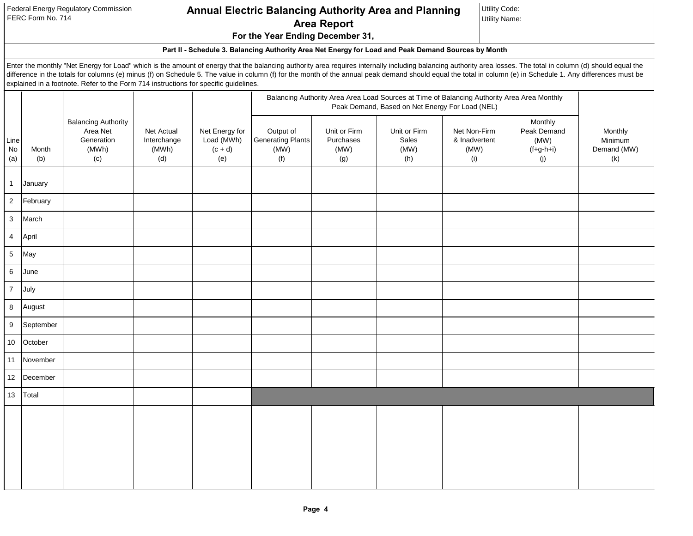Federal Energy Regulatory Commission FERC Form No. 714

## **For the Year Ending December 31, Annual Electric Balancing Authority Area and Planning Area Report**

Utility Code: Utility Name:

## **Part II - Schedule 3. Balancing Authority Area Net Energy for Load and Peak Demand Sources by Month**

Enter the monthly "Net Energy for Load" which is the amount of energy that the balancing authority area requires internally including balancing authority area losses. The total in column (d) should equal the difference in the totals for columns (e) minus (f) on Schedule 5. The value in column (f) for the month of the annual peak demand should equal the total in column (e) in Schedule 1. Any differences must be explained in a footnote. Refer to the Form 714 instructions for specific guidelines.

|                   |              |                                                                      |                                           |                                                  |                                                      |                                          | Peak Demand, Based on Net Energy For Load (NEL) | Balancing Authority Area Area Load Sources at Time of Balancing Authority Area Area Monthly |                                                      |                                          |
|-------------------|--------------|----------------------------------------------------------------------|-------------------------------------------|--------------------------------------------------|------------------------------------------------------|------------------------------------------|-------------------------------------------------|---------------------------------------------------------------------------------------------|------------------------------------------------------|------------------------------------------|
| Line<br>No<br>(a) | Month<br>(b) | <b>Balancing Authority</b><br>Area Net<br>Generation<br>(MWh)<br>(c) | Net Actual<br>Interchange<br>(MWh)<br>(d) | Net Energy for<br>Load (MWh)<br>$(c + d)$<br>(e) | Output of<br><b>Generating Plants</b><br>(MW)<br>(f) | Unit or Firm<br>Purchases<br>(MW)<br>(g) | Unit or Firm<br>Sales<br>(MW)<br>(h)            | Net Non-Firm<br>& Inadvertent<br>(MW)<br>(i)                                                | Monthly<br>Peak Demand<br>(MW)<br>$(f+g-h+i)$<br>(j) | Monthly<br>Minimum<br>Demand (MW)<br>(k) |
| $\overline{1}$    | January      |                                                                      |                                           |                                                  |                                                      |                                          |                                                 |                                                                                             |                                                      |                                          |
| $\sqrt{2}$        | February     |                                                                      |                                           |                                                  |                                                      |                                          |                                                 |                                                                                             |                                                      |                                          |
| $\mathbf{3}$      | March        |                                                                      |                                           |                                                  |                                                      |                                          |                                                 |                                                                                             |                                                      |                                          |
| $\overline{4}$    | April        |                                                                      |                                           |                                                  |                                                      |                                          |                                                 |                                                                                             |                                                      |                                          |
| $\sqrt{5}$        | May          |                                                                      |                                           |                                                  |                                                      |                                          |                                                 |                                                                                             |                                                      |                                          |
| $\,6\,$           | June         |                                                                      |                                           |                                                  |                                                      |                                          |                                                 |                                                                                             |                                                      |                                          |
| $\overline{7}$    | July         |                                                                      |                                           |                                                  |                                                      |                                          |                                                 |                                                                                             |                                                      |                                          |
| $\,8\,$           | August       |                                                                      |                                           |                                                  |                                                      |                                          |                                                 |                                                                                             |                                                      |                                          |
| $\boldsymbol{9}$  | September    |                                                                      |                                           |                                                  |                                                      |                                          |                                                 |                                                                                             |                                                      |                                          |
| 10                | October      |                                                                      |                                           |                                                  |                                                      |                                          |                                                 |                                                                                             |                                                      |                                          |
| 11                | November     |                                                                      |                                           |                                                  |                                                      |                                          |                                                 |                                                                                             |                                                      |                                          |
| 12                | December     |                                                                      |                                           |                                                  |                                                      |                                          |                                                 |                                                                                             |                                                      |                                          |
| 13                | Total        |                                                                      |                                           |                                                  |                                                      |                                          |                                                 |                                                                                             |                                                      |                                          |
|                   |              |                                                                      |                                           |                                                  |                                                      |                                          |                                                 |                                                                                             |                                                      |                                          |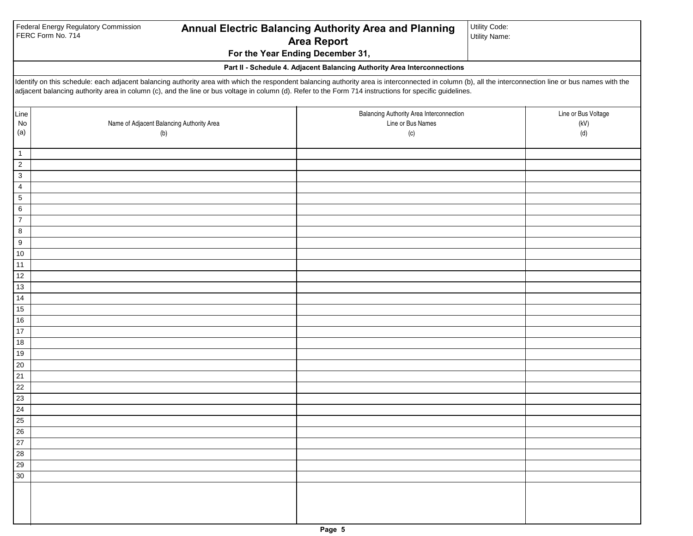|                              | Federal Energy Regulatory Commission<br>FERC Form No. 714                                                                                                                                                                                                                                                                                                           | Annual Electric Balancing Authority Area and Planning<br><b>Area Report</b><br>For the Year Ending December 31, | Utility Code:<br><b>Utility Name:</b> |
|------------------------------|---------------------------------------------------------------------------------------------------------------------------------------------------------------------------------------------------------------------------------------------------------------------------------------------------------------------------------------------------------------------|-----------------------------------------------------------------------------------------------------------------|---------------------------------------|
|                              |                                                                                                                                                                                                                                                                                                                                                                     | Part II - Schedule 4. Adjacent Balancing Authority Area Interconnections                                        |                                       |
|                              | Identify on this schedule: each adjacent balancing authority area with which the respondent balancing authority area is interconnected in column (b), all the interconnection line or bus names with the<br>adjacent balancing authority area in column (c), and the line or bus voltage in column (d). Refer to the Form 714 instructions for specific guidelines. |                                                                                                                 |                                       |
| Line<br>$\mathsf{No}$<br>(a) | Name of Adjacent Balancing Authority Area<br>(b)                                                                                                                                                                                                                                                                                                                    | Balancing Authority Area Interconnection<br>Line or Bus Names<br>(c)                                            | Line or Bus Voltage<br>(kV)<br>(d)    |
| $\mathbf{1}$                 |                                                                                                                                                                                                                                                                                                                                                                     |                                                                                                                 |                                       |
| $\mathbf{2}$                 |                                                                                                                                                                                                                                                                                                                                                                     |                                                                                                                 |                                       |
| 3                            |                                                                                                                                                                                                                                                                                                                                                                     |                                                                                                                 |                                       |
| 4<br>5                       |                                                                                                                                                                                                                                                                                                                                                                     |                                                                                                                 |                                       |
| 6                            |                                                                                                                                                                                                                                                                                                                                                                     |                                                                                                                 |                                       |
| $\overline{7}$               |                                                                                                                                                                                                                                                                                                                                                                     |                                                                                                                 |                                       |
| 8                            |                                                                                                                                                                                                                                                                                                                                                                     |                                                                                                                 |                                       |
| 9                            |                                                                                                                                                                                                                                                                                                                                                                     |                                                                                                                 |                                       |
| $10$<br>11                   |                                                                                                                                                                                                                                                                                                                                                                     |                                                                                                                 |                                       |
| 12                           |                                                                                                                                                                                                                                                                                                                                                                     |                                                                                                                 |                                       |
| 13                           |                                                                                                                                                                                                                                                                                                                                                                     |                                                                                                                 |                                       |
| 14                           |                                                                                                                                                                                                                                                                                                                                                                     |                                                                                                                 |                                       |
| $15\,$                       |                                                                                                                                                                                                                                                                                                                                                                     |                                                                                                                 |                                       |
| $16\,$                       |                                                                                                                                                                                                                                                                                                                                                                     |                                                                                                                 |                                       |
| $17$<br>$18$                 |                                                                                                                                                                                                                                                                                                                                                                     |                                                                                                                 |                                       |
| $19$                         |                                                                                                                                                                                                                                                                                                                                                                     |                                                                                                                 |                                       |
| $20\,$                       |                                                                                                                                                                                                                                                                                                                                                                     |                                                                                                                 |                                       |
| 21                           |                                                                                                                                                                                                                                                                                                                                                                     |                                                                                                                 |                                       |
| $\overline{22}$              |                                                                                                                                                                                                                                                                                                                                                                     |                                                                                                                 |                                       |
| 23                           |                                                                                                                                                                                                                                                                                                                                                                     |                                                                                                                 |                                       |
| $\overline{24}$<br>25        |                                                                                                                                                                                                                                                                                                                                                                     |                                                                                                                 |                                       |
| 26                           |                                                                                                                                                                                                                                                                                                                                                                     |                                                                                                                 |                                       |
| 27                           |                                                                                                                                                                                                                                                                                                                                                                     |                                                                                                                 |                                       |
| 28                           |                                                                                                                                                                                                                                                                                                                                                                     |                                                                                                                 |                                       |
| 29                           |                                                                                                                                                                                                                                                                                                                                                                     |                                                                                                                 |                                       |
| 30                           |                                                                                                                                                                                                                                                                                                                                                                     |                                                                                                                 |                                       |
|                              |                                                                                                                                                                                                                                                                                                                                                                     |                                                                                                                 |                                       |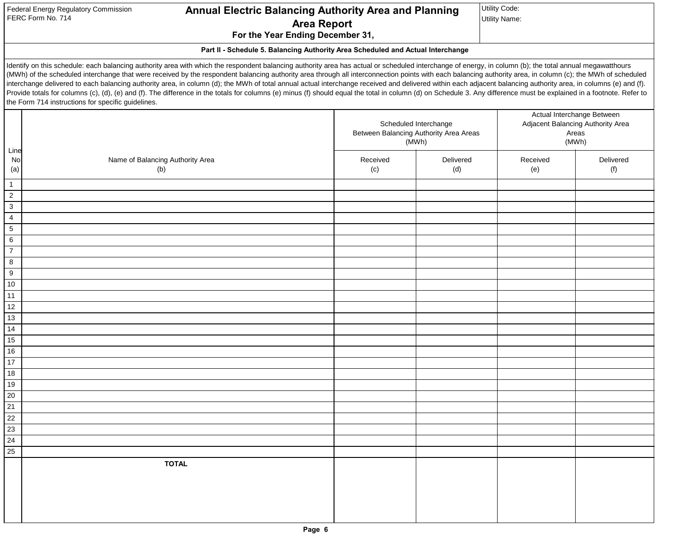| Federal Energy Regulatory Commission |  |
|--------------------------------------|--|
| FERC Form No. 714                    |  |

# **Annual Electric Balancing Authority Area and Planning Area Report**

Utility Code: Utility Name:

**For the Year Ending December 31,** 

**Part II - Schedule 5. Balancing Authority Area Scheduled and Actual Interchange**

Identify on this schedule: each balancing authority area with which the respondent balancing authority area has actual or scheduled interchange of energy, in column (b); the total annual megawatthours (MWh) of the scheduled interchange that were received by the respondent balancing authority area through all interconnection points with each balancing authority area, in column (c); the MWh of scheduled interchange delivered to each balancing authority area, in column (d); the MWh of total annual actual interchange received and delivered within each adjacent balancing authority area, in columns (e) and (f). Provide totals for columns (c), (d), (e) and (f). The difference in the totals for columns (e) minus (f) should equal the total in column (d) on Schedule 3. Any difference must be explained in a footnote. Refer to the Form 714 instructions for specific guidelines.

| Line                    |                                  |          | Scheduled Interchange<br>Between Balancing Authority Area Areas<br>(MWh) |          | Actual Interchange Between<br>Adjacent Balancing Authority Area<br>Areas<br>(MWh) |
|-------------------------|----------------------------------|----------|--------------------------------------------------------------------------|----------|-----------------------------------------------------------------------------------|
| No                      | Name of Balancing Authority Area | Received | Delivered                                                                | Received | Delivered                                                                         |
| (a)                     | (b)                              | (c)      | (d)                                                                      | (e)      | (f)                                                                               |
| $\overline{1}$          |                                  |          |                                                                          |          |                                                                                   |
| $\overline{2}$          |                                  |          |                                                                          |          |                                                                                   |
| $\overline{\mathbf{3}}$ |                                  |          |                                                                          |          |                                                                                   |
| $\overline{4}$          |                                  |          |                                                                          |          |                                                                                   |
| $\overline{5}$          |                                  |          |                                                                          |          |                                                                                   |
| $6\overline{6}$         |                                  |          |                                                                          |          |                                                                                   |
| $\overline{7}$          |                                  |          |                                                                          |          |                                                                                   |
| $\boldsymbol{8}$        |                                  |          |                                                                          |          |                                                                                   |
| $\overline{9}$          |                                  |          |                                                                          |          |                                                                                   |
| $\overline{10}$         |                                  |          |                                                                          |          |                                                                                   |
| 11                      |                                  |          |                                                                          |          |                                                                                   |
| 12                      |                                  |          |                                                                          |          |                                                                                   |
| 13                      |                                  |          |                                                                          |          |                                                                                   |
| 14                      |                                  |          |                                                                          |          |                                                                                   |
| 15                      |                                  |          |                                                                          |          |                                                                                   |
| 16                      |                                  |          |                                                                          |          |                                                                                   |
| $\overline{17}$         |                                  |          |                                                                          |          |                                                                                   |
| 18                      |                                  |          |                                                                          |          |                                                                                   |
| $\overline{19}$         |                                  |          |                                                                          |          |                                                                                   |
| $\overline{20}$         |                                  |          |                                                                          |          |                                                                                   |
| $\overline{21}$         |                                  |          |                                                                          |          |                                                                                   |
| $\overline{22}$         |                                  |          |                                                                          |          |                                                                                   |
| $\overline{23}$         |                                  |          |                                                                          |          |                                                                                   |
| 24                      |                                  |          |                                                                          |          |                                                                                   |
| 25                      |                                  |          |                                                                          |          |                                                                                   |
|                         | <b>TOTAL</b>                     |          |                                                                          |          |                                                                                   |
|                         |                                  |          |                                                                          |          |                                                                                   |
|                         |                                  |          |                                                                          |          |                                                                                   |
|                         |                                  |          |                                                                          |          |                                                                                   |
|                         |                                  |          |                                                                          |          |                                                                                   |
|                         |                                  |          |                                                                          |          |                                                                                   |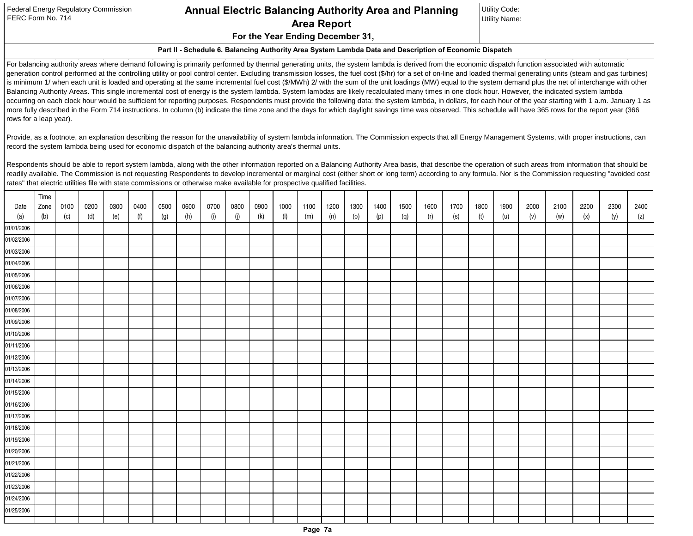| Federal Energy Regulatory Commission |
|--------------------------------------|
| FERC Form No. 714                    |

# **For the Year Ending December 31, Annual Electric Balancing Authority Area and Planning Area Report**

Utility Code: Utility Name:

#### **Part II - Schedule 6. Balancing Authority Area System Lambda Data and Description of Economic Dispatch**

For balancing authority areas where demand following is primarily performed by thermal generating units, the system lambda is derived from the economic dispatch function associated with automatic generation control performed at the controlling utility or pool control center. Excluding transmission losses, the fuel cost (\$/hr) for a set of on-line and loaded thermal generating units (steam and gas turbines) is minimum 1/ when each unit is loaded and operating at the same incremental fuel cost (\$/MWh) 2/ with the sum of the unit loadings (MW) equal to the system demand plus the net of interchange with other Balancing Authority Areas. This single incremental cost of energy is the system lambda. System lambdas are likely recalculated many times in one clock hour. However, the indicated system lambda occurring on each clock hour would be sufficient for reporting purposes. Respondents must provide the following data: the system lambda, in dollars, for each hour of the year starting with 1 a.m. January 1 as more fully described in the Form 714 instructions. In column (b) indicate the time zone and the days for which daylight savings time was observed. This schedule will have 365 rows for the report year (366 rows for a leap year).

Provide, as a footnote, an explanation describing the reason for the unavailability of system lambda information. The Commission expects that all Energy Management Systems, with proper instructions, can record the system lambda being used for economic dispatch of the balancing authority area's thermal units.

Respondents should be able to report system lambda, along with the other information reported on a Balancing Authority Area basis, that describe the operation of such areas from information that should be readily available. The Commission is not requesting Respondents to develop incremental or marginal cost (either short or long term) according to any formula. Nor is the Commission requesting "avoided cost rates" that electric utilities file with state commissions or otherwise make available for prospective qualified facilities.

|            | Time |      |      |      |      |      |      |      |      |      |           |      |      |      |      |      |      |      |      |      |      |      |      |      |      |
|------------|------|------|------|------|------|------|------|------|------|------|-----------|------|------|------|------|------|------|------|------|------|------|------|------|------|------|
| Date       | Zone | 0100 | 0200 | 0300 | 0400 | 0500 | 0600 | 0700 | 0800 | 0900 | 1000      | 1100 | 1200 | 1300 | 1400 | 1500 | 1600 | 1700 | 1800 | 1900 | 2000 | 2100 | 2200 | 2300 | 2400 |
| (a)        | (b)  | (c)  | (d)  | (e)  | (f)  | (g)  | (h)  | (i)  | (j)  | (k)  | $($ l $)$ | (m)  | (n)  | (o)  | (p)  | (q)  | (r)  | (s)  | (t)  | (u)  | (v)  | (w)  | (x)  | (y)  | (z)  |
| 01/01/2006 |      |      |      |      |      |      |      |      |      |      |           |      |      |      |      |      |      |      |      |      |      |      |      |      |      |
| 01/02/2006 |      |      |      |      |      |      |      |      |      |      |           |      |      |      |      |      |      |      |      |      |      |      |      |      |      |
| 01/03/2006 |      |      |      |      |      |      |      |      |      |      |           |      |      |      |      |      |      |      |      |      |      |      |      |      |      |
| 01/04/2006 |      |      |      |      |      |      |      |      |      |      |           |      |      |      |      |      |      |      |      |      |      |      |      |      |      |
| 01/05/2006 |      |      |      |      |      |      |      |      |      |      |           |      |      |      |      |      |      |      |      |      |      |      |      |      |      |
| 01/06/2006 |      |      |      |      |      |      |      |      |      |      |           |      |      |      |      |      |      |      |      |      |      |      |      |      |      |
| 01/07/2006 |      |      |      |      |      |      |      |      |      |      |           |      |      |      |      |      |      |      |      |      |      |      |      |      |      |
| 01/08/2006 |      |      |      |      |      |      |      |      |      |      |           |      |      |      |      |      |      |      |      |      |      |      |      |      |      |
| 01/09/2006 |      |      |      |      |      |      |      |      |      |      |           |      |      |      |      |      |      |      |      |      |      |      |      |      |      |
| 01/10/2006 |      |      |      |      |      |      |      |      |      |      |           |      |      |      |      |      |      |      |      |      |      |      |      |      |      |
| 01/11/2006 |      |      |      |      |      |      |      |      |      |      |           |      |      |      |      |      |      |      |      |      |      |      |      |      |      |
| 01/12/2006 |      |      |      |      |      |      |      |      |      |      |           |      |      |      |      |      |      |      |      |      |      |      |      |      |      |
| 01/13/2006 |      |      |      |      |      |      |      |      |      |      |           |      |      |      |      |      |      |      |      |      |      |      |      |      |      |
| 01/14/2006 |      |      |      |      |      |      |      |      |      |      |           |      |      |      |      |      |      |      |      |      |      |      |      |      |      |
| 01/15/2006 |      |      |      |      |      |      |      |      |      |      |           |      |      |      |      |      |      |      |      |      |      |      |      |      |      |
| 01/16/2006 |      |      |      |      |      |      |      |      |      |      |           |      |      |      |      |      |      |      |      |      |      |      |      |      |      |
| 01/17/2006 |      |      |      |      |      |      |      |      |      |      |           |      |      |      |      |      |      |      |      |      |      |      |      |      |      |
| 01/18/2006 |      |      |      |      |      |      |      |      |      |      |           |      |      |      |      |      |      |      |      |      |      |      |      |      |      |
| 01/19/2006 |      |      |      |      |      |      |      |      |      |      |           |      |      |      |      |      |      |      |      |      |      |      |      |      |      |
| 01/20/2006 |      |      |      |      |      |      |      |      |      |      |           |      |      |      |      |      |      |      |      |      |      |      |      |      |      |
| 01/21/2006 |      |      |      |      |      |      |      |      |      |      |           |      |      |      |      |      |      |      |      |      |      |      |      |      |      |
| 01/22/2006 |      |      |      |      |      |      |      |      |      |      |           |      |      |      |      |      |      |      |      |      |      |      |      |      |      |
| 01/23/2006 |      |      |      |      |      |      |      |      |      |      |           |      |      |      |      |      |      |      |      |      |      |      |      |      |      |
| 01/24/2006 |      |      |      |      |      |      |      |      |      |      |           |      |      |      |      |      |      |      |      |      |      |      |      |      |      |
| 01/25/2006 |      |      |      |      |      |      |      |      |      |      |           |      |      |      |      |      |      |      |      |      |      |      |      |      |      |
|            |      |      |      |      |      |      |      |      |      |      |           |      |      |      |      |      |      |      |      |      |      |      |      |      |      |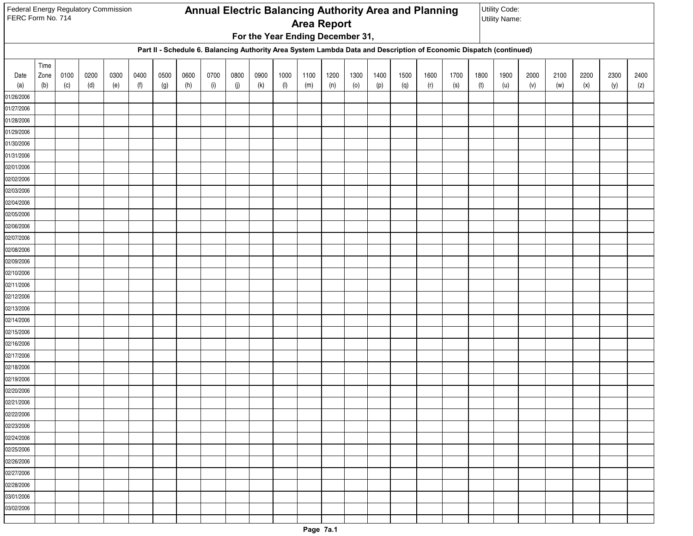| Federal Energy Regulatory Commission<br>FERC Form No. 714 |      |      |      |      |      |      |      |      |      |      |                                  |                    |      |      |      | Annual Electric Balancing Authority Area and Planning |                            |                                                                                                                    |      | Utility Code:<br><b>Utility Name:</b> |      |      |      |      |      |
|-----------------------------------------------------------|------|------|------|------|------|------|------|------|------|------|----------------------------------|--------------------|------|------|------|-------------------------------------------------------|----------------------------|--------------------------------------------------------------------------------------------------------------------|------|---------------------------------------|------|------|------|------|------|
|                                                           |      |      |      |      |      |      |      |      |      |      |                                  | <b>Area Report</b> |      |      |      |                                                       |                            |                                                                                                                    |      |                                       |      |      |      |      |      |
|                                                           |      |      |      |      |      |      |      |      |      |      | For the Year Ending December 31, |                    |      |      |      |                                                       |                            |                                                                                                                    |      |                                       |      |      |      |      |      |
|                                                           |      |      |      |      |      |      |      |      |      |      |                                  |                    |      |      |      |                                                       |                            | Part II - Schedule 6. Balancing Authority Area System Lambda Data and Description of Economic Dispatch (continued) |      |                                       |      |      |      |      |      |
|                                                           | Time |      |      |      |      |      |      |      |      |      |                                  |                    |      |      |      |                                                       |                            |                                                                                                                    |      |                                       |      |      |      |      |      |
| Date                                                      | Zone | 0100 | 0200 | 0300 | 0400 | 0500 | 0600 | 0700 | 0800 | 0900 | 1000                             | 1100               | 1200 | 1300 | 1400 | 1500                                                  | 1600                       | 1700                                                                                                               | 1800 | 1900                                  | 2000 | 2100 | 2200 | 2300 | 2400 |
| (a)                                                       | (b)  | (c)  | (d)  | (e)  | (f)  | (g)  | (h)  | (i)  | (j)  | (k)  | $(\mathsf{I})$                   | (m)                | (n)  | (0)  | (p)  | (q)                                                   | $\left( \mathsf{r}\right)$ | (s)                                                                                                                | (t)  | (u)                                   | (v)  | (w)  | (x)  | (y)  | (z)  |
| 01/26/2006                                                |      |      |      |      |      |      |      |      |      |      |                                  |                    |      |      |      |                                                       |                            |                                                                                                                    |      |                                       |      |      |      |      |      |
| 01/27/2006<br>01/28/2006                                  |      |      |      |      |      |      |      |      |      |      |                                  |                    |      |      |      |                                                       |                            |                                                                                                                    |      |                                       |      |      |      |      |      |
| 01/29/2006                                                |      |      |      |      |      |      |      |      |      |      |                                  |                    |      |      |      |                                                       |                            |                                                                                                                    |      |                                       |      |      |      |      |      |
| 01/30/2006                                                |      |      |      |      |      |      |      |      |      |      |                                  |                    |      |      |      |                                                       |                            |                                                                                                                    |      |                                       |      |      |      |      |      |
| 01/31/2006                                                |      |      |      |      |      |      |      |      |      |      |                                  |                    |      |      |      |                                                       |                            |                                                                                                                    |      |                                       |      |      |      |      |      |
| 02/01/2006                                                |      |      |      |      |      |      |      |      |      |      |                                  |                    |      |      |      |                                                       |                            |                                                                                                                    |      |                                       |      |      |      |      |      |
| 02/02/2006                                                |      |      |      |      |      |      |      |      |      |      |                                  |                    |      |      |      |                                                       |                            |                                                                                                                    |      |                                       |      |      |      |      |      |
| 02/03/2006                                                |      |      |      |      |      |      |      |      |      |      |                                  |                    |      |      |      |                                                       |                            |                                                                                                                    |      |                                       |      |      |      |      |      |
| 02/04/2006                                                |      |      |      |      |      |      |      |      |      |      |                                  |                    |      |      |      |                                                       |                            |                                                                                                                    |      |                                       |      |      |      |      |      |
| 02/05/2006                                                |      |      |      |      |      |      |      |      |      |      |                                  |                    |      |      |      |                                                       |                            |                                                                                                                    |      |                                       |      |      |      |      |      |
| 02/06/2006                                                |      |      |      |      |      |      |      |      |      |      |                                  |                    |      |      |      |                                                       |                            |                                                                                                                    |      |                                       |      |      |      |      |      |
| 02/07/2006                                                |      |      |      |      |      |      |      |      |      |      |                                  |                    |      |      |      |                                                       |                            |                                                                                                                    |      |                                       |      |      |      |      |      |
| 02/08/2006                                                |      |      |      |      |      |      |      |      |      |      |                                  |                    |      |      |      |                                                       |                            |                                                                                                                    |      |                                       |      |      |      |      |      |
| 02/09/2006                                                |      |      |      |      |      |      |      |      |      |      |                                  |                    |      |      |      |                                                       |                            |                                                                                                                    |      |                                       |      |      |      |      |      |
| 02/10/2006                                                |      |      |      |      |      |      |      |      |      |      |                                  |                    |      |      |      |                                                       |                            |                                                                                                                    |      |                                       |      |      |      |      |      |
| 02/11/2006                                                |      |      |      |      |      |      |      |      |      |      |                                  |                    |      |      |      |                                                       |                            |                                                                                                                    |      |                                       |      |      |      |      |      |
| 02/12/2006                                                |      |      |      |      |      |      |      |      |      |      |                                  |                    |      |      |      |                                                       |                            |                                                                                                                    |      |                                       |      |      |      |      |      |
| 02/13/2006<br>02/14/2006                                  |      |      |      |      |      |      |      |      |      |      |                                  |                    |      |      |      |                                                       |                            |                                                                                                                    |      |                                       |      |      |      |      |      |
| 02/15/2006                                                |      |      |      |      |      |      |      |      |      |      |                                  |                    |      |      |      |                                                       |                            |                                                                                                                    |      |                                       |      |      |      |      |      |
| 02/16/2006                                                |      |      |      |      |      |      |      |      |      |      |                                  |                    |      |      |      |                                                       |                            |                                                                                                                    |      |                                       |      |      |      |      |      |
| 02/17/2006                                                |      |      |      |      |      |      |      |      |      |      |                                  |                    |      |      |      |                                                       |                            |                                                                                                                    |      |                                       |      |      |      |      |      |
| 02/18/2006                                                |      |      |      |      |      |      |      |      |      |      |                                  |                    |      |      |      |                                                       |                            |                                                                                                                    |      |                                       |      |      |      |      |      |
| 02/19/2006                                                |      |      |      |      |      |      |      |      |      |      |                                  |                    |      |      |      |                                                       |                            |                                                                                                                    |      |                                       |      |      |      |      |      |
| 02/20/2006                                                |      |      |      |      |      |      |      |      |      |      |                                  |                    |      |      |      |                                                       |                            |                                                                                                                    |      |                                       |      |      |      |      |      |
| 02/21/2006                                                |      |      |      |      |      |      |      |      |      |      |                                  |                    |      |      |      |                                                       |                            |                                                                                                                    |      |                                       |      |      |      |      |      |
| 02/22/2006                                                |      |      |      |      |      |      |      |      |      |      |                                  |                    |      |      |      |                                                       |                            |                                                                                                                    |      |                                       |      |      |      |      |      |
| 02/23/2006                                                |      |      |      |      |      |      |      |      |      |      |                                  |                    |      |      |      |                                                       |                            |                                                                                                                    |      |                                       |      |      |      |      |      |
| 02/24/2006                                                |      |      |      |      |      |      |      |      |      |      |                                  |                    |      |      |      |                                                       |                            |                                                                                                                    |      |                                       |      |      |      |      |      |
| 02/25/2006                                                |      |      |      |      |      |      |      |      |      |      |                                  |                    |      |      |      |                                                       |                            |                                                                                                                    |      |                                       |      |      |      |      |      |
| 02/26/2006                                                |      |      |      |      |      |      |      |      |      |      |                                  |                    |      |      |      |                                                       |                            |                                                                                                                    |      |                                       |      |      |      |      |      |
| 02/27/2006                                                |      |      |      |      |      |      |      |      |      |      |                                  |                    |      |      |      |                                                       |                            |                                                                                                                    |      |                                       |      |      |      |      |      |
| 02/28/2006                                                |      |      |      |      |      |      |      |      |      |      |                                  |                    |      |      |      |                                                       |                            |                                                                                                                    |      |                                       |      |      |      |      |      |
| 03/01/2006                                                |      |      |      |      |      |      |      |      |      |      |                                  |                    |      |      |      |                                                       |                            |                                                                                                                    |      |                                       |      |      |      |      |      |
| 03/02/2006                                                |      |      |      |      |      |      |      |      |      |      |                                  |                    |      |      |      |                                                       |                            |                                                                                                                    |      |                                       |      |      |      |      |      |
|                                                           |      |      |      |      |      |      |      |      |      |      |                                  |                    |      |      |      |                                                       |                            |                                                                                                                    |      |                                       |      |      |      |      |      |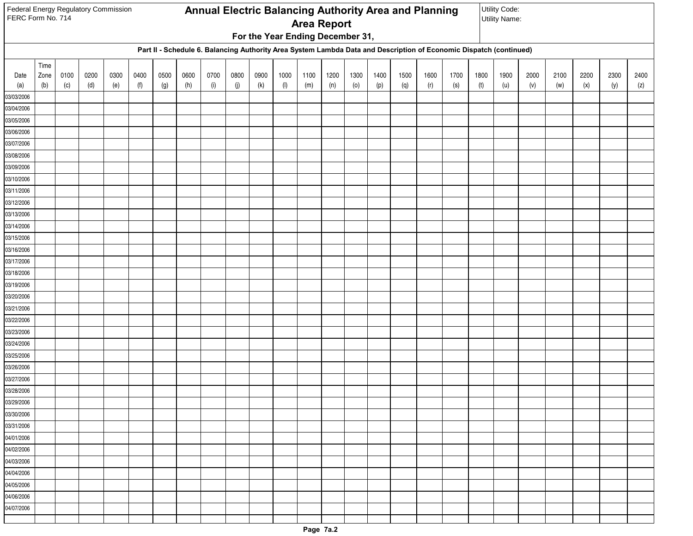| Federal Energy Regulatory Commission<br>FERC Form No. 714 |      |      |      |      |      |      |      |      |      |      |                                  |                    |      |      |      | Annual Electric Balancing Authority Area and Planning |                            |                                                                                                                    |      | Utility Code:<br><b>Utility Name:</b> |      |      |      |      |      |
|-----------------------------------------------------------|------|------|------|------|------|------|------|------|------|------|----------------------------------|--------------------|------|------|------|-------------------------------------------------------|----------------------------|--------------------------------------------------------------------------------------------------------------------|------|---------------------------------------|------|------|------|------|------|
|                                                           |      |      |      |      |      |      |      |      |      |      |                                  | <b>Area Report</b> |      |      |      |                                                       |                            |                                                                                                                    |      |                                       |      |      |      |      |      |
|                                                           |      |      |      |      |      |      |      |      |      |      | For the Year Ending December 31, |                    |      |      |      |                                                       |                            |                                                                                                                    |      |                                       |      |      |      |      |      |
|                                                           |      |      |      |      |      |      |      |      |      |      |                                  |                    |      |      |      |                                                       |                            | Part II - Schedule 6. Balancing Authority Area System Lambda Data and Description of Economic Dispatch (continued) |      |                                       |      |      |      |      |      |
|                                                           | Time |      |      |      |      |      |      |      |      |      |                                  |                    |      |      |      |                                                       |                            |                                                                                                                    |      |                                       |      |      |      |      |      |
| Date                                                      | Zone | 0100 | 0200 | 0300 | 0400 | 0500 | 0600 | 0700 | 0800 | 0900 | 1000                             | 1100               | 1200 | 1300 | 1400 | 1500                                                  | 1600                       | 1700                                                                                                               | 1800 | 1900                                  | 2000 | 2100 | 2200 | 2300 | 2400 |
| (a)                                                       | (b)  | (c)  | (d)  | (e)  | (f)  | (g)  | (h)  | (i)  | (j)  | (k)  | $(\mathsf{I})$                   | (m)                | (n)  | (0)  | (p)  | (q)                                                   | $\left( \mathsf{r}\right)$ | (s)                                                                                                                | (t)  | (u)                                   | (v)  | (w)  | (x)  | (y)  | (z)  |
| 03/03/2006                                                |      |      |      |      |      |      |      |      |      |      |                                  |                    |      |      |      |                                                       |                            |                                                                                                                    |      |                                       |      |      |      |      |      |
| 03/04/2006                                                |      |      |      |      |      |      |      |      |      |      |                                  |                    |      |      |      |                                                       |                            |                                                                                                                    |      |                                       |      |      |      |      |      |
| 03/05/2006<br>03/06/2006                                  |      |      |      |      |      |      |      |      |      |      |                                  |                    |      |      |      |                                                       |                            |                                                                                                                    |      |                                       |      |      |      |      |      |
| 03/07/2006                                                |      |      |      |      |      |      |      |      |      |      |                                  |                    |      |      |      |                                                       |                            |                                                                                                                    |      |                                       |      |      |      |      |      |
| 03/08/2006                                                |      |      |      |      |      |      |      |      |      |      |                                  |                    |      |      |      |                                                       |                            |                                                                                                                    |      |                                       |      |      |      |      |      |
| 03/09/2006                                                |      |      |      |      |      |      |      |      |      |      |                                  |                    |      |      |      |                                                       |                            |                                                                                                                    |      |                                       |      |      |      |      |      |
| 03/10/2006                                                |      |      |      |      |      |      |      |      |      |      |                                  |                    |      |      |      |                                                       |                            |                                                                                                                    |      |                                       |      |      |      |      |      |
| 03/11/2006                                                |      |      |      |      |      |      |      |      |      |      |                                  |                    |      |      |      |                                                       |                            |                                                                                                                    |      |                                       |      |      |      |      |      |
| 03/12/2006                                                |      |      |      |      |      |      |      |      |      |      |                                  |                    |      |      |      |                                                       |                            |                                                                                                                    |      |                                       |      |      |      |      |      |
| 03/13/2006                                                |      |      |      |      |      |      |      |      |      |      |                                  |                    |      |      |      |                                                       |                            |                                                                                                                    |      |                                       |      |      |      |      |      |
| 03/14/2006                                                |      |      |      |      |      |      |      |      |      |      |                                  |                    |      |      |      |                                                       |                            |                                                                                                                    |      |                                       |      |      |      |      |      |
| 03/15/2006                                                |      |      |      |      |      |      |      |      |      |      |                                  |                    |      |      |      |                                                       |                            |                                                                                                                    |      |                                       |      |      |      |      |      |
| 03/16/2006                                                |      |      |      |      |      |      |      |      |      |      |                                  |                    |      |      |      |                                                       |                            |                                                                                                                    |      |                                       |      |      |      |      |      |
| 03/17/2006                                                |      |      |      |      |      |      |      |      |      |      |                                  |                    |      |      |      |                                                       |                            |                                                                                                                    |      |                                       |      |      |      |      |      |
| 03/18/2006                                                |      |      |      |      |      |      |      |      |      |      |                                  |                    |      |      |      |                                                       |                            |                                                                                                                    |      |                                       |      |      |      |      |      |
| 03/19/2006                                                |      |      |      |      |      |      |      |      |      |      |                                  |                    |      |      |      |                                                       |                            |                                                                                                                    |      |                                       |      |      |      |      |      |
| 03/20/2006                                                |      |      |      |      |      |      |      |      |      |      |                                  |                    |      |      |      |                                                       |                            |                                                                                                                    |      |                                       |      |      |      |      |      |
| 03/21/2006                                                |      |      |      |      |      |      |      |      |      |      |                                  |                    |      |      |      |                                                       |                            |                                                                                                                    |      |                                       |      |      |      |      |      |
| 03/22/2006                                                |      |      |      |      |      |      |      |      |      |      |                                  |                    |      |      |      |                                                       |                            |                                                                                                                    |      |                                       |      |      |      |      |      |
| 03/23/2006                                                |      |      |      |      |      |      |      |      |      |      |                                  |                    |      |      |      |                                                       |                            |                                                                                                                    |      |                                       |      |      |      |      |      |
| 03/24/2006<br>03/25/2006                                  |      |      |      |      |      |      |      |      |      |      |                                  |                    |      |      |      |                                                       |                            |                                                                                                                    |      |                                       |      |      |      |      |      |
| 03/26/2006                                                |      |      |      |      |      |      |      |      |      |      |                                  |                    |      |      |      |                                                       |                            |                                                                                                                    |      |                                       |      |      |      |      |      |
| 03/27/2006                                                |      |      |      |      |      |      |      |      |      |      |                                  |                    |      |      |      |                                                       |                            |                                                                                                                    |      |                                       |      |      |      |      |      |
| 03/28/2006                                                |      |      |      |      |      |      |      |      |      |      |                                  |                    |      |      |      |                                                       |                            |                                                                                                                    |      |                                       |      |      |      |      |      |
| 03/29/2006                                                |      |      |      |      |      |      |      |      |      |      |                                  |                    |      |      |      |                                                       |                            |                                                                                                                    |      |                                       |      |      |      |      |      |
| 03/30/2006                                                |      |      |      |      |      |      |      |      |      |      |                                  |                    |      |      |      |                                                       |                            |                                                                                                                    |      |                                       |      |      |      |      |      |
| 03/31/2006                                                |      |      |      |      |      |      |      |      |      |      |                                  |                    |      |      |      |                                                       |                            |                                                                                                                    |      |                                       |      |      |      |      |      |
| 04/01/2006                                                |      |      |      |      |      |      |      |      |      |      |                                  |                    |      |      |      |                                                       |                            |                                                                                                                    |      |                                       |      |      |      |      |      |
| 04/02/2006                                                |      |      |      |      |      |      |      |      |      |      |                                  |                    |      |      |      |                                                       |                            |                                                                                                                    |      |                                       |      |      |      |      |      |
| 04/03/2006                                                |      |      |      |      |      |      |      |      |      |      |                                  |                    |      |      |      |                                                       |                            |                                                                                                                    |      |                                       |      |      |      |      |      |
| 04/04/2006                                                |      |      |      |      |      |      |      |      |      |      |                                  |                    |      |      |      |                                                       |                            |                                                                                                                    |      |                                       |      |      |      |      |      |
| 04/05/2006                                                |      |      |      |      |      |      |      |      |      |      |                                  |                    |      |      |      |                                                       |                            |                                                                                                                    |      |                                       |      |      |      |      |      |
| 04/06/2006                                                |      |      |      |      |      |      |      |      |      |      |                                  |                    |      |      |      |                                                       |                            |                                                                                                                    |      |                                       |      |      |      |      |      |
| 04/07/2006                                                |      |      |      |      |      |      |      |      |      |      |                                  |                    |      |      |      |                                                       |                            |                                                                                                                    |      |                                       |      |      |      |      |      |
|                                                           |      |      |      |      |      |      |      |      |      |      |                                  |                    |      |      |      |                                                       |                            |                                                                                                                    |      |                                       |      |      |      |      |      |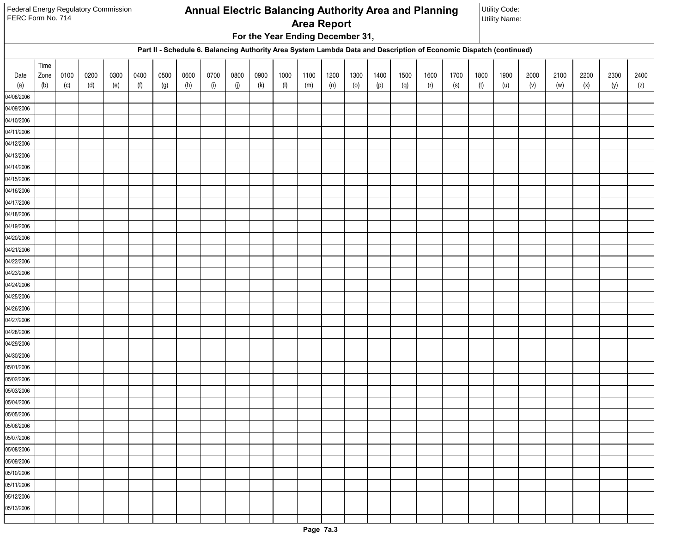| Federal Energy Regulatory Commission<br>FERC Form No. 714 |      |      |      |      |      |      |      |      |      |      |                                  |                    |      |      |      | Annual Electric Balancing Authority Area and Planning |                            |                                                                                                                    |      | Utility Code:<br><b>Utility Name:</b> |      |      |      |      |      |
|-----------------------------------------------------------|------|------|------|------|------|------|------|------|------|------|----------------------------------|--------------------|------|------|------|-------------------------------------------------------|----------------------------|--------------------------------------------------------------------------------------------------------------------|------|---------------------------------------|------|------|------|------|------|
|                                                           |      |      |      |      |      |      |      |      |      |      |                                  | <b>Area Report</b> |      |      |      |                                                       |                            |                                                                                                                    |      |                                       |      |      |      |      |      |
|                                                           |      |      |      |      |      |      |      |      |      |      | For the Year Ending December 31, |                    |      |      |      |                                                       |                            |                                                                                                                    |      |                                       |      |      |      |      |      |
|                                                           |      |      |      |      |      |      |      |      |      |      |                                  |                    |      |      |      |                                                       |                            | Part II - Schedule 6. Balancing Authority Area System Lambda Data and Description of Economic Dispatch (continued) |      |                                       |      |      |      |      |      |
|                                                           | Time |      |      |      |      |      |      |      |      |      |                                  |                    |      |      |      |                                                       |                            |                                                                                                                    |      |                                       |      |      |      |      |      |
| Date                                                      | Zone | 0100 | 0200 | 0300 | 0400 | 0500 | 0600 | 0700 | 0800 | 0900 | 1000                             | 1100               | 1200 | 1300 | 1400 | 1500                                                  | 1600                       | 1700                                                                                                               | 1800 | 1900                                  | 2000 | 2100 | 2200 | 2300 | 2400 |
| (a)                                                       | (b)  | (c)  | (d)  | (e)  | (f)  | (g)  | (h)  | (i)  | (j)  | (k)  | $(\mathsf{I})$                   | (m)                | (n)  | (0)  | (p)  | (q)                                                   | $\left( \mathsf{r}\right)$ | (s)                                                                                                                | (t)  | (u)                                   | (v)  | (w)  | (x)  | (y)  | (z)  |
| 04/08/2006                                                |      |      |      |      |      |      |      |      |      |      |                                  |                    |      |      |      |                                                       |                            |                                                                                                                    |      |                                       |      |      |      |      |      |
| 04/09/2006<br>04/10/2006                                  |      |      |      |      |      |      |      |      |      |      |                                  |                    |      |      |      |                                                       |                            |                                                                                                                    |      |                                       |      |      |      |      |      |
| 04/11/2006                                                |      |      |      |      |      |      |      |      |      |      |                                  |                    |      |      |      |                                                       |                            |                                                                                                                    |      |                                       |      |      |      |      |      |
| 04/12/2006                                                |      |      |      |      |      |      |      |      |      |      |                                  |                    |      |      |      |                                                       |                            |                                                                                                                    |      |                                       |      |      |      |      |      |
| 04/13/2006                                                |      |      |      |      |      |      |      |      |      |      |                                  |                    |      |      |      |                                                       |                            |                                                                                                                    |      |                                       |      |      |      |      |      |
| 04/14/2006                                                |      |      |      |      |      |      |      |      |      |      |                                  |                    |      |      |      |                                                       |                            |                                                                                                                    |      |                                       |      |      |      |      |      |
| 04/15/2006                                                |      |      |      |      |      |      |      |      |      |      |                                  |                    |      |      |      |                                                       |                            |                                                                                                                    |      |                                       |      |      |      |      |      |
| 04/16/2006                                                |      |      |      |      |      |      |      |      |      |      |                                  |                    |      |      |      |                                                       |                            |                                                                                                                    |      |                                       |      |      |      |      |      |
| 04/17/2006                                                |      |      |      |      |      |      |      |      |      |      |                                  |                    |      |      |      |                                                       |                            |                                                                                                                    |      |                                       |      |      |      |      |      |
| 04/18/2006                                                |      |      |      |      |      |      |      |      |      |      |                                  |                    |      |      |      |                                                       |                            |                                                                                                                    |      |                                       |      |      |      |      |      |
| 04/19/2006                                                |      |      |      |      |      |      |      |      |      |      |                                  |                    |      |      |      |                                                       |                            |                                                                                                                    |      |                                       |      |      |      |      |      |
| 04/20/2006                                                |      |      |      |      |      |      |      |      |      |      |                                  |                    |      |      |      |                                                       |                            |                                                                                                                    |      |                                       |      |      |      |      |      |
| 04/21/2006                                                |      |      |      |      |      |      |      |      |      |      |                                  |                    |      |      |      |                                                       |                            |                                                                                                                    |      |                                       |      |      |      |      |      |
| 04/22/2006                                                |      |      |      |      |      |      |      |      |      |      |                                  |                    |      |      |      |                                                       |                            |                                                                                                                    |      |                                       |      |      |      |      |      |
| 04/23/2006                                                |      |      |      |      |      |      |      |      |      |      |                                  |                    |      |      |      |                                                       |                            |                                                                                                                    |      |                                       |      |      |      |      |      |
| 04/24/2006                                                |      |      |      |      |      |      |      |      |      |      |                                  |                    |      |      |      |                                                       |                            |                                                                                                                    |      |                                       |      |      |      |      |      |
| 04/25/2006                                                |      |      |      |      |      |      |      |      |      |      |                                  |                    |      |      |      |                                                       |                            |                                                                                                                    |      |                                       |      |      |      |      |      |
| 04/26/2006                                                |      |      |      |      |      |      |      |      |      |      |                                  |                    |      |      |      |                                                       |                            |                                                                                                                    |      |                                       |      |      |      |      |      |
| 04/27/2006                                                |      |      |      |      |      |      |      |      |      |      |                                  |                    |      |      |      |                                                       |                            |                                                                                                                    |      |                                       |      |      |      |      |      |
| 04/28/2006                                                |      |      |      |      |      |      |      |      |      |      |                                  |                    |      |      |      |                                                       |                            |                                                                                                                    |      |                                       |      |      |      |      |      |
| 04/29/2006<br>04/30/2006                                  |      |      |      |      |      |      |      |      |      |      |                                  |                    |      |      |      |                                                       |                            |                                                                                                                    |      |                                       |      |      |      |      |      |
| 05/01/2006                                                |      |      |      |      |      |      |      |      |      |      |                                  |                    |      |      |      |                                                       |                            |                                                                                                                    |      |                                       |      |      |      |      |      |
| 05/02/2006                                                |      |      |      |      |      |      |      |      |      |      |                                  |                    |      |      |      |                                                       |                            |                                                                                                                    |      |                                       |      |      |      |      |      |
| 05/03/2006                                                |      |      |      |      |      |      |      |      |      |      |                                  |                    |      |      |      |                                                       |                            |                                                                                                                    |      |                                       |      |      |      |      |      |
| 05/04/2006                                                |      |      |      |      |      |      |      |      |      |      |                                  |                    |      |      |      |                                                       |                            |                                                                                                                    |      |                                       |      |      |      |      |      |
| 05/05/2006                                                |      |      |      |      |      |      |      |      |      |      |                                  |                    |      |      |      |                                                       |                            |                                                                                                                    |      |                                       |      |      |      |      |      |
| 05/06/2006                                                |      |      |      |      |      |      |      |      |      |      |                                  |                    |      |      |      |                                                       |                            |                                                                                                                    |      |                                       |      |      |      |      |      |
| 05/07/2006                                                |      |      |      |      |      |      |      |      |      |      |                                  |                    |      |      |      |                                                       |                            |                                                                                                                    |      |                                       |      |      |      |      |      |
| 05/08/2006                                                |      |      |      |      |      |      |      |      |      |      |                                  |                    |      |      |      |                                                       |                            |                                                                                                                    |      |                                       |      |      |      |      |      |
| 05/09/2006                                                |      |      |      |      |      |      |      |      |      |      |                                  |                    |      |      |      |                                                       |                            |                                                                                                                    |      |                                       |      |      |      |      |      |
| 05/10/2006                                                |      |      |      |      |      |      |      |      |      |      |                                  |                    |      |      |      |                                                       |                            |                                                                                                                    |      |                                       |      |      |      |      |      |
| 05/11/2006                                                |      |      |      |      |      |      |      |      |      |      |                                  |                    |      |      |      |                                                       |                            |                                                                                                                    |      |                                       |      |      |      |      |      |
| $\sqrt{05}/12/2006$                                       |      |      |      |      |      |      |      |      |      |      |                                  |                    |      |      |      |                                                       |                            |                                                                                                                    |      |                                       |      |      |      |      |      |
| 05/13/2006                                                |      |      |      |      |      |      |      |      |      |      |                                  |                    |      |      |      |                                                       |                            |                                                                                                                    |      |                                       |      |      |      |      |      |
|                                                           |      |      |      |      |      |      |      |      |      |      |                                  |                    |      |      |      |                                                       |                            |                                                                                                                    |      |                                       |      |      |      |      |      |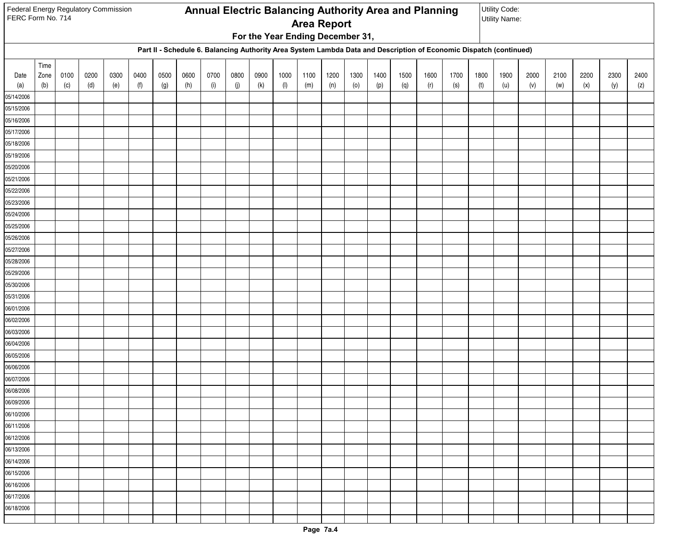|                          | Federal Energy Regulatory Commission<br>Annual Electric Balancing Authority Area and Planning<br>FERC Form No. 714<br><b>Area Report</b><br>For the Year Ending December 31,<br>Part II - Schedule 6. Balancing Authority Area System Lambda Data and Description of Economic Dispatch (continued) |      |      |      |      |      |      |      |      |      |                |      |      |      |      | Utility Code: |                            |      |      |                      |      |      |      |      |      |
|--------------------------|----------------------------------------------------------------------------------------------------------------------------------------------------------------------------------------------------------------------------------------------------------------------------------------------------|------|------|------|------|------|------|------|------|------|----------------|------|------|------|------|---------------|----------------------------|------|------|----------------------|------|------|------|------|------|
|                          |                                                                                                                                                                                                                                                                                                    |      |      |      |      |      |      |      |      |      |                |      |      |      |      |               |                            |      |      | <b>Utility Name:</b> |      |      |      |      |      |
|                          |                                                                                                                                                                                                                                                                                                    |      |      |      |      |      |      |      |      |      |                |      |      |      |      |               |                            |      |      |                      |      |      |      |      |      |
|                          |                                                                                                                                                                                                                                                                                                    |      |      |      |      |      |      |      |      |      |                |      |      |      |      |               |                            |      |      |                      |      |      |      |      |      |
|                          | Time                                                                                                                                                                                                                                                                                               |      |      |      |      |      |      |      |      |      |                |      |      |      |      |               |                            |      |      |                      |      |      |      |      |      |
| Date                     | Zone                                                                                                                                                                                                                                                                                               | 0100 | 0200 | 0300 | 0400 | 0500 | 0600 | 0700 | 0800 | 0900 | 1000           | 1100 | 1200 | 1300 | 1400 | 1500          | 1600                       | 1700 | 1800 | 1900                 | 2000 | 2100 | 2200 | 2300 | 2400 |
| (a)                      | (b)                                                                                                                                                                                                                                                                                                | (c)  | (d)  | (e)  | (f)  | (g)  | (h)  | (i)  | (j)  | (k)  | $(\mathsf{I})$ | (m)  | (n)  | (0)  | (p)  | (q)           | $\left( \mathsf{r}\right)$ | (s)  | (t)  | (u)                  | (v)  | (w)  | (x)  | (y)  | (z)  |
| 05/14/2006               |                                                                                                                                                                                                                                                                                                    |      |      |      |      |      |      |      |      |      |                |      |      |      |      |               |                            |      |      |                      |      |      |      |      |      |
| 05/15/2006               |                                                                                                                                                                                                                                                                                                    |      |      |      |      |      |      |      |      |      |                |      |      |      |      |               |                            |      |      |                      |      |      |      |      |      |
| 05/16/2006               |                                                                                                                                                                                                                                                                                                    |      |      |      |      |      |      |      |      |      |                |      |      |      |      |               |                            |      |      |                      |      |      |      |      |      |
| 05/17/2006               |                                                                                                                                                                                                                                                                                                    |      |      |      |      |      |      |      |      |      |                |      |      |      |      |               |                            |      |      |                      |      |      |      |      |      |
| 05/18/2006<br>05/19/2006 |                                                                                                                                                                                                                                                                                                    |      |      |      |      |      |      |      |      |      |                |      |      |      |      |               |                            |      |      |                      |      |      |      |      |      |
| 05/20/2006               |                                                                                                                                                                                                                                                                                                    |      |      |      |      |      |      |      |      |      |                |      |      |      |      |               |                            |      |      |                      |      |      |      |      |      |
| 05/21/2006               |                                                                                                                                                                                                                                                                                                    |      |      |      |      |      |      |      |      |      |                |      |      |      |      |               |                            |      |      |                      |      |      |      |      |      |
| 05/22/2006               |                                                                                                                                                                                                                                                                                                    |      |      |      |      |      |      |      |      |      |                |      |      |      |      |               |                            |      |      |                      |      |      |      |      |      |
| 05/23/2006               |                                                                                                                                                                                                                                                                                                    |      |      |      |      |      |      |      |      |      |                |      |      |      |      |               |                            |      |      |                      |      |      |      |      |      |
| 05/24/2006               |                                                                                                                                                                                                                                                                                                    |      |      |      |      |      |      |      |      |      |                |      |      |      |      |               |                            |      |      |                      |      |      |      |      |      |
| 05/25/2006               |                                                                                                                                                                                                                                                                                                    |      |      |      |      |      |      |      |      |      |                |      |      |      |      |               |                            |      |      |                      |      |      |      |      |      |
| 05/26/2006               |                                                                                                                                                                                                                                                                                                    |      |      |      |      |      |      |      |      |      |                |      |      |      |      |               |                            |      |      |                      |      |      |      |      |      |
| 05/27/2006               |                                                                                                                                                                                                                                                                                                    |      |      |      |      |      |      |      |      |      |                |      |      |      |      |               |                            |      |      |                      |      |      |      |      |      |
| 05/28/2006               |                                                                                                                                                                                                                                                                                                    |      |      |      |      |      |      |      |      |      |                |      |      |      |      |               |                            |      |      |                      |      |      |      |      |      |
| 05/29/2006               |                                                                                                                                                                                                                                                                                                    |      |      |      |      |      |      |      |      |      |                |      |      |      |      |               |                            |      |      |                      |      |      |      |      |      |
| 05/30/2006               |                                                                                                                                                                                                                                                                                                    |      |      |      |      |      |      |      |      |      |                |      |      |      |      |               |                            |      |      |                      |      |      |      |      |      |
| 05/31/2006               |                                                                                                                                                                                                                                                                                                    |      |      |      |      |      |      |      |      |      |                |      |      |      |      |               |                            |      |      |                      |      |      |      |      |      |
| 06/01/2006               |                                                                                                                                                                                                                                                                                                    |      |      |      |      |      |      |      |      |      |                |      |      |      |      |               |                            |      |      |                      |      |      |      |      |      |
| 06/02/2006               |                                                                                                                                                                                                                                                                                                    |      |      |      |      |      |      |      |      |      |                |      |      |      |      |               |                            |      |      |                      |      |      |      |      |      |
| 06/03/2006               |                                                                                                                                                                                                                                                                                                    |      |      |      |      |      |      |      |      |      |                |      |      |      |      |               |                            |      |      |                      |      |      |      |      |      |
| 06/04/2006               |                                                                                                                                                                                                                                                                                                    |      |      |      |      |      |      |      |      |      |                |      |      |      |      |               |                            |      |      |                      |      |      |      |      |      |
| 06/05/2006               |                                                                                                                                                                                                                                                                                                    |      |      |      |      |      |      |      |      |      |                |      |      |      |      |               |                            |      |      |                      |      |      |      |      |      |
| 06/06/2006               |                                                                                                                                                                                                                                                                                                    |      |      |      |      |      |      |      |      |      |                |      |      |      |      |               |                            |      |      |                      |      |      |      |      |      |
| 06/07/2006               |                                                                                                                                                                                                                                                                                                    |      |      |      |      |      |      |      |      |      |                |      |      |      |      |               |                            |      |      |                      |      |      |      |      |      |
| 06/08/2006               |                                                                                                                                                                                                                                                                                                    |      |      |      |      |      |      |      |      |      |                |      |      |      |      |               |                            |      |      |                      |      |      |      |      |      |
| 06/09/2006<br>06/10/2006 |                                                                                                                                                                                                                                                                                                    |      |      |      |      |      |      |      |      |      |                |      |      |      |      |               |                            |      |      |                      |      |      |      |      |      |
| 06/11/2006               |                                                                                                                                                                                                                                                                                                    |      |      |      |      |      |      |      |      |      |                |      |      |      |      |               |                            |      |      |                      |      |      |      |      |      |
| 06/12/2006               |                                                                                                                                                                                                                                                                                                    |      |      |      |      |      |      |      |      |      |                |      |      |      |      |               |                            |      |      |                      |      |      |      |      |      |
| 06/13/2006               |                                                                                                                                                                                                                                                                                                    |      |      |      |      |      |      |      |      |      |                |      |      |      |      |               |                            |      |      |                      |      |      |      |      |      |
| 06/14/2006               |                                                                                                                                                                                                                                                                                                    |      |      |      |      |      |      |      |      |      |                |      |      |      |      |               |                            |      |      |                      |      |      |      |      |      |
| 06/15/2006               |                                                                                                                                                                                                                                                                                                    |      |      |      |      |      |      |      |      |      |                |      |      |      |      |               |                            |      |      |                      |      |      |      |      |      |
| 06/16/2006               |                                                                                                                                                                                                                                                                                                    |      |      |      |      |      |      |      |      |      |                |      |      |      |      |               |                            |      |      |                      |      |      |      |      |      |
| 06/17/2006               |                                                                                                                                                                                                                                                                                                    |      |      |      |      |      |      |      |      |      |                |      |      |      |      |               |                            |      |      |                      |      |      |      |      |      |
| 06/18/2006               |                                                                                                                                                                                                                                                                                                    |      |      |      |      |      |      |      |      |      |                |      |      |      |      |               |                            |      |      |                      |      |      |      |      |      |
|                          |                                                                                                                                                                                                                                                                                                    |      |      |      |      |      |      |      |      |      |                |      |      |      |      |               |                            |      |      |                      |      |      |      |      |      |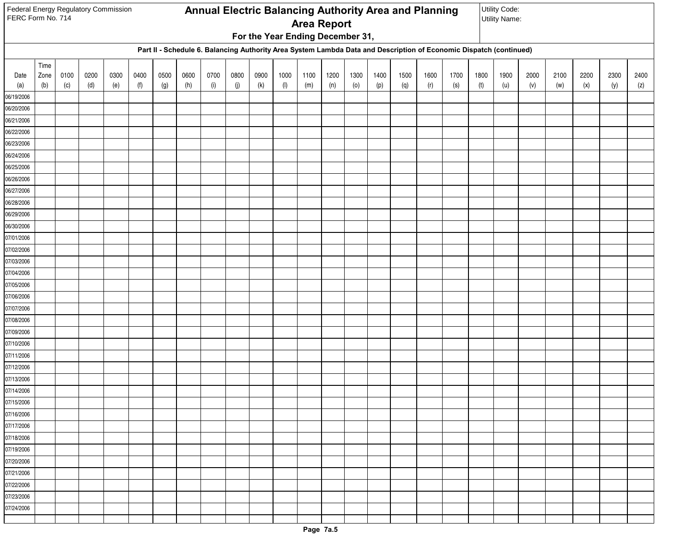|                          | Federal Energy Regulatory Commission<br>Annual Electric Balancing Authority Area and Planning<br>FERC Form No. 714<br><b>Utility Name:</b><br><b>Area Report</b><br>For the Year Ending December 31,<br>Part II - Schedule 6. Balancing Authority Area System Lambda Data and Description of Economic Dispatch (continued) |      |      |      |      |      |      |      |      |      |                |      |      |      | Utility Code: |      |                            |      |      |      |      |      |      |      |      |
|--------------------------|----------------------------------------------------------------------------------------------------------------------------------------------------------------------------------------------------------------------------------------------------------------------------------------------------------------------------|------|------|------|------|------|------|------|------|------|----------------|------|------|------|---------------|------|----------------------------|------|------|------|------|------|------|------|------|
|                          |                                                                                                                                                                                                                                                                                                                            |      |      |      |      |      |      |      |      |      |                |      |      |      |               |      |                            |      |      |      |      |      |      |      |      |
|                          |                                                                                                                                                                                                                                                                                                                            |      |      |      |      |      |      |      |      |      |                |      |      |      |               |      |                            |      |      |      |      |      |      |      |      |
|                          |                                                                                                                                                                                                                                                                                                                            |      |      |      |      |      |      |      |      |      |                |      |      |      |               |      |                            |      |      |      |      |      |      |      |      |
|                          | Time                                                                                                                                                                                                                                                                                                                       |      |      |      |      |      |      |      |      |      |                |      |      |      |               |      |                            |      |      |      |      |      |      |      |      |
| Date                     | Zone                                                                                                                                                                                                                                                                                                                       | 0100 | 0200 | 0300 | 0400 | 0500 | 0600 | 0700 | 0800 | 0900 | 1000           | 1100 | 1200 | 1300 | 1400          | 1500 | 1600                       | 1700 | 1800 | 1900 | 2000 | 2100 | 2200 | 2300 | 2400 |
| (a)                      | (b)                                                                                                                                                                                                                                                                                                                        | (c)  | (d)  | (e)  | (f)  | (g)  | (h)  | (i)  | (j)  | (k)  | $(\mathsf{I})$ | (m)  | (n)  | (0)  | (p)           | (q)  | $\left( \mathsf{r}\right)$ | (s)  | (t)  | (u)  | (v)  | (w)  | (x)  | (y)  | (z)  |
| 06/19/2006               |                                                                                                                                                                                                                                                                                                                            |      |      |      |      |      |      |      |      |      |                |      |      |      |               |      |                            |      |      |      |      |      |      |      |      |
| 06/20/2006<br>06/21/2006 |                                                                                                                                                                                                                                                                                                                            |      |      |      |      |      |      |      |      |      |                |      |      |      |               |      |                            |      |      |      |      |      |      |      |      |
| 06/22/2006               |                                                                                                                                                                                                                                                                                                                            |      |      |      |      |      |      |      |      |      |                |      |      |      |               |      |                            |      |      |      |      |      |      |      |      |
| 06/23/2006               |                                                                                                                                                                                                                                                                                                                            |      |      |      |      |      |      |      |      |      |                |      |      |      |               |      |                            |      |      |      |      |      |      |      |      |
| 06/24/2006               |                                                                                                                                                                                                                                                                                                                            |      |      |      |      |      |      |      |      |      |                |      |      |      |               |      |                            |      |      |      |      |      |      |      |      |
| 06/25/2006               |                                                                                                                                                                                                                                                                                                                            |      |      |      |      |      |      |      |      |      |                |      |      |      |               |      |                            |      |      |      |      |      |      |      |      |
| 06/26/2006               |                                                                                                                                                                                                                                                                                                                            |      |      |      |      |      |      |      |      |      |                |      |      |      |               |      |                            |      |      |      |      |      |      |      |      |
| 06/27/2006               |                                                                                                                                                                                                                                                                                                                            |      |      |      |      |      |      |      |      |      |                |      |      |      |               |      |                            |      |      |      |      |      |      |      |      |
| 06/28/2006               |                                                                                                                                                                                                                                                                                                                            |      |      |      |      |      |      |      |      |      |                |      |      |      |               |      |                            |      |      |      |      |      |      |      |      |
| 06/29/2006               |                                                                                                                                                                                                                                                                                                                            |      |      |      |      |      |      |      |      |      |                |      |      |      |               |      |                            |      |      |      |      |      |      |      |      |
| 06/30/2006               |                                                                                                                                                                                                                                                                                                                            |      |      |      |      |      |      |      |      |      |                |      |      |      |               |      |                            |      |      |      |      |      |      |      |      |
| 07/01/2006               |                                                                                                                                                                                                                                                                                                                            |      |      |      |      |      |      |      |      |      |                |      |      |      |               |      |                            |      |      |      |      |      |      |      |      |
| 07/02/2006               |                                                                                                                                                                                                                                                                                                                            |      |      |      |      |      |      |      |      |      |                |      |      |      |               |      |                            |      |      |      |      |      |      |      |      |
| 07/03/2006               |                                                                                                                                                                                                                                                                                                                            |      |      |      |      |      |      |      |      |      |                |      |      |      |               |      |                            |      |      |      |      |      |      |      |      |
| 07/04/2006               |                                                                                                                                                                                                                                                                                                                            |      |      |      |      |      |      |      |      |      |                |      |      |      |               |      |                            |      |      |      |      |      |      |      |      |
| 07/05/2006               |                                                                                                                                                                                                                                                                                                                            |      |      |      |      |      |      |      |      |      |                |      |      |      |               |      |                            |      |      |      |      |      |      |      |      |
| 07/06/2006               |                                                                                                                                                                                                                                                                                                                            |      |      |      |      |      |      |      |      |      |                |      |      |      |               |      |                            |      |      |      |      |      |      |      |      |
| 07/07/2006<br>07/08/2006 |                                                                                                                                                                                                                                                                                                                            |      |      |      |      |      |      |      |      |      |                |      |      |      |               |      |                            |      |      |      |      |      |      |      |      |
| 07/09/2006               |                                                                                                                                                                                                                                                                                                                            |      |      |      |      |      |      |      |      |      |                |      |      |      |               |      |                            |      |      |      |      |      |      |      |      |
| 07/10/2006               |                                                                                                                                                                                                                                                                                                                            |      |      |      |      |      |      |      |      |      |                |      |      |      |               |      |                            |      |      |      |      |      |      |      |      |
| 07/11/2006               |                                                                                                                                                                                                                                                                                                                            |      |      |      |      |      |      |      |      |      |                |      |      |      |               |      |                            |      |      |      |      |      |      |      |      |
| 07/12/2006               |                                                                                                                                                                                                                                                                                                                            |      |      |      |      |      |      |      |      |      |                |      |      |      |               |      |                            |      |      |      |      |      |      |      |      |
| 07/13/2006               |                                                                                                                                                                                                                                                                                                                            |      |      |      |      |      |      |      |      |      |                |      |      |      |               |      |                            |      |      |      |      |      |      |      |      |
| 07/14/2006               |                                                                                                                                                                                                                                                                                                                            |      |      |      |      |      |      |      |      |      |                |      |      |      |               |      |                            |      |      |      |      |      |      |      |      |
| 07/15/2006               |                                                                                                                                                                                                                                                                                                                            |      |      |      |      |      |      |      |      |      |                |      |      |      |               |      |                            |      |      |      |      |      |      |      |      |
| 07/16/2006               |                                                                                                                                                                                                                                                                                                                            |      |      |      |      |      |      |      |      |      |                |      |      |      |               |      |                            |      |      |      |      |      |      |      |      |
| 07/17/2006               |                                                                                                                                                                                                                                                                                                                            |      |      |      |      |      |      |      |      |      |                |      |      |      |               |      |                            |      |      |      |      |      |      |      |      |
| 07/18/2006               |                                                                                                                                                                                                                                                                                                                            |      |      |      |      |      |      |      |      |      |                |      |      |      |               |      |                            |      |      |      |      |      |      |      |      |
| 07/19/2006               |                                                                                                                                                                                                                                                                                                                            |      |      |      |      |      |      |      |      |      |                |      |      |      |               |      |                            |      |      |      |      |      |      |      |      |
| 07/20/2006               |                                                                                                                                                                                                                                                                                                                            |      |      |      |      |      |      |      |      |      |                |      |      |      |               |      |                            |      |      |      |      |      |      |      |      |
| 07/21/2006               |                                                                                                                                                                                                                                                                                                                            |      |      |      |      |      |      |      |      |      |                |      |      |      |               |      |                            |      |      |      |      |      |      |      |      |
| 07/22/2006               |                                                                                                                                                                                                                                                                                                                            |      |      |      |      |      |      |      |      |      |                |      |      |      |               |      |                            |      |      |      |      |      |      |      |      |
| 07/23/2006               |                                                                                                                                                                                                                                                                                                                            |      |      |      |      |      |      |      |      |      |                |      |      |      |               |      |                            |      |      |      |      |      |      |      |      |
| 07/24/2006               |                                                                                                                                                                                                                                                                                                                            |      |      |      |      |      |      |      |      |      |                |      |      |      |               |      |                            |      |      |      |      |      |      |      |      |
|                          |                                                                                                                                                                                                                                                                                                                            |      |      |      |      |      |      |      |      |      |                |      |      |      |               |      |                            |      |      |      |      |      |      |      |      |

г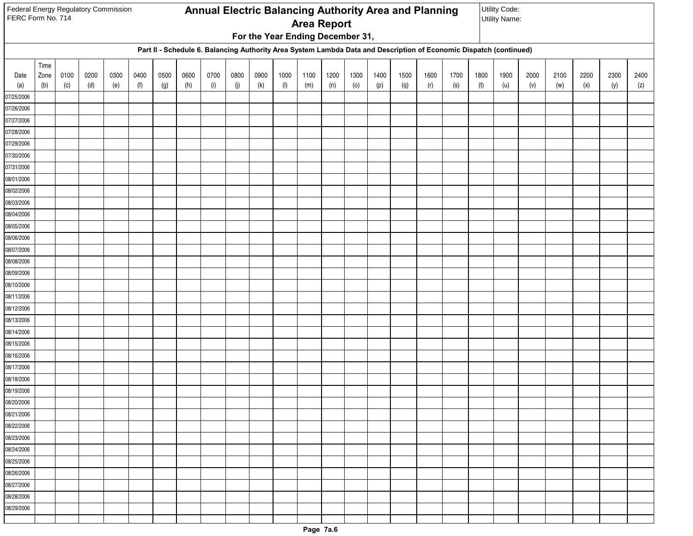|                          | Federal Energy Regulatory Commission<br>Annual Electric Balancing Authority Area and Planning<br>FERC Form No. 714<br><b>Area Report</b><br>For the Year Ending December 31,<br>Part II - Schedule 6. Balancing Authority Area System Lambda Data and Description of Economic Dispatch (continued) |      |      |      |      |      |      |      |      |      |                |      |      |      |      | Utility Code:<br><b>Utility Name:</b> |                            |      |      |      |      |      |      |      |      |
|--------------------------|----------------------------------------------------------------------------------------------------------------------------------------------------------------------------------------------------------------------------------------------------------------------------------------------------|------|------|------|------|------|------|------|------|------|----------------|------|------|------|------|---------------------------------------|----------------------------|------|------|------|------|------|------|------|------|
|                          |                                                                                                                                                                                                                                                                                                    |      |      |      |      |      |      |      |      |      |                |      |      |      |      |                                       |                            |      |      |      |      |      |      |      |      |
|                          |                                                                                                                                                                                                                                                                                                    |      |      |      |      |      |      |      |      |      |                |      |      |      |      |                                       |                            |      |      |      |      |      |      |      |      |
|                          |                                                                                                                                                                                                                                                                                                    |      |      |      |      |      |      |      |      |      |                |      |      |      |      |                                       |                            |      |      |      |      |      |      |      |      |
|                          | Time                                                                                                                                                                                                                                                                                               |      |      |      |      |      |      |      |      |      |                |      |      |      |      |                                       |                            |      |      |      |      |      |      |      |      |
| Date                     | Zone                                                                                                                                                                                                                                                                                               | 0100 | 0200 | 0300 | 0400 | 0500 | 0600 | 0700 | 0800 | 0900 | 1000           | 1100 | 1200 | 1300 | 1400 | 1500                                  | 1600                       | 1700 | 1800 | 1900 | 2000 | 2100 | 2200 | 2300 | 2400 |
| (a)                      | (b)                                                                                                                                                                                                                                                                                                | (c)  | (d)  | (e)  | (f)  | (g)  | (h)  | (i)  | (j)  | (k)  | $(\mathsf{I})$ | (m)  | (n)  | (0)  | (p)  | (q)                                   | $\left( \mathsf{r}\right)$ | (s)  | (t)  | (u)  | (v)  | (w)  | (x)  | (y)  | (z)  |
| 07/25/2006               |                                                                                                                                                                                                                                                                                                    |      |      |      |      |      |      |      |      |      |                |      |      |      |      |                                       |                            |      |      |      |      |      |      |      |      |
| 07/26/2006               |                                                                                                                                                                                                                                                                                                    |      |      |      |      |      |      |      |      |      |                |      |      |      |      |                                       |                            |      |      |      |      |      |      |      |      |
| 07/27/2006<br>07/28/2006 |                                                                                                                                                                                                                                                                                                    |      |      |      |      |      |      |      |      |      |                |      |      |      |      |                                       |                            |      |      |      |      |      |      |      |      |
| 07/29/2006               |                                                                                                                                                                                                                                                                                                    |      |      |      |      |      |      |      |      |      |                |      |      |      |      |                                       |                            |      |      |      |      |      |      |      |      |
| 07/30/2006               |                                                                                                                                                                                                                                                                                                    |      |      |      |      |      |      |      |      |      |                |      |      |      |      |                                       |                            |      |      |      |      |      |      |      |      |
| 07/31/2006               |                                                                                                                                                                                                                                                                                                    |      |      |      |      |      |      |      |      |      |                |      |      |      |      |                                       |                            |      |      |      |      |      |      |      |      |
| 08/01/2006               |                                                                                                                                                                                                                                                                                                    |      |      |      |      |      |      |      |      |      |                |      |      |      |      |                                       |                            |      |      |      |      |      |      |      |      |
| 08/02/2006               |                                                                                                                                                                                                                                                                                                    |      |      |      |      |      |      |      |      |      |                |      |      |      |      |                                       |                            |      |      |      |      |      |      |      |      |
| 08/03/2006               |                                                                                                                                                                                                                                                                                                    |      |      |      |      |      |      |      |      |      |                |      |      |      |      |                                       |                            |      |      |      |      |      |      |      |      |
| 08/04/2006               |                                                                                                                                                                                                                                                                                                    |      |      |      |      |      |      |      |      |      |                |      |      |      |      |                                       |                            |      |      |      |      |      |      |      |      |
| 08/05/2006               |                                                                                                                                                                                                                                                                                                    |      |      |      |      |      |      |      |      |      |                |      |      |      |      |                                       |                            |      |      |      |      |      |      |      |      |
| 08/06/2006               |                                                                                                                                                                                                                                                                                                    |      |      |      |      |      |      |      |      |      |                |      |      |      |      |                                       |                            |      |      |      |      |      |      |      |      |
| 08/07/2006               |                                                                                                                                                                                                                                                                                                    |      |      |      |      |      |      |      |      |      |                |      |      |      |      |                                       |                            |      |      |      |      |      |      |      |      |
| 08/08/2006               |                                                                                                                                                                                                                                                                                                    |      |      |      |      |      |      |      |      |      |                |      |      |      |      |                                       |                            |      |      |      |      |      |      |      |      |
| 08/09/2006               |                                                                                                                                                                                                                                                                                                    |      |      |      |      |      |      |      |      |      |                |      |      |      |      |                                       |                            |      |      |      |      |      |      |      |      |
| 08/10/2006               |                                                                                                                                                                                                                                                                                                    |      |      |      |      |      |      |      |      |      |                |      |      |      |      |                                       |                            |      |      |      |      |      |      |      |      |
| 08/11/2006               |                                                                                                                                                                                                                                                                                                    |      |      |      |      |      |      |      |      |      |                |      |      |      |      |                                       |                            |      |      |      |      |      |      |      |      |
| 08/12/2006               |                                                                                                                                                                                                                                                                                                    |      |      |      |      |      |      |      |      |      |                |      |      |      |      |                                       |                            |      |      |      |      |      |      |      |      |
| 08/13/2006               |                                                                                                                                                                                                                                                                                                    |      |      |      |      |      |      |      |      |      |                |      |      |      |      |                                       |                            |      |      |      |      |      |      |      |      |
| 08/14/2006<br>08/15/2006 |                                                                                                                                                                                                                                                                                                    |      |      |      |      |      |      |      |      |      |                |      |      |      |      |                                       |                            |      |      |      |      |      |      |      |      |
| 08/16/2006               |                                                                                                                                                                                                                                                                                                    |      |      |      |      |      |      |      |      |      |                |      |      |      |      |                                       |                            |      |      |      |      |      |      |      |      |
| 08/17/2006               |                                                                                                                                                                                                                                                                                                    |      |      |      |      |      |      |      |      |      |                |      |      |      |      |                                       |                            |      |      |      |      |      |      |      |      |
| 08/18/2006               |                                                                                                                                                                                                                                                                                                    |      |      |      |      |      |      |      |      |      |                |      |      |      |      |                                       |                            |      |      |      |      |      |      |      |      |
| 08/19/2006               |                                                                                                                                                                                                                                                                                                    |      |      |      |      |      |      |      |      |      |                |      |      |      |      |                                       |                            |      |      |      |      |      |      |      |      |
| 08/20/2006               |                                                                                                                                                                                                                                                                                                    |      |      |      |      |      |      |      |      |      |                |      |      |      |      |                                       |                            |      |      |      |      |      |      |      |      |
| 08/21/2006               |                                                                                                                                                                                                                                                                                                    |      |      |      |      |      |      |      |      |      |                |      |      |      |      |                                       |                            |      |      |      |      |      |      |      |      |
| 08/22/2006               |                                                                                                                                                                                                                                                                                                    |      |      |      |      |      |      |      |      |      |                |      |      |      |      |                                       |                            |      |      |      |      |      |      |      |      |
| 08/23/2006               |                                                                                                                                                                                                                                                                                                    |      |      |      |      |      |      |      |      |      |                |      |      |      |      |                                       |                            |      |      |      |      |      |      |      |      |
| 08/24/2006               |                                                                                                                                                                                                                                                                                                    |      |      |      |      |      |      |      |      |      |                |      |      |      |      |                                       |                            |      |      |      |      |      |      |      |      |
| 08/25/2006               |                                                                                                                                                                                                                                                                                                    |      |      |      |      |      |      |      |      |      |                |      |      |      |      |                                       |                            |      |      |      |      |      |      |      |      |
| 08/26/2006               |                                                                                                                                                                                                                                                                                                    |      |      |      |      |      |      |      |      |      |                |      |      |      |      |                                       |                            |      |      |      |      |      |      |      |      |
| 08/27/2006               |                                                                                                                                                                                                                                                                                                    |      |      |      |      |      |      |      |      |      |                |      |      |      |      |                                       |                            |      |      |      |      |      |      |      |      |
| 08/28/2006               |                                                                                                                                                                                                                                                                                                    |      |      |      |      |      |      |      |      |      |                |      |      |      |      |                                       |                            |      |      |      |      |      |      |      |      |
| 08/29/2006               |                                                                                                                                                                                                                                                                                                    |      |      |      |      |      |      |      |      |      |                |      |      |      |      |                                       |                            |      |      |      |      |      |      |      |      |
|                          |                                                                                                                                                                                                                                                                                                    |      |      |      |      |      |      |      |      |      |                |      |      |      |      |                                       |                            |      |      |      |      |      |      |      |      |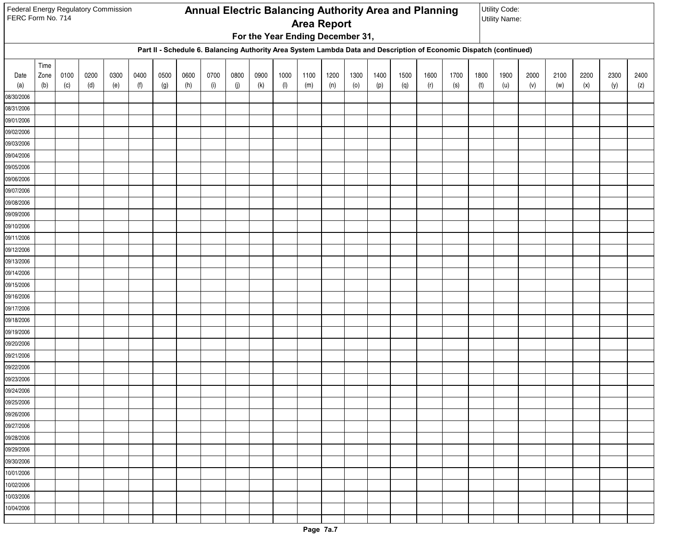|                          | Federal Energy Regulatory Commission<br>Annual Electric Balancing Authority Area and Planning<br>FERC Form No. 714<br><b>Area Report</b><br>For the Year Ending December 31,<br>Part II - Schedule 6. Balancing Authority Area System Lambda Data and Description of Economic Dispatch (continued) |      |      |      |      |      |      |      |      |      |                |      |      |      |      | Utility Code:<br><b>Utility Name:</b> |                            |      |      |      |      |      |      |      |      |
|--------------------------|----------------------------------------------------------------------------------------------------------------------------------------------------------------------------------------------------------------------------------------------------------------------------------------------------|------|------|------|------|------|------|------|------|------|----------------|------|------|------|------|---------------------------------------|----------------------------|------|------|------|------|------|------|------|------|
|                          |                                                                                                                                                                                                                                                                                                    |      |      |      |      |      |      |      |      |      |                |      |      |      |      |                                       |                            |      |      |      |      |      |      |      |      |
|                          |                                                                                                                                                                                                                                                                                                    |      |      |      |      |      |      |      |      |      |                |      |      |      |      |                                       |                            |      |      |      |      |      |      |      |      |
|                          |                                                                                                                                                                                                                                                                                                    |      |      |      |      |      |      |      |      |      |                |      |      |      |      |                                       |                            |      |      |      |      |      |      |      |      |
|                          | Time                                                                                                                                                                                                                                                                                               |      |      |      |      |      |      |      |      |      |                |      |      |      |      |                                       |                            |      |      |      |      |      |      |      |      |
| Date                     | Zone                                                                                                                                                                                                                                                                                               | 0100 | 0200 | 0300 | 0400 | 0500 | 0600 | 0700 | 0800 | 0900 | 1000           | 1100 | 1200 | 1300 | 1400 | 1500                                  | 1600                       | 1700 | 1800 | 1900 | 2000 | 2100 | 2200 | 2300 | 2400 |
| (a)                      | (b)                                                                                                                                                                                                                                                                                                | (c)  | (d)  | (e)  | (f)  | (g)  | (h)  | (i)  | (j)  | (k)  | $(\mathsf{I})$ | (m)  | (n)  | (0)  | (p)  | (q)                                   | $\left( \mathsf{r}\right)$ | (s)  | (t)  | (u)  | (v)  | (w)  | (x)  | (y)  | (z)  |
| 08/30/2006               |                                                                                                                                                                                                                                                                                                    |      |      |      |      |      |      |      |      |      |                |      |      |      |      |                                       |                            |      |      |      |      |      |      |      |      |
| 08/31/2006<br>09/01/2006 |                                                                                                                                                                                                                                                                                                    |      |      |      |      |      |      |      |      |      |                |      |      |      |      |                                       |                            |      |      |      |      |      |      |      |      |
| 09/02/2006               |                                                                                                                                                                                                                                                                                                    |      |      |      |      |      |      |      |      |      |                |      |      |      |      |                                       |                            |      |      |      |      |      |      |      |      |
| 09/03/2006               |                                                                                                                                                                                                                                                                                                    |      |      |      |      |      |      |      |      |      |                |      |      |      |      |                                       |                            |      |      |      |      |      |      |      |      |
| 09/04/2006               |                                                                                                                                                                                                                                                                                                    |      |      |      |      |      |      |      |      |      |                |      |      |      |      |                                       |                            |      |      |      |      |      |      |      |      |
| 09/05/2006               |                                                                                                                                                                                                                                                                                                    |      |      |      |      |      |      |      |      |      |                |      |      |      |      |                                       |                            |      |      |      |      |      |      |      |      |
| 09/06/2006               |                                                                                                                                                                                                                                                                                                    |      |      |      |      |      |      |      |      |      |                |      |      |      |      |                                       |                            |      |      |      |      |      |      |      |      |
| 09/07/2006               |                                                                                                                                                                                                                                                                                                    |      |      |      |      |      |      |      |      |      |                |      |      |      |      |                                       |                            |      |      |      |      |      |      |      |      |
| 09/08/2006               |                                                                                                                                                                                                                                                                                                    |      |      |      |      |      |      |      |      |      |                |      |      |      |      |                                       |                            |      |      |      |      |      |      |      |      |
| 09/09/2006               |                                                                                                                                                                                                                                                                                                    |      |      |      |      |      |      |      |      |      |                |      |      |      |      |                                       |                            |      |      |      |      |      |      |      |      |
| 09/10/2006               |                                                                                                                                                                                                                                                                                                    |      |      |      |      |      |      |      |      |      |                |      |      |      |      |                                       |                            |      |      |      |      |      |      |      |      |
| 09/11/2006               |                                                                                                                                                                                                                                                                                                    |      |      |      |      |      |      |      |      |      |                |      |      |      |      |                                       |                            |      |      |      |      |      |      |      |      |
| 09/12/2006               |                                                                                                                                                                                                                                                                                                    |      |      |      |      |      |      |      |      |      |                |      |      |      |      |                                       |                            |      |      |      |      |      |      |      |      |
| 09/13/2006               |                                                                                                                                                                                                                                                                                                    |      |      |      |      |      |      |      |      |      |                |      |      |      |      |                                       |                            |      |      |      |      |      |      |      |      |
| 09/14/2006               |                                                                                                                                                                                                                                                                                                    |      |      |      |      |      |      |      |      |      |                |      |      |      |      |                                       |                            |      |      |      |      |      |      |      |      |
| 09/15/2006               |                                                                                                                                                                                                                                                                                                    |      |      |      |      |      |      |      |      |      |                |      |      |      |      |                                       |                            |      |      |      |      |      |      |      |      |
| 09/16/2006               |                                                                                                                                                                                                                                                                                                    |      |      |      |      |      |      |      |      |      |                |      |      |      |      |                                       |                            |      |      |      |      |      |      |      |      |
| 09/17/2006<br>09/18/2006 |                                                                                                                                                                                                                                                                                                    |      |      |      |      |      |      |      |      |      |                |      |      |      |      |                                       |                            |      |      |      |      |      |      |      |      |
| 09/19/2006               |                                                                                                                                                                                                                                                                                                    |      |      |      |      |      |      |      |      |      |                |      |      |      |      |                                       |                            |      |      |      |      |      |      |      |      |
| 09/20/2006               |                                                                                                                                                                                                                                                                                                    |      |      |      |      |      |      |      |      |      |                |      |      |      |      |                                       |                            |      |      |      |      |      |      |      |      |
| 09/21/2006               |                                                                                                                                                                                                                                                                                                    |      |      |      |      |      |      |      |      |      |                |      |      |      |      |                                       |                            |      |      |      |      |      |      |      |      |
| 09/22/2006               |                                                                                                                                                                                                                                                                                                    |      |      |      |      |      |      |      |      |      |                |      |      |      |      |                                       |                            |      |      |      |      |      |      |      |      |
| 09/23/2006               |                                                                                                                                                                                                                                                                                                    |      |      |      |      |      |      |      |      |      |                |      |      |      |      |                                       |                            |      |      |      |      |      |      |      |      |
| 09/24/2006               |                                                                                                                                                                                                                                                                                                    |      |      |      |      |      |      |      |      |      |                |      |      |      |      |                                       |                            |      |      |      |      |      |      |      |      |
| 09/25/2006               |                                                                                                                                                                                                                                                                                                    |      |      |      |      |      |      |      |      |      |                |      |      |      |      |                                       |                            |      |      |      |      |      |      |      |      |
| 09/26/2006               |                                                                                                                                                                                                                                                                                                    |      |      |      |      |      |      |      |      |      |                |      |      |      |      |                                       |                            |      |      |      |      |      |      |      |      |
| 09/27/2006               |                                                                                                                                                                                                                                                                                                    |      |      |      |      |      |      |      |      |      |                |      |      |      |      |                                       |                            |      |      |      |      |      |      |      |      |
| 09/28/2006               |                                                                                                                                                                                                                                                                                                    |      |      |      |      |      |      |      |      |      |                |      |      |      |      |                                       |                            |      |      |      |      |      |      |      |      |
| 09/29/2006               |                                                                                                                                                                                                                                                                                                    |      |      |      |      |      |      |      |      |      |                |      |      |      |      |                                       |                            |      |      |      |      |      |      |      |      |
| 09/30/2006               |                                                                                                                                                                                                                                                                                                    |      |      |      |      |      |      |      |      |      |                |      |      |      |      |                                       |                            |      |      |      |      |      |      |      |      |
| 10/01/2006               |                                                                                                                                                                                                                                                                                                    |      |      |      |      |      |      |      |      |      |                |      |      |      |      |                                       |                            |      |      |      |      |      |      |      |      |
| 10/02/2006               |                                                                                                                                                                                                                                                                                                    |      |      |      |      |      |      |      |      |      |                |      |      |      |      |                                       |                            |      |      |      |      |      |      |      |      |
| 10/03/2006               |                                                                                                                                                                                                                                                                                                    |      |      |      |      |      |      |      |      |      |                |      |      |      |      |                                       |                            |      |      |      |      |      |      |      |      |
| 10/04/2006               |                                                                                                                                                                                                                                                                                                    |      |      |      |      |      |      |      |      |      |                |      |      |      |      |                                       |                            |      |      |      |      |      |      |      |      |
|                          |                                                                                                                                                                                                                                                                                                    |      |      |      |      |      |      |      |      |      |                |      |      |      |      |                                       |                            |      |      |      |      |      |      |      |      |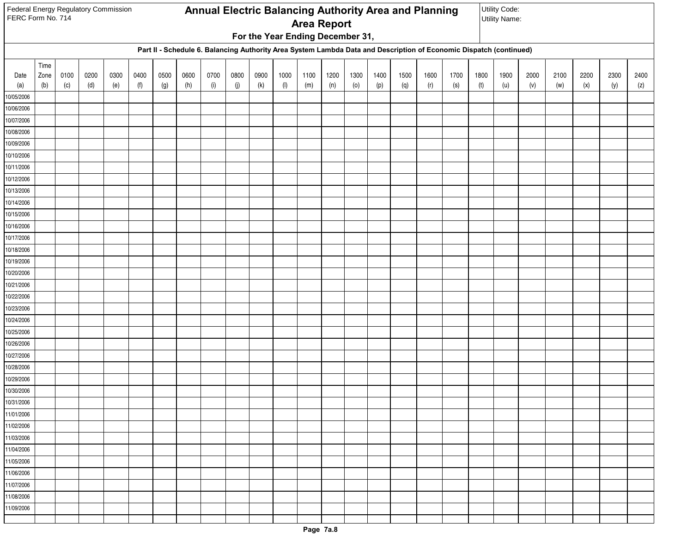| Federal Energy Regulatory Commission<br>FERC Form No. 714 |      |      |      |      |      |      |      |      |      |      |      |                                  |      |      |      | Annual Electric Balancing Authority Area and Planning |                            |                                                                                                                    |      | Utility Code:<br><b>Utility Name:</b> |      |      |      |      |      |
|-----------------------------------------------------------|------|------|------|------|------|------|------|------|------|------|------|----------------------------------|------|------|------|-------------------------------------------------------|----------------------------|--------------------------------------------------------------------------------------------------------------------|------|---------------------------------------|------|------|------|------|------|
|                                                           |      |      |      |      |      |      |      |      |      |      |      | <b>Area Report</b>               |      |      |      |                                                       |                            |                                                                                                                    |      |                                       |      |      |      |      |      |
|                                                           |      |      |      |      |      |      |      |      |      |      |      | For the Year Ending December 31, |      |      |      |                                                       |                            |                                                                                                                    |      |                                       |      |      |      |      |      |
|                                                           |      |      |      |      |      |      |      |      |      |      |      |                                  |      |      |      |                                                       |                            | Part II - Schedule 6. Balancing Authority Area System Lambda Data and Description of Economic Dispatch (continued) |      |                                       |      |      |      |      |      |
|                                                           | Time |      |      |      |      |      |      |      |      |      |      |                                  |      |      |      |                                                       |                            |                                                                                                                    |      |                                       |      |      |      |      |      |
| Date                                                      | Zone | 0100 | 0200 | 0300 | 0400 | 0500 | 0600 | 0700 | 0800 | 0900 | 1000 | 1100                             | 1200 | 1300 | 1400 | 1500                                                  | 1600                       | 1700                                                                                                               | 1800 | 1900                                  | 2000 | 2100 | 2200 | 2300 | 2400 |
| (a)                                                       | (b)  | (c)  | (d)  | (e)  | (f)  | (g)  | (h)  | (i)  | (j)  | (k)  | (1)  | (m)                              | (n)  | (0)  | (p)  | (q)                                                   | $\left( \mathsf{r}\right)$ | (s)                                                                                                                | (t)  | (u)                                   | (v)  | (w)  | (x)  | (y)  | (z)  |
| 10/05/2006                                                |      |      |      |      |      |      |      |      |      |      |      |                                  |      |      |      |                                                       |                            |                                                                                                                    |      |                                       |      |      |      |      |      |
| 10/06/2006<br>10/07/2006                                  |      |      |      |      |      |      |      |      |      |      |      |                                  |      |      |      |                                                       |                            |                                                                                                                    |      |                                       |      |      |      |      |      |
| 10/08/2006                                                |      |      |      |      |      |      |      |      |      |      |      |                                  |      |      |      |                                                       |                            |                                                                                                                    |      |                                       |      |      |      |      |      |
| 10/09/2006                                                |      |      |      |      |      |      |      |      |      |      |      |                                  |      |      |      |                                                       |                            |                                                                                                                    |      |                                       |      |      |      |      |      |
| 10/10/2006                                                |      |      |      |      |      |      |      |      |      |      |      |                                  |      |      |      |                                                       |                            |                                                                                                                    |      |                                       |      |      |      |      |      |
| 10/11/2006                                                |      |      |      |      |      |      |      |      |      |      |      |                                  |      |      |      |                                                       |                            |                                                                                                                    |      |                                       |      |      |      |      |      |
| 10/12/2006                                                |      |      |      |      |      |      |      |      |      |      |      |                                  |      |      |      |                                                       |                            |                                                                                                                    |      |                                       |      |      |      |      |      |
| 10/13/2006                                                |      |      |      |      |      |      |      |      |      |      |      |                                  |      |      |      |                                                       |                            |                                                                                                                    |      |                                       |      |      |      |      |      |
| 10/14/2006                                                |      |      |      |      |      |      |      |      |      |      |      |                                  |      |      |      |                                                       |                            |                                                                                                                    |      |                                       |      |      |      |      |      |
| 10/15/2006                                                |      |      |      |      |      |      |      |      |      |      |      |                                  |      |      |      |                                                       |                            |                                                                                                                    |      |                                       |      |      |      |      |      |
| 10/16/2006                                                |      |      |      |      |      |      |      |      |      |      |      |                                  |      |      |      |                                                       |                            |                                                                                                                    |      |                                       |      |      |      |      |      |
| 10/17/2006                                                |      |      |      |      |      |      |      |      |      |      |      |                                  |      |      |      |                                                       |                            |                                                                                                                    |      |                                       |      |      |      |      |      |
| 10/18/2006                                                |      |      |      |      |      |      |      |      |      |      |      |                                  |      |      |      |                                                       |                            |                                                                                                                    |      |                                       |      |      |      |      |      |
| 10/19/2006                                                |      |      |      |      |      |      |      |      |      |      |      |                                  |      |      |      |                                                       |                            |                                                                                                                    |      |                                       |      |      |      |      |      |
| 10/20/2006                                                |      |      |      |      |      |      |      |      |      |      |      |                                  |      |      |      |                                                       |                            |                                                                                                                    |      |                                       |      |      |      |      |      |
| 10/21/2006                                                |      |      |      |      |      |      |      |      |      |      |      |                                  |      |      |      |                                                       |                            |                                                                                                                    |      |                                       |      |      |      |      |      |
| 10/22/2006                                                |      |      |      |      |      |      |      |      |      |      |      |                                  |      |      |      |                                                       |                            |                                                                                                                    |      |                                       |      |      |      |      |      |
| 10/23/2006                                                |      |      |      |      |      |      |      |      |      |      |      |                                  |      |      |      |                                                       |                            |                                                                                                                    |      |                                       |      |      |      |      |      |
| 10/24/2006                                                |      |      |      |      |      |      |      |      |      |      |      |                                  |      |      |      |                                                       |                            |                                                                                                                    |      |                                       |      |      |      |      |      |
| 10/25/2006                                                |      |      |      |      |      |      |      |      |      |      |      |                                  |      |      |      |                                                       |                            |                                                                                                                    |      |                                       |      |      |      |      |      |
| 10/26/2006                                                |      |      |      |      |      |      |      |      |      |      |      |                                  |      |      |      |                                                       |                            |                                                                                                                    |      |                                       |      |      |      |      |      |
| 10/27/2006                                                |      |      |      |      |      |      |      |      |      |      |      |                                  |      |      |      |                                                       |                            |                                                                                                                    |      |                                       |      |      |      |      |      |
| 10/28/2006                                                |      |      |      |      |      |      |      |      |      |      |      |                                  |      |      |      |                                                       |                            |                                                                                                                    |      |                                       |      |      |      |      |      |
| 10/29/2006                                                |      |      |      |      |      |      |      |      |      |      |      |                                  |      |      |      |                                                       |                            |                                                                                                                    |      |                                       |      |      |      |      |      |
| 10/30/2006                                                |      |      |      |      |      |      |      |      |      |      |      |                                  |      |      |      |                                                       |                            |                                                                                                                    |      |                                       |      |      |      |      |      |
| 10/31/2006<br>11/01/2006                                  |      |      |      |      |      |      |      |      |      |      |      |                                  |      |      |      |                                                       |                            |                                                                                                                    |      |                                       |      |      |      |      |      |
| 11/02/2006                                                |      |      |      |      |      |      |      |      |      |      |      |                                  |      |      |      |                                                       |                            |                                                                                                                    |      |                                       |      |      |      |      |      |
| 11/03/2006                                                |      |      |      |      |      |      |      |      |      |      |      |                                  |      |      |      |                                                       |                            |                                                                                                                    |      |                                       |      |      |      |      |      |
| 11/04/2006                                                |      |      |      |      |      |      |      |      |      |      |      |                                  |      |      |      |                                                       |                            |                                                                                                                    |      |                                       |      |      |      |      |      |
| 11/05/2006                                                |      |      |      |      |      |      |      |      |      |      |      |                                  |      |      |      |                                                       |                            |                                                                                                                    |      |                                       |      |      |      |      |      |
| 11/06/2006                                                |      |      |      |      |      |      |      |      |      |      |      |                                  |      |      |      |                                                       |                            |                                                                                                                    |      |                                       |      |      |      |      |      |
| 11/07/2006                                                |      |      |      |      |      |      |      |      |      |      |      |                                  |      |      |      |                                                       |                            |                                                                                                                    |      |                                       |      |      |      |      |      |
| 11/08/2006                                                |      |      |      |      |      |      |      |      |      |      |      |                                  |      |      |      |                                                       |                            |                                                                                                                    |      |                                       |      |      |      |      |      |
| 11/09/2006                                                |      |      |      |      |      |      |      |      |      |      |      |                                  |      |      |      |                                                       |                            |                                                                                                                    |      |                                       |      |      |      |      |      |
|                                                           |      |      |      |      |      |      |      |      |      |      |      |                                  |      |      |      |                                                       |                            |                                                                                                                    |      |                                       |      |      |      |      |      |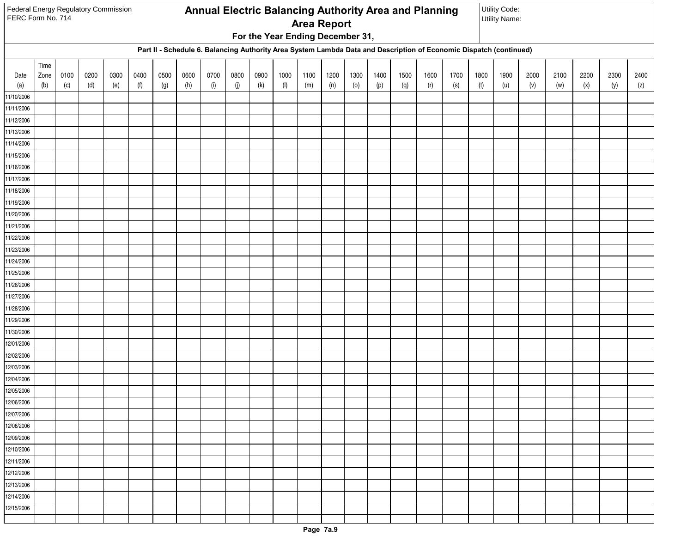| Federal Energy Regulatory Commission<br>FERC Form No. 714 |      |      |      |      |      |      |      |      |      |      |                                  |                    |      |      |      | Annual Electric Balancing Authority Area and Planning |                            |                                                                                                                    |      | Utility Code:<br><b>Utility Name:</b> |      |      |      |      |      |
|-----------------------------------------------------------|------|------|------|------|------|------|------|------|------|------|----------------------------------|--------------------|------|------|------|-------------------------------------------------------|----------------------------|--------------------------------------------------------------------------------------------------------------------|------|---------------------------------------|------|------|------|------|------|
|                                                           |      |      |      |      |      |      |      |      |      |      |                                  | <b>Area Report</b> |      |      |      |                                                       |                            |                                                                                                                    |      |                                       |      |      |      |      |      |
|                                                           |      |      |      |      |      |      |      |      |      |      | For the Year Ending December 31, |                    |      |      |      |                                                       |                            |                                                                                                                    |      |                                       |      |      |      |      |      |
|                                                           |      |      |      |      |      |      |      |      |      |      |                                  |                    |      |      |      |                                                       |                            | Part II - Schedule 6. Balancing Authority Area System Lambda Data and Description of Economic Dispatch (continued) |      |                                       |      |      |      |      |      |
|                                                           | Time |      |      |      |      |      |      |      |      |      |                                  |                    |      |      |      |                                                       |                            |                                                                                                                    |      |                                       |      |      |      |      |      |
| Date                                                      | Zone | 0100 | 0200 | 0300 | 0400 | 0500 | 0600 | 0700 | 0800 | 0900 | 1000                             | 1100               | 1200 | 1300 | 1400 | 1500                                                  | 1600                       | 1700                                                                                                               | 1800 | 1900                                  | 2000 | 2100 | 2200 | 2300 | 2400 |
| (a)                                                       | (b)  | (c)  | (d)  | (e)  | (f)  | (g)  | (h)  | (i)  | (j)  | (k)  | $(\mathsf{I})$                   | (m)                | (n)  | (0)  | (p)  | (q)                                                   | $\left( \mathsf{r}\right)$ | (s)                                                                                                                | (t)  | (u)                                   | (v)  | (w)  | (x)  | (y)  | (z)  |
| 11/10/2006                                                |      |      |      |      |      |      |      |      |      |      |                                  |                    |      |      |      |                                                       |                            |                                                                                                                    |      |                                       |      |      |      |      |      |
| 11/11/2006                                                |      |      |      |      |      |      |      |      |      |      |                                  |                    |      |      |      |                                                       |                            |                                                                                                                    |      |                                       |      |      |      |      |      |
| 11/12/2006<br>11/13/2006                                  |      |      |      |      |      |      |      |      |      |      |                                  |                    |      |      |      |                                                       |                            |                                                                                                                    |      |                                       |      |      |      |      |      |
| 11/14/2006                                                |      |      |      |      |      |      |      |      |      |      |                                  |                    |      |      |      |                                                       |                            |                                                                                                                    |      |                                       |      |      |      |      |      |
| 11/15/2006                                                |      |      |      |      |      |      |      |      |      |      |                                  |                    |      |      |      |                                                       |                            |                                                                                                                    |      |                                       |      |      |      |      |      |
| 11/16/2006                                                |      |      |      |      |      |      |      |      |      |      |                                  |                    |      |      |      |                                                       |                            |                                                                                                                    |      |                                       |      |      |      |      |      |
| 11/17/2006                                                |      |      |      |      |      |      |      |      |      |      |                                  |                    |      |      |      |                                                       |                            |                                                                                                                    |      |                                       |      |      |      |      |      |
| 11/18/2006                                                |      |      |      |      |      |      |      |      |      |      |                                  |                    |      |      |      |                                                       |                            |                                                                                                                    |      |                                       |      |      |      |      |      |
| 11/19/2006                                                |      |      |      |      |      |      |      |      |      |      |                                  |                    |      |      |      |                                                       |                            |                                                                                                                    |      |                                       |      |      |      |      |      |
| 11/20/2006                                                |      |      |      |      |      |      |      |      |      |      |                                  |                    |      |      |      |                                                       |                            |                                                                                                                    |      |                                       |      |      |      |      |      |
| 11/21/2006                                                |      |      |      |      |      |      |      |      |      |      |                                  |                    |      |      |      |                                                       |                            |                                                                                                                    |      |                                       |      |      |      |      |      |
| 11/22/2006                                                |      |      |      |      |      |      |      |      |      |      |                                  |                    |      |      |      |                                                       |                            |                                                                                                                    |      |                                       |      |      |      |      |      |
| 11/23/2006                                                |      |      |      |      |      |      |      |      |      |      |                                  |                    |      |      |      |                                                       |                            |                                                                                                                    |      |                                       |      |      |      |      |      |
| 11/24/2006                                                |      |      |      |      |      |      |      |      |      |      |                                  |                    |      |      |      |                                                       |                            |                                                                                                                    |      |                                       |      |      |      |      |      |
| 11/25/2006                                                |      |      |      |      |      |      |      |      |      |      |                                  |                    |      |      |      |                                                       |                            |                                                                                                                    |      |                                       |      |      |      |      |      |
| 11/26/2006                                                |      |      |      |      |      |      |      |      |      |      |                                  |                    |      |      |      |                                                       |                            |                                                                                                                    |      |                                       |      |      |      |      |      |
| 11/27/2006                                                |      |      |      |      |      |      |      |      |      |      |                                  |                    |      |      |      |                                                       |                            |                                                                                                                    |      |                                       |      |      |      |      |      |
| 11/28/2006                                                |      |      |      |      |      |      |      |      |      |      |                                  |                    |      |      |      |                                                       |                            |                                                                                                                    |      |                                       |      |      |      |      |      |
| 11/29/2006                                                |      |      |      |      |      |      |      |      |      |      |                                  |                    |      |      |      |                                                       |                            |                                                                                                                    |      |                                       |      |      |      |      |      |
| 11/30/2006                                                |      |      |      |      |      |      |      |      |      |      |                                  |                    |      |      |      |                                                       |                            |                                                                                                                    |      |                                       |      |      |      |      |      |
| 12/01/2006<br>12/02/2006                                  |      |      |      |      |      |      |      |      |      |      |                                  |                    |      |      |      |                                                       |                            |                                                                                                                    |      |                                       |      |      |      |      |      |
| 12/03/2006                                                |      |      |      |      |      |      |      |      |      |      |                                  |                    |      |      |      |                                                       |                            |                                                                                                                    |      |                                       |      |      |      |      |      |
| 12/04/2006                                                |      |      |      |      |      |      |      |      |      |      |                                  |                    |      |      |      |                                                       |                            |                                                                                                                    |      |                                       |      |      |      |      |      |
| 12/05/2006                                                |      |      |      |      |      |      |      |      |      |      |                                  |                    |      |      |      |                                                       |                            |                                                                                                                    |      |                                       |      |      |      |      |      |
| 12/06/2006                                                |      |      |      |      |      |      |      |      |      |      |                                  |                    |      |      |      |                                                       |                            |                                                                                                                    |      |                                       |      |      |      |      |      |
| 12/07/2006                                                |      |      |      |      |      |      |      |      |      |      |                                  |                    |      |      |      |                                                       |                            |                                                                                                                    |      |                                       |      |      |      |      |      |
| 12/08/2006                                                |      |      |      |      |      |      |      |      |      |      |                                  |                    |      |      |      |                                                       |                            |                                                                                                                    |      |                                       |      |      |      |      |      |
| 12/09/2006                                                |      |      |      |      |      |      |      |      |      |      |                                  |                    |      |      |      |                                                       |                            |                                                                                                                    |      |                                       |      |      |      |      |      |
| 12/10/2006                                                |      |      |      |      |      |      |      |      |      |      |                                  |                    |      |      |      |                                                       |                            |                                                                                                                    |      |                                       |      |      |      |      |      |
| 12/11/2006                                                |      |      |      |      |      |      |      |      |      |      |                                  |                    |      |      |      |                                                       |                            |                                                                                                                    |      |                                       |      |      |      |      |      |
| 12/12/2006                                                |      |      |      |      |      |      |      |      |      |      |                                  |                    |      |      |      |                                                       |                            |                                                                                                                    |      |                                       |      |      |      |      |      |
| 12/13/2006                                                |      |      |      |      |      |      |      |      |      |      |                                  |                    |      |      |      |                                                       |                            |                                                                                                                    |      |                                       |      |      |      |      |      |
| 12/14/2006                                                |      |      |      |      |      |      |      |      |      |      |                                  |                    |      |      |      |                                                       |                            |                                                                                                                    |      |                                       |      |      |      |      |      |
| 12/15/2006                                                |      |      |      |      |      |      |      |      |      |      |                                  |                    |      |      |      |                                                       |                            |                                                                                                                    |      |                                       |      |      |      |      |      |
|                                                           |      |      |      |      |      |      |      |      |      |      |                                  |                    |      |      |      |                                                       |                            |                                                                                                                    |      |                                       |      |      |      |      |      |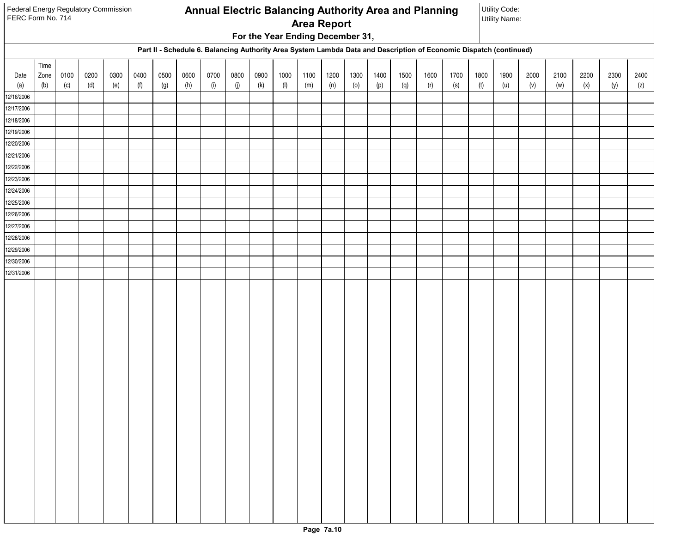| Federal Energy Regulatory Commission<br>FERC Form No. 714 |                     |             |             |             |             |             |             |             |             |             |                                  | <b>Area Report</b> |             |             |             |             | <b>Annual Electric Balancing Authority Area and Planning</b>                                                       |             |             | Utility Code:<br><b>Utility Name:</b> |             |             |             |             |      |
|-----------------------------------------------------------|---------------------|-------------|-------------|-------------|-------------|-------------|-------------|-------------|-------------|-------------|----------------------------------|--------------------|-------------|-------------|-------------|-------------|--------------------------------------------------------------------------------------------------------------------|-------------|-------------|---------------------------------------|-------------|-------------|-------------|-------------|------|
|                                                           |                     |             |             |             |             |             |             |             |             |             | For the Year Ending December 31, |                    |             |             |             |             |                                                                                                                    |             |             |                                       |             |             |             |             |      |
|                                                           |                     |             |             |             |             |             |             |             |             |             |                                  |                    |             |             |             |             | Part II - Schedule 6. Balancing Authority Area System Lambda Data and Description of Economic Dispatch (continued) |             |             |                                       |             |             |             |             |      |
| Date<br>(a)                                               | Time<br>Zone<br>(b) | 0100<br>(c) | 0200<br>(d) | 0300<br>(e) | 0400<br>(f) | 0500<br>(g) | 0600<br>(h) | 0700<br>(i) | 0800<br>(j) | 0900<br>(k) | 1000<br>(1)                      | 1100<br>(m)        | 1200<br>(n) | 1300<br>(0) | 1400<br>(p) | 1500<br>(q) | 1600<br>(r)                                                                                                        | 1700<br>(s) | 1800<br>(t) | 1900<br>(u)                           | 2000<br>(v) | 2100<br>(w) | 2200<br>(x) | 2300<br>(y) | 2400 |
| 12/16/2006                                                |                     |             |             |             |             |             |             |             |             |             |                                  |                    |             |             |             |             |                                                                                                                    |             |             |                                       |             |             |             |             | (z)  |
| 12/17/2006                                                |                     |             |             |             |             |             |             |             |             |             |                                  |                    |             |             |             |             |                                                                                                                    |             |             |                                       |             |             |             |             |      |
| 12/18/2006                                                |                     |             |             |             |             |             |             |             |             |             |                                  |                    |             |             |             |             |                                                                                                                    |             |             |                                       |             |             |             |             |      |
| 12/19/2006                                                |                     |             |             |             |             |             |             |             |             |             |                                  |                    |             |             |             |             |                                                                                                                    |             |             |                                       |             |             |             |             |      |
| 12/20/2006                                                |                     |             |             |             |             |             |             |             |             |             |                                  |                    |             |             |             |             |                                                                                                                    |             |             |                                       |             |             |             |             |      |
| 12/21/2006                                                |                     |             |             |             |             |             |             |             |             |             |                                  |                    |             |             |             |             |                                                                                                                    |             |             |                                       |             |             |             |             |      |
| 12/22/2006                                                |                     |             |             |             |             |             |             |             |             |             |                                  |                    |             |             |             |             |                                                                                                                    |             |             |                                       |             |             |             |             |      |
| 12/23/2006                                                |                     |             |             |             |             |             |             |             |             |             |                                  |                    |             |             |             |             |                                                                                                                    |             |             |                                       |             |             |             |             |      |
| 12/24/2006                                                |                     |             |             |             |             |             |             |             |             |             |                                  |                    |             |             |             |             |                                                                                                                    |             |             |                                       |             |             |             |             |      |
| 12/25/2006                                                |                     |             |             |             |             |             |             |             |             |             |                                  |                    |             |             |             |             |                                                                                                                    |             |             |                                       |             |             |             |             |      |
| 12/26/2006                                                |                     |             |             |             |             |             |             |             |             |             |                                  |                    |             |             |             |             |                                                                                                                    |             |             |                                       |             |             |             |             |      |
| 12/27/2006                                                |                     |             |             |             |             |             |             |             |             |             |                                  |                    |             |             |             |             |                                                                                                                    |             |             |                                       |             |             |             |             |      |
| 12/28/2006                                                |                     |             |             |             |             |             |             |             |             |             |                                  |                    |             |             |             |             |                                                                                                                    |             |             |                                       |             |             |             |             |      |
| 12/29/2006                                                |                     |             |             |             |             |             |             |             |             |             |                                  |                    |             |             |             |             |                                                                                                                    |             |             |                                       |             |             |             |             |      |
| 12/30/2006                                                |                     |             |             |             |             |             |             |             |             |             |                                  |                    |             |             |             |             |                                                                                                                    |             |             |                                       |             |             |             |             |      |
| 12/31/2006                                                |                     |             |             |             |             |             |             |             |             |             |                                  |                    |             |             |             |             |                                                                                                                    |             |             |                                       |             |             |             |             |      |
|                                                           |                     |             |             |             |             |             |             |             |             |             |                                  |                    |             |             |             |             |                                                                                                                    |             |             |                                       |             |             |             |             |      |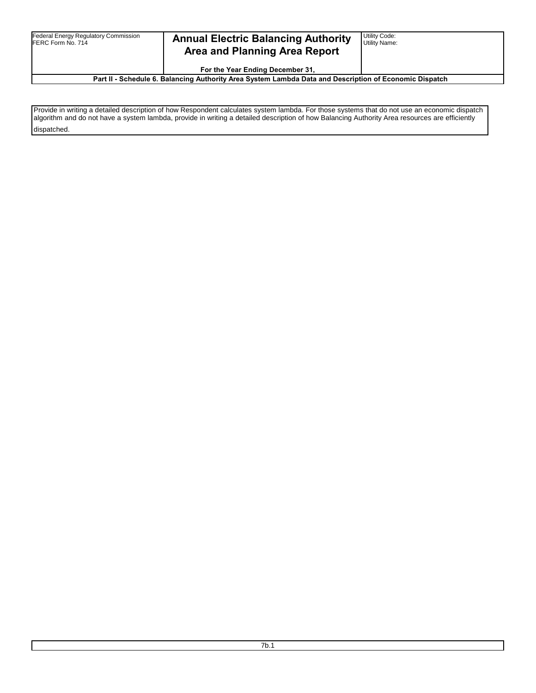| <b>Federal Energy Regulatory Commission</b><br>FERC Form No. 714 | <b>Annual Electric Balancing Authority</b><br><b>Area and Planning Area Report</b><br>For the Year Ending December 31, | Utility Code:<br><b>Utility Name:</b> |
|------------------------------------------------------------------|------------------------------------------------------------------------------------------------------------------------|---------------------------------------|
|                                                                  | Part II - Schedule 6. Balancing Authority Area System Lambda Data and Description of Economic Dispatch                 |                                       |

Provide in writing a detailed description of how Respondent calculates system lambda. For those systems that do not use an economic dispatch algorithm and do not have a system lambda, provide in writing a detailed description of how Balancing Authority Area resources are efficiently dispatched.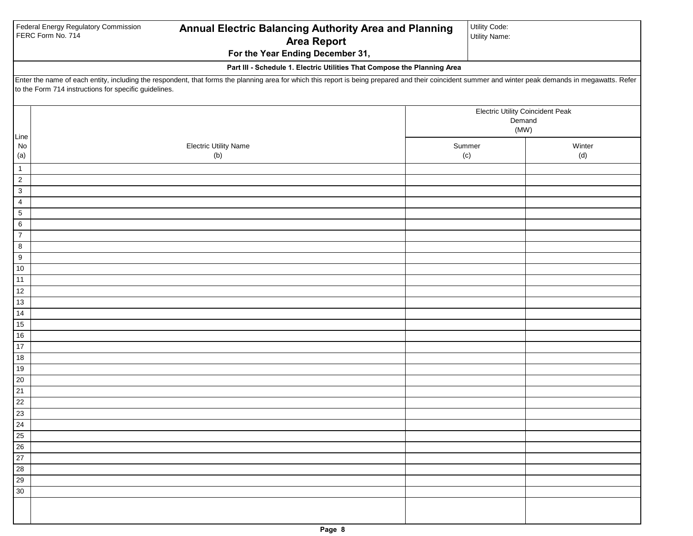|                               | Federal Energy Regulatory Commission<br>FERC Form No. 714 | Annual Electric Balancing Authority Area and Planning                                                                                                                                                 | Utility Code:<br><b>Utility Name:</b>   |        |
|-------------------------------|-----------------------------------------------------------|-------------------------------------------------------------------------------------------------------------------------------------------------------------------------------------------------------|-----------------------------------------|--------|
|                               |                                                           | <b>Area Report</b><br>For the Year Ending December 31,                                                                                                                                                |                                         |        |
|                               |                                                           |                                                                                                                                                                                                       |                                         |        |
|                               |                                                           | Part III - Schedule 1. Electric Utilities That Compose the Planning Area                                                                                                                              |                                         |        |
|                               | to the Form 714 instructions for specific guidelines.     | Enter the name of each entity, including the respondent, that forms the planning area for which this report is being prepared and their coincident summer and winter peak demands in megawatts. Refer |                                         |        |
|                               |                                                           |                                                                                                                                                                                                       |                                         |        |
|                               |                                                           |                                                                                                                                                                                                       | <b>Electric Utility Coincident Peak</b> |        |
|                               |                                                           |                                                                                                                                                                                                       | Demand                                  |        |
| Line                          |                                                           |                                                                                                                                                                                                       | (MW)                                    |        |
| $\mathsf{No}$                 |                                                           | <b>Electric Utility Name</b>                                                                                                                                                                          | Summer                                  | Winter |
| (a)                           |                                                           | (b)                                                                                                                                                                                                   | (c)                                     | (d)    |
| $\mathbf{1}$                  |                                                           |                                                                                                                                                                                                       |                                         |        |
| $\sqrt{2}$                    |                                                           |                                                                                                                                                                                                       |                                         |        |
| $\mathbf{3}$                  |                                                           |                                                                                                                                                                                                       |                                         |        |
| $\overline{4}$<br>$\,$ 5 $\,$ |                                                           |                                                                                                                                                                                                       |                                         |        |
| 6                             |                                                           |                                                                                                                                                                                                       |                                         |        |
| $\overline{7}$                |                                                           |                                                                                                                                                                                                       |                                         |        |
| 8                             |                                                           |                                                                                                                                                                                                       |                                         |        |
| $\boldsymbol{9}$              |                                                           |                                                                                                                                                                                                       |                                         |        |
| $10$                          |                                                           |                                                                                                                                                                                                       |                                         |        |
| 11                            |                                                           |                                                                                                                                                                                                       |                                         |        |
| 12                            |                                                           |                                                                                                                                                                                                       |                                         |        |
| 13                            |                                                           |                                                                                                                                                                                                       |                                         |        |
| 14                            |                                                           |                                                                                                                                                                                                       |                                         |        |
| 15                            |                                                           |                                                                                                                                                                                                       |                                         |        |
| $16$                          |                                                           |                                                                                                                                                                                                       |                                         |        |
| 17<br>18                      |                                                           |                                                                                                                                                                                                       |                                         |        |
| $19$                          |                                                           |                                                                                                                                                                                                       |                                         |        |
| 20                            |                                                           |                                                                                                                                                                                                       |                                         |        |
| 21                            |                                                           |                                                                                                                                                                                                       |                                         |        |
| 22                            |                                                           |                                                                                                                                                                                                       |                                         |        |
| $\overline{23}$               |                                                           |                                                                                                                                                                                                       |                                         |        |
| 24                            |                                                           |                                                                                                                                                                                                       |                                         |        |
| 25                            |                                                           |                                                                                                                                                                                                       |                                         |        |
| 26                            |                                                           |                                                                                                                                                                                                       |                                         |        |
| 27                            |                                                           |                                                                                                                                                                                                       |                                         |        |
| 28                            |                                                           |                                                                                                                                                                                                       |                                         |        |
| 29                            |                                                           |                                                                                                                                                                                                       |                                         |        |
| 30                            |                                                           |                                                                                                                                                                                                       |                                         |        |
|                               |                                                           |                                                                                                                                                                                                       |                                         |        |
|                               |                                                           |                                                                                                                                                                                                       |                                         |        |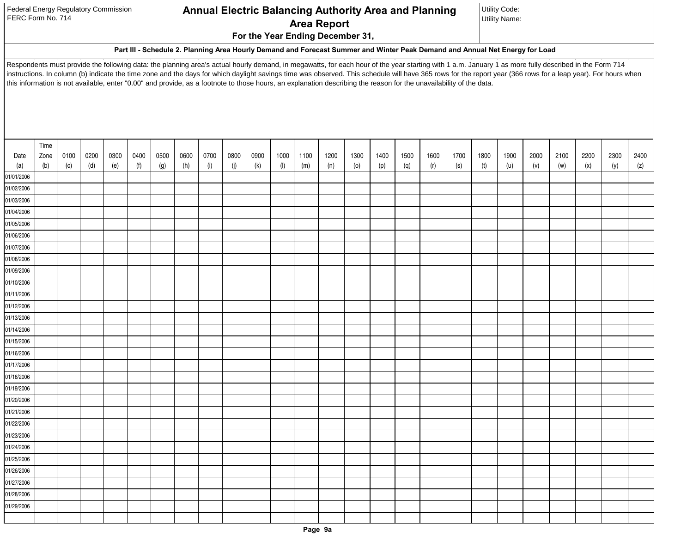| <b>Federal Energy Regulatory Commission</b> |  |
|---------------------------------------------|--|
| FERC Form No. 714                           |  |

## **For the Year Ending December 31, Annual Electric Balancing Authority Area and Planning Area Report**

Utility Code: Utility Name:

#### **Part III - Schedule 2. Planning Area Hourly Demand and Forecast Summer and Winter Peak Demand and Annual Net Energy for Load**

Respondents must provide the following data: the planning area's actual hourly demand, in megawatts, for each hour of the year starting with 1 a.m. January 1 as more fully described in the Form 714 instructions. In column (b) indicate the time zone and the days for which daylight savings time was observed. This schedule will have 365 rows for the report year (366 rows for a leap year). For hours when this information is not available, enter "0.00" and provide, as a footnote to those hours, an explanation describing the reason for the unavailability of the data.

|             | Time        |             |             |             |             |             |             |             |             |             |             |             |             |             |             |             |             |             |             |             |             |             |             |             |             |
|-------------|-------------|-------------|-------------|-------------|-------------|-------------|-------------|-------------|-------------|-------------|-------------|-------------|-------------|-------------|-------------|-------------|-------------|-------------|-------------|-------------|-------------|-------------|-------------|-------------|-------------|
| Date<br>(a) | Zone<br>(b) | 0100<br>(c) | 0200<br>(d) | 0300<br>(e) | 0400<br>(f) | 0500<br>(g) | 0600<br>(h) | 0700<br>(i) | 0800<br>(j) | 0900<br>(k) | 1000<br>(1) | 1100<br>(m) | 1200<br>(n) | 1300<br>(0) | 1400<br>(p) | 1500<br>(q) | 1600<br>(r) | 1700<br>(s) | 1800<br>(t) | 1900<br>(u) | 2000<br>(v) | 2100<br>(w) | 2200<br>(x) | 2300<br>(y) | 2400<br>(z) |
| 01/01/2006  |             |             |             |             |             |             |             |             |             |             |             |             |             |             |             |             |             |             |             |             |             |             |             |             |             |
| 01/02/2006  |             |             |             |             |             |             |             |             |             |             |             |             |             |             |             |             |             |             |             |             |             |             |             |             |             |
| 01/03/2006  |             |             |             |             |             |             |             |             |             |             |             |             |             |             |             |             |             |             |             |             |             |             |             |             |             |
| 01/04/2006  |             |             |             |             |             |             |             |             |             |             |             |             |             |             |             |             |             |             |             |             |             |             |             |             |             |
| 01/05/2006  |             |             |             |             |             |             |             |             |             |             |             |             |             |             |             |             |             |             |             |             |             |             |             |             |             |
| 01/06/2006  |             |             |             |             |             |             |             |             |             |             |             |             |             |             |             |             |             |             |             |             |             |             |             |             |             |
| 01/07/2006  |             |             |             |             |             |             |             |             |             |             |             |             |             |             |             |             |             |             |             |             |             |             |             |             |             |
| 01/08/2006  |             |             |             |             |             |             |             |             |             |             |             |             |             |             |             |             |             |             |             |             |             |             |             |             |             |
| 01/09/2006  |             |             |             |             |             |             |             |             |             |             |             |             |             |             |             |             |             |             |             |             |             |             |             |             |             |
| 01/10/2006  |             |             |             |             |             |             |             |             |             |             |             |             |             |             |             |             |             |             |             |             |             |             |             |             |             |
| 01/11/2006  |             |             |             |             |             |             |             |             |             |             |             |             |             |             |             |             |             |             |             |             |             |             |             |             |             |
| 01/12/2006  |             |             |             |             |             |             |             |             |             |             |             |             |             |             |             |             |             |             |             |             |             |             |             |             |             |
| 01/13/2006  |             |             |             |             |             |             |             |             |             |             |             |             |             |             |             |             |             |             |             |             |             |             |             |             |             |
| 01/14/2006  |             |             |             |             |             |             |             |             |             |             |             |             |             |             |             |             |             |             |             |             |             |             |             |             |             |
| 01/15/2006  |             |             |             |             |             |             |             |             |             |             |             |             |             |             |             |             |             |             |             |             |             |             |             |             |             |
| 01/16/2006  |             |             |             |             |             |             |             |             |             |             |             |             |             |             |             |             |             |             |             |             |             |             |             |             |             |
| 01/17/2006  |             |             |             |             |             |             |             |             |             |             |             |             |             |             |             |             |             |             |             |             |             |             |             |             |             |
| 01/18/2006  |             |             |             |             |             |             |             |             |             |             |             |             |             |             |             |             |             |             |             |             |             |             |             |             |             |
| 01/19/2006  |             |             |             |             |             |             |             |             |             |             |             |             |             |             |             |             |             |             |             |             |             |             |             |             |             |
| 01/20/2006  |             |             |             |             |             |             |             |             |             |             |             |             |             |             |             |             |             |             |             |             |             |             |             |             |             |
| 01/21/2006  |             |             |             |             |             |             |             |             |             |             |             |             |             |             |             |             |             |             |             |             |             |             |             |             |             |
| 01/22/2006  |             |             |             |             |             |             |             |             |             |             |             |             |             |             |             |             |             |             |             |             |             |             |             |             |             |
| 01/23/2006  |             |             |             |             |             |             |             |             |             |             |             |             |             |             |             |             |             |             |             |             |             |             |             |             |             |
| 01/24/2006  |             |             |             |             |             |             |             |             |             |             |             |             |             |             |             |             |             |             |             |             |             |             |             |             |             |
| 01/25/2006  |             |             |             |             |             |             |             |             |             |             |             |             |             |             |             |             |             |             |             |             |             |             |             |             |             |
| 01/26/2006  |             |             |             |             |             |             |             |             |             |             |             |             |             |             |             |             |             |             |             |             |             |             |             |             |             |
| 01/27/2006  |             |             |             |             |             |             |             |             |             |             |             |             |             |             |             |             |             |             |             |             |             |             |             |             |             |
| 01/28/2006  |             |             |             |             |             |             |             |             |             |             |             |             |             |             |             |             |             |             |             |             |             |             |             |             |             |
| 01/29/2006  |             |             |             |             |             |             |             |             |             |             |             |             |             |             |             |             |             |             |             |             |             |             |             |             |             |
|             |             |             |             |             |             |             |             |             |             |             |             |             |             |             |             |             |             |             |             |             |             |             |             |             |             |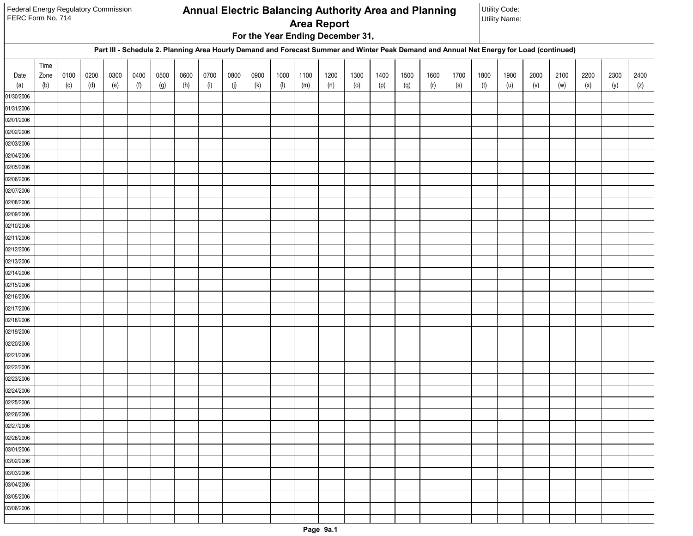| Federal Energy Regulatory Commission<br>FERC Form No. 714 |             |             |             |             |             |             |             |             |             |             |                        |             | <b>Area Report</b>               |             |             |             | Annual Electric Balancing Authority Area and Planning                                                                                    |             |             | Utility Code:<br><b>Utility Name:</b> |             |             |             |             |             |
|-----------------------------------------------------------|-------------|-------------|-------------|-------------|-------------|-------------|-------------|-------------|-------------|-------------|------------------------|-------------|----------------------------------|-------------|-------------|-------------|------------------------------------------------------------------------------------------------------------------------------------------|-------------|-------------|---------------------------------------|-------------|-------------|-------------|-------------|-------------|
|                                                           |             |             |             |             |             |             |             |             |             |             |                        |             | For the Year Ending December 31, |             |             |             |                                                                                                                                          |             |             |                                       |             |             |             |             |             |
|                                                           |             |             |             |             |             |             |             |             |             |             |                        |             |                                  |             |             |             | Part III - Schedule 2. Planning Area Hourly Demand and Forecast Summer and Winter Peak Demand and Annual Net Energy for Load (continued) |             |             |                                       |             |             |             |             |             |
|                                                           | Time        |             |             |             |             |             |             |             |             |             |                        |             |                                  |             |             |             |                                                                                                                                          |             |             |                                       |             |             |             |             |             |
| Date<br>(a)                                               | Zone<br>(b) | 0100<br>(c) | 0200<br>(d) | 0300<br>(e) | 0400<br>(f) | 0500<br>(g) | 0600<br>(h) | 0700<br>(i) | 0800<br>(j) | 0900<br>(k) | 1000<br>$(\mathsf{I})$ | 1100<br>(m) | 1200<br>(n)                      | 1300<br>(0) | 1400<br>(p) | 1500<br>(q) | 1600<br>(r)                                                                                                                              | 1700<br>(s) | 1800<br>(t) | 1900<br>(u)                           | 2000<br>(v) | 2100<br>(w) | 2200<br>(x) | 2300<br>(y) | 2400<br>(z) |
| 01/30/2006                                                |             |             |             |             |             |             |             |             |             |             |                        |             |                                  |             |             |             |                                                                                                                                          |             |             |                                       |             |             |             |             |             |
| 01/31/2006                                                |             |             |             |             |             |             |             |             |             |             |                        |             |                                  |             |             |             |                                                                                                                                          |             |             |                                       |             |             |             |             |             |
| 02/01/2006                                                |             |             |             |             |             |             |             |             |             |             |                        |             |                                  |             |             |             |                                                                                                                                          |             |             |                                       |             |             |             |             |             |
| 02/02/2006                                                |             |             |             |             |             |             |             |             |             |             |                        |             |                                  |             |             |             |                                                                                                                                          |             |             |                                       |             |             |             |             |             |
| 02/03/2006                                                |             |             |             |             |             |             |             |             |             |             |                        |             |                                  |             |             |             |                                                                                                                                          |             |             |                                       |             |             |             |             |             |
| 02/04/2006                                                |             |             |             |             |             |             |             |             |             |             |                        |             |                                  |             |             |             |                                                                                                                                          |             |             |                                       |             |             |             |             |             |
| 02/05/2006                                                |             |             |             |             |             |             |             |             |             |             |                        |             |                                  |             |             |             |                                                                                                                                          |             |             |                                       |             |             |             |             |             |
| 02/06/2006                                                |             |             |             |             |             |             |             |             |             |             |                        |             |                                  |             |             |             |                                                                                                                                          |             |             |                                       |             |             |             |             |             |
| 02/07/2006                                                |             |             |             |             |             |             |             |             |             |             |                        |             |                                  |             |             |             |                                                                                                                                          |             |             |                                       |             |             |             |             |             |
| 02/08/2006                                                |             |             |             |             |             |             |             |             |             |             |                        |             |                                  |             |             |             |                                                                                                                                          |             |             |                                       |             |             |             |             |             |
| 02/09/2006                                                |             |             |             |             |             |             |             |             |             |             |                        |             |                                  |             |             |             |                                                                                                                                          |             |             |                                       |             |             |             |             |             |
| 02/10/2006                                                |             |             |             |             |             |             |             |             |             |             |                        |             |                                  |             |             |             |                                                                                                                                          |             |             |                                       |             |             |             |             |             |
| 02/11/2006                                                |             |             |             |             |             |             |             |             |             |             |                        |             |                                  |             |             |             |                                                                                                                                          |             |             |                                       |             |             |             |             |             |
| 02/12/2006                                                |             |             |             |             |             |             |             |             |             |             |                        |             |                                  |             |             |             |                                                                                                                                          |             |             |                                       |             |             |             |             |             |
| 02/13/2006                                                |             |             |             |             |             |             |             |             |             |             |                        |             |                                  |             |             |             |                                                                                                                                          |             |             |                                       |             |             |             |             |             |
| 02/14/2006                                                |             |             |             |             |             |             |             |             |             |             |                        |             |                                  |             |             |             |                                                                                                                                          |             |             |                                       |             |             |             |             |             |
| 02/15/2006                                                |             |             |             |             |             |             |             |             |             |             |                        |             |                                  |             |             |             |                                                                                                                                          |             |             |                                       |             |             |             |             |             |
| 02/16/2006<br>02/17/2006                                  |             |             |             |             |             |             |             |             |             |             |                        |             |                                  |             |             |             |                                                                                                                                          |             |             |                                       |             |             |             |             |             |
| 02/18/2006                                                |             |             |             |             |             |             |             |             |             |             |                        |             |                                  |             |             |             |                                                                                                                                          |             |             |                                       |             |             |             |             |             |
| 02/19/2006                                                |             |             |             |             |             |             |             |             |             |             |                        |             |                                  |             |             |             |                                                                                                                                          |             |             |                                       |             |             |             |             |             |
| 02/20/2006                                                |             |             |             |             |             |             |             |             |             |             |                        |             |                                  |             |             |             |                                                                                                                                          |             |             |                                       |             |             |             |             |             |
| 02/21/2006                                                |             |             |             |             |             |             |             |             |             |             |                        |             |                                  |             |             |             |                                                                                                                                          |             |             |                                       |             |             |             |             |             |
| 02/22/2006                                                |             |             |             |             |             |             |             |             |             |             |                        |             |                                  |             |             |             |                                                                                                                                          |             |             |                                       |             |             |             |             |             |
| 02/23/2006                                                |             |             |             |             |             |             |             |             |             |             |                        |             |                                  |             |             |             |                                                                                                                                          |             |             |                                       |             |             |             |             |             |
| 02/24/2006                                                |             |             |             |             |             |             |             |             |             |             |                        |             |                                  |             |             |             |                                                                                                                                          |             |             |                                       |             |             |             |             |             |
| 02/25/2006                                                |             |             |             |             |             |             |             |             |             |             |                        |             |                                  |             |             |             |                                                                                                                                          |             |             |                                       |             |             |             |             |             |
| 02/26/2006                                                |             |             |             |             |             |             |             |             |             |             |                        |             |                                  |             |             |             |                                                                                                                                          |             |             |                                       |             |             |             |             |             |
| 02/27/2006                                                |             |             |             |             |             |             |             |             |             |             |                        |             |                                  |             |             |             |                                                                                                                                          |             |             |                                       |             |             |             |             |             |
| 02/28/2006                                                |             |             |             |             |             |             |             |             |             |             |                        |             |                                  |             |             |             |                                                                                                                                          |             |             |                                       |             |             |             |             |             |
| 03/01/2006                                                |             |             |             |             |             |             |             |             |             |             |                        |             |                                  |             |             |             |                                                                                                                                          |             |             |                                       |             |             |             |             |             |
| 03/02/2006                                                |             |             |             |             |             |             |             |             |             |             |                        |             |                                  |             |             |             |                                                                                                                                          |             |             |                                       |             |             |             |             |             |
| 03/03/2006                                                |             |             |             |             |             |             |             |             |             |             |                        |             |                                  |             |             |             |                                                                                                                                          |             |             |                                       |             |             |             |             |             |
| 03/04/2006                                                |             |             |             |             |             |             |             |             |             |             |                        |             |                                  |             |             |             |                                                                                                                                          |             |             |                                       |             |             |             |             |             |
| 03/05/2006                                                |             |             |             |             |             |             |             |             |             |             |                        |             |                                  |             |             |             |                                                                                                                                          |             |             |                                       |             |             |             |             |             |
| 03/06/2006                                                |             |             |             |             |             |             |             |             |             |             |                        |             |                                  |             |             |             |                                                                                                                                          |             |             |                                       |             |             |             |             |             |
|                                                           |             |             |             |             |             |             |             |             |             |             |                        |             |                                  |             |             |             |                                                                                                                                          |             |             |                                       |             |             |             |             |             |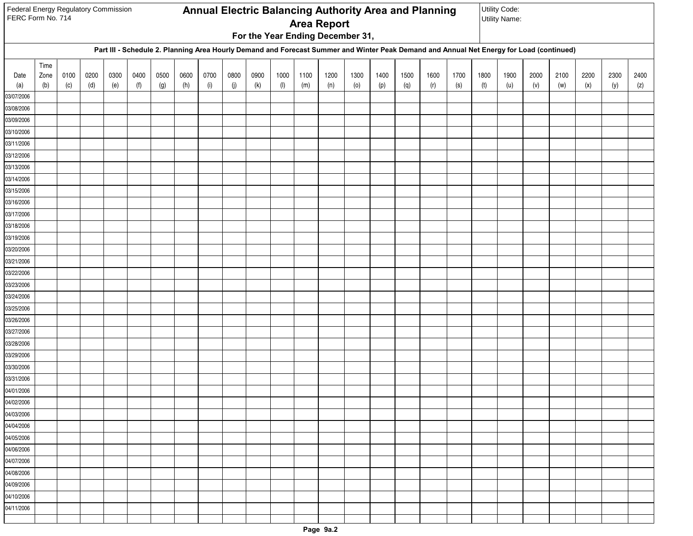| Federal Energy Regulatory Commission<br>FERC Form No. 714 |      |      |      |      |      |      |      |            |      |      |           |      | <b>Area Report</b><br>For the Year Ending December 31, |      |      |      | Annual Electric Balancing Authority Area and Planning                                                                                    |      |      | Utility Code:<br><b>Utility Name:</b> |      |      |      |      |      |
|-----------------------------------------------------------|------|------|------|------|------|------|------|------------|------|------|-----------|------|--------------------------------------------------------|------|------|------|------------------------------------------------------------------------------------------------------------------------------------------|------|------|---------------------------------------|------|------|------|------|------|
|                                                           |      |      |      |      |      |      |      |            |      |      |           |      |                                                        |      |      |      | Part III - Schedule 2. Planning Area Hourly Demand and Forecast Summer and Winter Peak Demand and Annual Net Energy for Load (continued) |      |      |                                       |      |      |      |      |      |
|                                                           | Time |      |      |      |      |      |      |            |      |      |           |      |                                                        |      |      |      |                                                                                                                                          |      |      |                                       |      |      |      |      |      |
| Date                                                      | Zone | 0100 | 0200 | 0300 | 0400 | 0500 | 0600 | 0700       | 0800 | 0900 | 1000      | 1100 | 1200                                                   | 1300 | 1400 | 1500 | 1600                                                                                                                                     | 1700 | 1800 | 1900                                  | 2000 | 2100 | 2200 | 2300 | 2400 |
| (a)<br>03/07/2006                                         | (b)  | (c)  | (d)  | (e)  | (f)  | (g)  | (h)  | $(\sf{i})$ | (j)  | (k)  | $($ l $)$ | (m)  | (n)                                                    | (0)  | (p)  | (q)  | (r)                                                                                                                                      | (s)  | (t)  | (u)                                   | (v)  | (w)  | (x)  | (y)  | (z)  |
| 03/08/2006                                                |      |      |      |      |      |      |      |            |      |      |           |      |                                                        |      |      |      |                                                                                                                                          |      |      |                                       |      |      |      |      |      |
| 03/09/2006                                                |      |      |      |      |      |      |      |            |      |      |           |      |                                                        |      |      |      |                                                                                                                                          |      |      |                                       |      |      |      |      |      |
| 03/10/2006                                                |      |      |      |      |      |      |      |            |      |      |           |      |                                                        |      |      |      |                                                                                                                                          |      |      |                                       |      |      |      |      |      |
| 03/11/2006                                                |      |      |      |      |      |      |      |            |      |      |           |      |                                                        |      |      |      |                                                                                                                                          |      |      |                                       |      |      |      |      |      |
| 03/12/2006                                                |      |      |      |      |      |      |      |            |      |      |           |      |                                                        |      |      |      |                                                                                                                                          |      |      |                                       |      |      |      |      |      |
| 03/13/2006                                                |      |      |      |      |      |      |      |            |      |      |           |      |                                                        |      |      |      |                                                                                                                                          |      |      |                                       |      |      |      |      |      |
| 03/14/2006                                                |      |      |      |      |      |      |      |            |      |      |           |      |                                                        |      |      |      |                                                                                                                                          |      |      |                                       |      |      |      |      |      |
| 03/15/2006                                                |      |      |      |      |      |      |      |            |      |      |           |      |                                                        |      |      |      |                                                                                                                                          |      |      |                                       |      |      |      |      |      |
| 03/16/2006                                                |      |      |      |      |      |      |      |            |      |      |           |      |                                                        |      |      |      |                                                                                                                                          |      |      |                                       |      |      |      |      |      |
| 03/17/2006                                                |      |      |      |      |      |      |      |            |      |      |           |      |                                                        |      |      |      |                                                                                                                                          |      |      |                                       |      |      |      |      |      |
| 03/18/2006                                                |      |      |      |      |      |      |      |            |      |      |           |      |                                                        |      |      |      |                                                                                                                                          |      |      |                                       |      |      |      |      |      |
| 03/19/2006                                                |      |      |      |      |      |      |      |            |      |      |           |      |                                                        |      |      |      |                                                                                                                                          |      |      |                                       |      |      |      |      |      |
| 03/20/2006                                                |      |      |      |      |      |      |      |            |      |      |           |      |                                                        |      |      |      |                                                                                                                                          |      |      |                                       |      |      |      |      |      |
| 03/21/2006<br>03/22/2006                                  |      |      |      |      |      |      |      |            |      |      |           |      |                                                        |      |      |      |                                                                                                                                          |      |      |                                       |      |      |      |      |      |
| 03/23/2006                                                |      |      |      |      |      |      |      |            |      |      |           |      |                                                        |      |      |      |                                                                                                                                          |      |      |                                       |      |      |      |      |      |
| 03/24/2006                                                |      |      |      |      |      |      |      |            |      |      |           |      |                                                        |      |      |      |                                                                                                                                          |      |      |                                       |      |      |      |      |      |
| 03/25/2006                                                |      |      |      |      |      |      |      |            |      |      |           |      |                                                        |      |      |      |                                                                                                                                          |      |      |                                       |      |      |      |      |      |
| 03/26/2006                                                |      |      |      |      |      |      |      |            |      |      |           |      |                                                        |      |      |      |                                                                                                                                          |      |      |                                       |      |      |      |      |      |
| 03/27/2006                                                |      |      |      |      |      |      |      |            |      |      |           |      |                                                        |      |      |      |                                                                                                                                          |      |      |                                       |      |      |      |      |      |
| 03/28/2006                                                |      |      |      |      |      |      |      |            |      |      |           |      |                                                        |      |      |      |                                                                                                                                          |      |      |                                       |      |      |      |      |      |
| 03/29/2006                                                |      |      |      |      |      |      |      |            |      |      |           |      |                                                        |      |      |      |                                                                                                                                          |      |      |                                       |      |      |      |      |      |
| 03/30/2006                                                |      |      |      |      |      |      |      |            |      |      |           |      |                                                        |      |      |      |                                                                                                                                          |      |      |                                       |      |      |      |      |      |
| 03/31/2006                                                |      |      |      |      |      |      |      |            |      |      |           |      |                                                        |      |      |      |                                                                                                                                          |      |      |                                       |      |      |      |      |      |
| 04/01/2006                                                |      |      |      |      |      |      |      |            |      |      |           |      |                                                        |      |      |      |                                                                                                                                          |      |      |                                       |      |      |      |      |      |
| 04/02/2006                                                |      |      |      |      |      |      |      |            |      |      |           |      |                                                        |      |      |      |                                                                                                                                          |      |      |                                       |      |      |      |      |      |
| 04/03/2006                                                |      |      |      |      |      |      |      |            |      |      |           |      |                                                        |      |      |      |                                                                                                                                          |      |      |                                       |      |      |      |      |      |
| 04/04/2006                                                |      |      |      |      |      |      |      |            |      |      |           |      |                                                        |      |      |      |                                                                                                                                          |      |      |                                       |      |      |      |      |      |
| 04/05/2006                                                |      |      |      |      |      |      |      |            |      |      |           |      |                                                        |      |      |      |                                                                                                                                          |      |      |                                       |      |      |      |      |      |
| 04/06/2006                                                |      |      |      |      |      |      |      |            |      |      |           |      |                                                        |      |      |      |                                                                                                                                          |      |      |                                       |      |      |      |      |      |
| 04/07/2006<br>04/08/2006                                  |      |      |      |      |      |      |      |            |      |      |           |      |                                                        |      |      |      |                                                                                                                                          |      |      |                                       |      |      |      |      |      |
| 04/09/2006                                                |      |      |      |      |      |      |      |            |      |      |           |      |                                                        |      |      |      |                                                                                                                                          |      |      |                                       |      |      |      |      |      |
| 04/10/2006                                                |      |      |      |      |      |      |      |            |      |      |           |      |                                                        |      |      |      |                                                                                                                                          |      |      |                                       |      |      |      |      |      |
| 04/11/2006                                                |      |      |      |      |      |      |      |            |      |      |           |      |                                                        |      |      |      |                                                                                                                                          |      |      |                                       |      |      |      |      |      |
|                                                           |      |      |      |      |      |      |      |            |      |      |           |      |                                                        |      |      |      |                                                                                                                                          |      |      |                                       |      |      |      |      |      |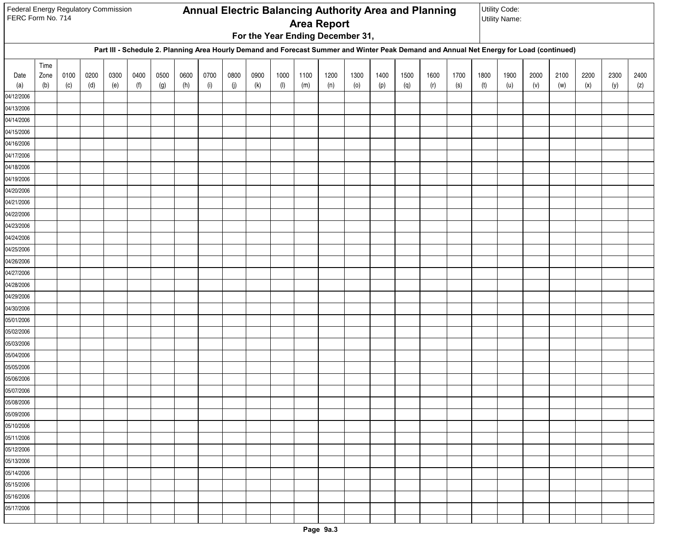| Federal Energy Regulatory Commission<br>FERC Form No. 714 |      |      |      |      |      |      |      |            |      |      |           |      | <b>Area Report</b><br>For the Year Ending December 31, |      |      |      | Annual Electric Balancing Authority Area and Planning                                                                                    |      |      | Utility Code:<br><b>Utility Name:</b> |      |      |      |      |      |
|-----------------------------------------------------------|------|------|------|------|------|------|------|------------|------|------|-----------|------|--------------------------------------------------------|------|------|------|------------------------------------------------------------------------------------------------------------------------------------------|------|------|---------------------------------------|------|------|------|------|------|
|                                                           |      |      |      |      |      |      |      |            |      |      |           |      |                                                        |      |      |      | Part III - Schedule 2. Planning Area Hourly Demand and Forecast Summer and Winter Peak Demand and Annual Net Energy for Load (continued) |      |      |                                       |      |      |      |      |      |
|                                                           | Time |      |      |      |      |      |      |            |      |      |           |      |                                                        |      |      |      |                                                                                                                                          |      |      |                                       |      |      |      |      |      |
| Date                                                      | Zone | 0100 | 0200 | 0300 | 0400 | 0500 | 0600 | 0700       | 0800 | 0900 | 1000      | 1100 | 1200                                                   | 1300 | 1400 | 1500 | 1600                                                                                                                                     | 1700 | 1800 | 1900                                  | 2000 | 2100 | 2200 | 2300 | 2400 |
| (a)<br>04/12/2006                                         | (b)  | (c)  | (d)  | (e)  | (f)  | (g)  | (h)  | $(\sf{i})$ | (j)  | (k)  | $($ l $)$ | (m)  | (n)                                                    | (0)  | (p)  | (q)  | (r)                                                                                                                                      | (s)  | (t)  | (u)                                   | (v)  | (w)  | (x)  | (y)  | (z)  |
| 04/13/2006                                                |      |      |      |      |      |      |      |            |      |      |           |      |                                                        |      |      |      |                                                                                                                                          |      |      |                                       |      |      |      |      |      |
| 04/14/2006                                                |      |      |      |      |      |      |      |            |      |      |           |      |                                                        |      |      |      |                                                                                                                                          |      |      |                                       |      |      |      |      |      |
| 04/15/2006                                                |      |      |      |      |      |      |      |            |      |      |           |      |                                                        |      |      |      |                                                                                                                                          |      |      |                                       |      |      |      |      |      |
| 04/16/2006                                                |      |      |      |      |      |      |      |            |      |      |           |      |                                                        |      |      |      |                                                                                                                                          |      |      |                                       |      |      |      |      |      |
| 04/17/2006                                                |      |      |      |      |      |      |      |            |      |      |           |      |                                                        |      |      |      |                                                                                                                                          |      |      |                                       |      |      |      |      |      |
| 04/18/2006                                                |      |      |      |      |      |      |      |            |      |      |           |      |                                                        |      |      |      |                                                                                                                                          |      |      |                                       |      |      |      |      |      |
| 04/19/2006                                                |      |      |      |      |      |      |      |            |      |      |           |      |                                                        |      |      |      |                                                                                                                                          |      |      |                                       |      |      |      |      |      |
| 04/20/2006                                                |      |      |      |      |      |      |      |            |      |      |           |      |                                                        |      |      |      |                                                                                                                                          |      |      |                                       |      |      |      |      |      |
| 04/21/2006                                                |      |      |      |      |      |      |      |            |      |      |           |      |                                                        |      |      |      |                                                                                                                                          |      |      |                                       |      |      |      |      |      |
| 04/22/2006                                                |      |      |      |      |      |      |      |            |      |      |           |      |                                                        |      |      |      |                                                                                                                                          |      |      |                                       |      |      |      |      |      |
| 04/23/2006                                                |      |      |      |      |      |      |      |            |      |      |           |      |                                                        |      |      |      |                                                                                                                                          |      |      |                                       |      |      |      |      |      |
| 04/24/2006                                                |      |      |      |      |      |      |      |            |      |      |           |      |                                                        |      |      |      |                                                                                                                                          |      |      |                                       |      |      |      |      |      |
| 04/25/2006                                                |      |      |      |      |      |      |      |            |      |      |           |      |                                                        |      |      |      |                                                                                                                                          |      |      |                                       |      |      |      |      |      |
| 04/26/2006                                                |      |      |      |      |      |      |      |            |      |      |           |      |                                                        |      |      |      |                                                                                                                                          |      |      |                                       |      |      |      |      |      |
| 04/27/2006                                                |      |      |      |      |      |      |      |            |      |      |           |      |                                                        |      |      |      |                                                                                                                                          |      |      |                                       |      |      |      |      |      |
| 04/28/2006                                                |      |      |      |      |      |      |      |            |      |      |           |      |                                                        |      |      |      |                                                                                                                                          |      |      |                                       |      |      |      |      |      |
| 04/29/2006                                                |      |      |      |      |      |      |      |            |      |      |           |      |                                                        |      |      |      |                                                                                                                                          |      |      |                                       |      |      |      |      |      |
| 04/30/2006                                                |      |      |      |      |      |      |      |            |      |      |           |      |                                                        |      |      |      |                                                                                                                                          |      |      |                                       |      |      |      |      |      |
| 05/01/2006                                                |      |      |      |      |      |      |      |            |      |      |           |      |                                                        |      |      |      |                                                                                                                                          |      |      |                                       |      |      |      |      |      |
| 05/02/2006                                                |      |      |      |      |      |      |      |            |      |      |           |      |                                                        |      |      |      |                                                                                                                                          |      |      |                                       |      |      |      |      |      |
| 05/03/2006<br>05/04/2006                                  |      |      |      |      |      |      |      |            |      |      |           |      |                                                        |      |      |      |                                                                                                                                          |      |      |                                       |      |      |      |      |      |
| 05/05/2006                                                |      |      |      |      |      |      |      |            |      |      |           |      |                                                        |      |      |      |                                                                                                                                          |      |      |                                       |      |      |      |      |      |
| 05/06/2006                                                |      |      |      |      |      |      |      |            |      |      |           |      |                                                        |      |      |      |                                                                                                                                          |      |      |                                       |      |      |      |      |      |
| 05/07/2006                                                |      |      |      |      |      |      |      |            |      |      |           |      |                                                        |      |      |      |                                                                                                                                          |      |      |                                       |      |      |      |      |      |
| 05/08/2006                                                |      |      |      |      |      |      |      |            |      |      |           |      |                                                        |      |      |      |                                                                                                                                          |      |      |                                       |      |      |      |      |      |
| 05/09/2006                                                |      |      |      |      |      |      |      |            |      |      |           |      |                                                        |      |      |      |                                                                                                                                          |      |      |                                       |      |      |      |      |      |
| 05/10/2006                                                |      |      |      |      |      |      |      |            |      |      |           |      |                                                        |      |      |      |                                                                                                                                          |      |      |                                       |      |      |      |      |      |
| 05/11/2006                                                |      |      |      |      |      |      |      |            |      |      |           |      |                                                        |      |      |      |                                                                                                                                          |      |      |                                       |      |      |      |      |      |
| 05/12/2006                                                |      |      |      |      |      |      |      |            |      |      |           |      |                                                        |      |      |      |                                                                                                                                          |      |      |                                       |      |      |      |      |      |
| 05/13/2006                                                |      |      |      |      |      |      |      |            |      |      |           |      |                                                        |      |      |      |                                                                                                                                          |      |      |                                       |      |      |      |      |      |
| 05/14/2006                                                |      |      |      |      |      |      |      |            |      |      |           |      |                                                        |      |      |      |                                                                                                                                          |      |      |                                       |      |      |      |      |      |
| 05/15/2006                                                |      |      |      |      |      |      |      |            |      |      |           |      |                                                        |      |      |      |                                                                                                                                          |      |      |                                       |      |      |      |      |      |
| 05/16/2006                                                |      |      |      |      |      |      |      |            |      |      |           |      |                                                        |      |      |      |                                                                                                                                          |      |      |                                       |      |      |      |      |      |
| 05/17/2006                                                |      |      |      |      |      |      |      |            |      |      |           |      |                                                        |      |      |      |                                                                                                                                          |      |      |                                       |      |      |      |      |      |
|                                                           |      |      |      |      |      |      |      |            |      |      |           |      |                                                        |      |      |      |                                                                                                                                          |      |      |                                       |      |      |      |      |      |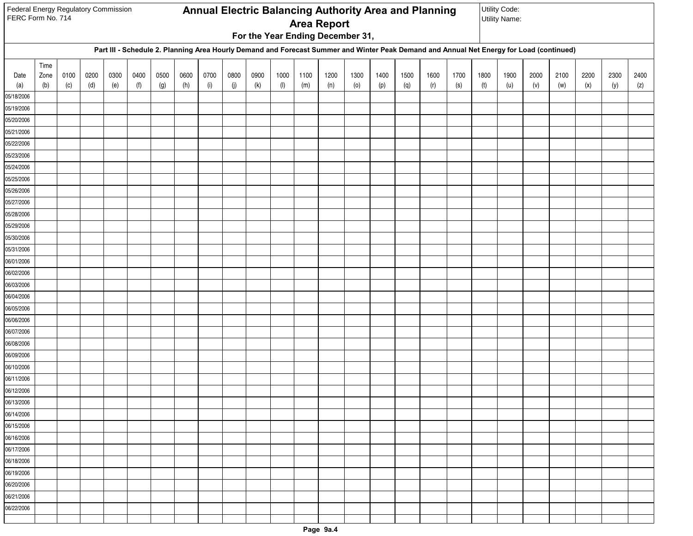| Federal Energy Regulatory Commission<br>FERC Form No. 714 |      |      |      |      |      |      |      |            |      |      |           |      | <b>Area Report</b><br>For the Year Ending December 31, |      |      |      | Annual Electric Balancing Authority Area and Planning                                                                                    |      |      | Utility Code:<br><b>Utility Name:</b> |      |      |      |      |      |
|-----------------------------------------------------------|------|------|------|------|------|------|------|------------|------|------|-----------|------|--------------------------------------------------------|------|------|------|------------------------------------------------------------------------------------------------------------------------------------------|------|------|---------------------------------------|------|------|------|------|------|
|                                                           |      |      |      |      |      |      |      |            |      |      |           |      |                                                        |      |      |      | Part III - Schedule 2. Planning Area Hourly Demand and Forecast Summer and Winter Peak Demand and Annual Net Energy for Load (continued) |      |      |                                       |      |      |      |      |      |
|                                                           | Time |      |      |      |      |      |      |            |      |      |           |      |                                                        |      |      |      |                                                                                                                                          |      |      |                                       |      |      |      |      |      |
| Date                                                      | Zone | 0100 | 0200 | 0300 | 0400 | 0500 | 0600 | 0700       | 0800 | 0900 | 1000      | 1100 | 1200                                                   | 1300 | 1400 | 1500 | 1600                                                                                                                                     | 1700 | 1800 | 1900                                  | 2000 | 2100 | 2200 | 2300 | 2400 |
| (a)<br>05/18/2006                                         | (b)  | (c)  | (d)  | (e)  | (f)  | (g)  | (h)  | $(\sf{i})$ | (j)  | (k)  | $($ l $)$ | (m)  | (n)                                                    | (0)  | (p)  | (q)  | (r)                                                                                                                                      | (s)  | (t)  | (u)                                   | (v)  | (w)  | (x)  | (y)  | (z)  |
| 05/19/2006                                                |      |      |      |      |      |      |      |            |      |      |           |      |                                                        |      |      |      |                                                                                                                                          |      |      |                                       |      |      |      |      |      |
| 05/20/2006                                                |      |      |      |      |      |      |      |            |      |      |           |      |                                                        |      |      |      |                                                                                                                                          |      |      |                                       |      |      |      |      |      |
| 05/21/2006                                                |      |      |      |      |      |      |      |            |      |      |           |      |                                                        |      |      |      |                                                                                                                                          |      |      |                                       |      |      |      |      |      |
| 05/22/2006                                                |      |      |      |      |      |      |      |            |      |      |           |      |                                                        |      |      |      |                                                                                                                                          |      |      |                                       |      |      |      |      |      |
| 05/23/2006                                                |      |      |      |      |      |      |      |            |      |      |           |      |                                                        |      |      |      |                                                                                                                                          |      |      |                                       |      |      |      |      |      |
| 05/24/2006                                                |      |      |      |      |      |      |      |            |      |      |           |      |                                                        |      |      |      |                                                                                                                                          |      |      |                                       |      |      |      |      |      |
| 05/25/2006                                                |      |      |      |      |      |      |      |            |      |      |           |      |                                                        |      |      |      |                                                                                                                                          |      |      |                                       |      |      |      |      |      |
| 05/26/2006                                                |      |      |      |      |      |      |      |            |      |      |           |      |                                                        |      |      |      |                                                                                                                                          |      |      |                                       |      |      |      |      |      |
| 05/27/2006                                                |      |      |      |      |      |      |      |            |      |      |           |      |                                                        |      |      |      |                                                                                                                                          |      |      |                                       |      |      |      |      |      |
| 05/28/2006                                                |      |      |      |      |      |      |      |            |      |      |           |      |                                                        |      |      |      |                                                                                                                                          |      |      |                                       |      |      |      |      |      |
| 05/29/2006                                                |      |      |      |      |      |      |      |            |      |      |           |      |                                                        |      |      |      |                                                                                                                                          |      |      |                                       |      |      |      |      |      |
| 05/30/2006                                                |      |      |      |      |      |      |      |            |      |      |           |      |                                                        |      |      |      |                                                                                                                                          |      |      |                                       |      |      |      |      |      |
| 05/31/2006                                                |      |      |      |      |      |      |      |            |      |      |           |      |                                                        |      |      |      |                                                                                                                                          |      |      |                                       |      |      |      |      |      |
| 06/01/2006                                                |      |      |      |      |      |      |      |            |      |      |           |      |                                                        |      |      |      |                                                                                                                                          |      |      |                                       |      |      |      |      |      |
| 06/02/2006                                                |      |      |      |      |      |      |      |            |      |      |           |      |                                                        |      |      |      |                                                                                                                                          |      |      |                                       |      |      |      |      |      |
| 06/03/2006                                                |      |      |      |      |      |      |      |            |      |      |           |      |                                                        |      |      |      |                                                                                                                                          |      |      |                                       |      |      |      |      |      |
| 06/04/2006                                                |      |      |      |      |      |      |      |            |      |      |           |      |                                                        |      |      |      |                                                                                                                                          |      |      |                                       |      |      |      |      |      |
| 06/05/2006                                                |      |      |      |      |      |      |      |            |      |      |           |      |                                                        |      |      |      |                                                                                                                                          |      |      |                                       |      |      |      |      |      |
| 06/06/2006                                                |      |      |      |      |      |      |      |            |      |      |           |      |                                                        |      |      |      |                                                                                                                                          |      |      |                                       |      |      |      |      |      |
| 06/07/2006                                                |      |      |      |      |      |      |      |            |      |      |           |      |                                                        |      |      |      |                                                                                                                                          |      |      |                                       |      |      |      |      |      |
| 06/08/2006<br>06/09/2006                                  |      |      |      |      |      |      |      |            |      |      |           |      |                                                        |      |      |      |                                                                                                                                          |      |      |                                       |      |      |      |      |      |
| 06/10/2006                                                |      |      |      |      |      |      |      |            |      |      |           |      |                                                        |      |      |      |                                                                                                                                          |      |      |                                       |      |      |      |      |      |
| 06/11/2006                                                |      |      |      |      |      |      |      |            |      |      |           |      |                                                        |      |      |      |                                                                                                                                          |      |      |                                       |      |      |      |      |      |
| 06/12/2006                                                |      |      |      |      |      |      |      |            |      |      |           |      |                                                        |      |      |      |                                                                                                                                          |      |      |                                       |      |      |      |      |      |
| 06/13/2006                                                |      |      |      |      |      |      |      |            |      |      |           |      |                                                        |      |      |      |                                                                                                                                          |      |      |                                       |      |      |      |      |      |
| 06/14/2006                                                |      |      |      |      |      |      |      |            |      |      |           |      |                                                        |      |      |      |                                                                                                                                          |      |      |                                       |      |      |      |      |      |
| 06/15/2006                                                |      |      |      |      |      |      |      |            |      |      |           |      |                                                        |      |      |      |                                                                                                                                          |      |      |                                       |      |      |      |      |      |
| 06/16/2006                                                |      |      |      |      |      |      |      |            |      |      |           |      |                                                        |      |      |      |                                                                                                                                          |      |      |                                       |      |      |      |      |      |
| 06/17/2006                                                |      |      |      |      |      |      |      |            |      |      |           |      |                                                        |      |      |      |                                                                                                                                          |      |      |                                       |      |      |      |      |      |
| 06/18/2006                                                |      |      |      |      |      |      |      |            |      |      |           |      |                                                        |      |      |      |                                                                                                                                          |      |      |                                       |      |      |      |      |      |
| 06/19/2006                                                |      |      |      |      |      |      |      |            |      |      |           |      |                                                        |      |      |      |                                                                                                                                          |      |      |                                       |      |      |      |      |      |
| 06/20/2006                                                |      |      |      |      |      |      |      |            |      |      |           |      |                                                        |      |      |      |                                                                                                                                          |      |      |                                       |      |      |      |      |      |
| 06/21/2006                                                |      |      |      |      |      |      |      |            |      |      |           |      |                                                        |      |      |      |                                                                                                                                          |      |      |                                       |      |      |      |      |      |
| 06/22/2006                                                |      |      |      |      |      |      |      |            |      |      |           |      |                                                        |      |      |      |                                                                                                                                          |      |      |                                       |      |      |      |      |      |
|                                                           |      |      |      |      |      |      |      |            |      |      |           |      |                                                        |      |      |      |                                                                                                                                          |      |      |                                       |      |      |      |      |      |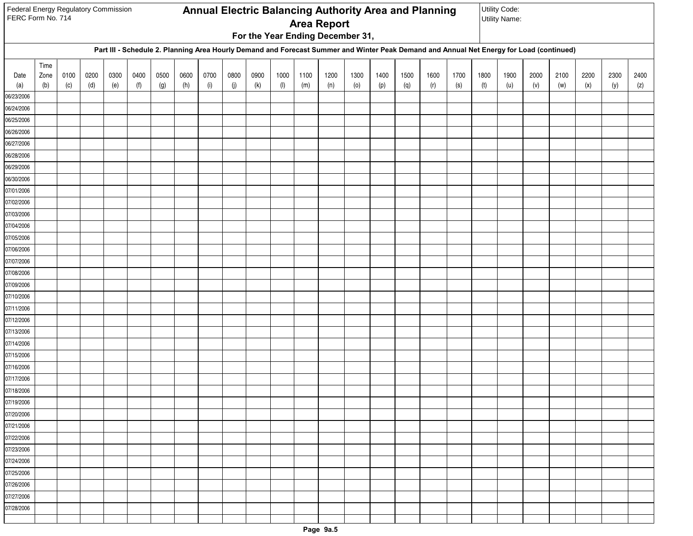| Federal Energy Regulatory Commission<br>FERC Form No. 714 |      |      |      |      |      |      |      |            |      |      |           |      | <b>Area Report</b><br>For the Year Ending December 31, |      |      |      | Annual Electric Balancing Authority Area and Planning                                                                                    |      |      | Utility Code:<br><b>Utility Name:</b> |      |      |      |      |      |
|-----------------------------------------------------------|------|------|------|------|------|------|------|------------|------|------|-----------|------|--------------------------------------------------------|------|------|------|------------------------------------------------------------------------------------------------------------------------------------------|------|------|---------------------------------------|------|------|------|------|------|
|                                                           |      |      |      |      |      |      |      |            |      |      |           |      |                                                        |      |      |      | Part III - Schedule 2. Planning Area Hourly Demand and Forecast Summer and Winter Peak Demand and Annual Net Energy for Load (continued) |      |      |                                       |      |      |      |      |      |
|                                                           | Time |      |      |      |      |      |      |            |      |      |           |      |                                                        |      |      |      |                                                                                                                                          |      |      |                                       |      |      |      |      |      |
| Date                                                      | Zone | 0100 | 0200 | 0300 | 0400 | 0500 | 0600 | 0700       | 0800 | 0900 | 1000      | 1100 | 1200                                                   | 1300 | 1400 | 1500 | 1600                                                                                                                                     | 1700 | 1800 | 1900                                  | 2000 | 2100 | 2200 | 2300 | 2400 |
| (a)<br>06/23/2006                                         | (b)  | (c)  | (d)  | (e)  | (f)  | (g)  | (h)  | $(\sf{i})$ | (j)  | (k)  | $($ l $)$ | (m)  | (n)                                                    | (0)  | (p)  | (q)  | (r)                                                                                                                                      | (s)  | (t)  | (u)                                   | (v)  | (w)  | (x)  | (y)  | (z)  |
| 06/24/2006                                                |      |      |      |      |      |      |      |            |      |      |           |      |                                                        |      |      |      |                                                                                                                                          |      |      |                                       |      |      |      |      |      |
| 06/25/2006                                                |      |      |      |      |      |      |      |            |      |      |           |      |                                                        |      |      |      |                                                                                                                                          |      |      |                                       |      |      |      |      |      |
| 06/26/2006                                                |      |      |      |      |      |      |      |            |      |      |           |      |                                                        |      |      |      |                                                                                                                                          |      |      |                                       |      |      |      |      |      |
| 06/27/2006                                                |      |      |      |      |      |      |      |            |      |      |           |      |                                                        |      |      |      |                                                                                                                                          |      |      |                                       |      |      |      |      |      |
| 06/28/2006                                                |      |      |      |      |      |      |      |            |      |      |           |      |                                                        |      |      |      |                                                                                                                                          |      |      |                                       |      |      |      |      |      |
| 06/29/2006                                                |      |      |      |      |      |      |      |            |      |      |           |      |                                                        |      |      |      |                                                                                                                                          |      |      |                                       |      |      |      |      |      |
| 06/30/2006                                                |      |      |      |      |      |      |      |            |      |      |           |      |                                                        |      |      |      |                                                                                                                                          |      |      |                                       |      |      |      |      |      |
| 07/01/2006                                                |      |      |      |      |      |      |      |            |      |      |           |      |                                                        |      |      |      |                                                                                                                                          |      |      |                                       |      |      |      |      |      |
| 07/02/2006                                                |      |      |      |      |      |      |      |            |      |      |           |      |                                                        |      |      |      |                                                                                                                                          |      |      |                                       |      |      |      |      |      |
| 07/03/2006                                                |      |      |      |      |      |      |      |            |      |      |           |      |                                                        |      |      |      |                                                                                                                                          |      |      |                                       |      |      |      |      |      |
| 07/04/2006                                                |      |      |      |      |      |      |      |            |      |      |           |      |                                                        |      |      |      |                                                                                                                                          |      |      |                                       |      |      |      |      |      |
| 07/05/2006                                                |      |      |      |      |      |      |      |            |      |      |           |      |                                                        |      |      |      |                                                                                                                                          |      |      |                                       |      |      |      |      |      |
| 07/06/2006                                                |      |      |      |      |      |      |      |            |      |      |           |      |                                                        |      |      |      |                                                                                                                                          |      |      |                                       |      |      |      |      |      |
| 07/07/2006                                                |      |      |      |      |      |      |      |            |      |      |           |      |                                                        |      |      |      |                                                                                                                                          |      |      |                                       |      |      |      |      |      |
| 07/08/2006                                                |      |      |      |      |      |      |      |            |      |      |           |      |                                                        |      |      |      |                                                                                                                                          |      |      |                                       |      |      |      |      |      |
| 07/09/2006                                                |      |      |      |      |      |      |      |            |      |      |           |      |                                                        |      |      |      |                                                                                                                                          |      |      |                                       |      |      |      |      |      |
| 07/10/2006                                                |      |      |      |      |      |      |      |            |      |      |           |      |                                                        |      |      |      |                                                                                                                                          |      |      |                                       |      |      |      |      |      |
| 07/11/2006                                                |      |      |      |      |      |      |      |            |      |      |           |      |                                                        |      |      |      |                                                                                                                                          |      |      |                                       |      |      |      |      |      |
| 07/12/2006                                                |      |      |      |      |      |      |      |            |      |      |           |      |                                                        |      |      |      |                                                                                                                                          |      |      |                                       |      |      |      |      |      |
| 07/13/2006                                                |      |      |      |      |      |      |      |            |      |      |           |      |                                                        |      |      |      |                                                                                                                                          |      |      |                                       |      |      |      |      |      |
| 07/14/2006<br>07/15/2006                                  |      |      |      |      |      |      |      |            |      |      |           |      |                                                        |      |      |      |                                                                                                                                          |      |      |                                       |      |      |      |      |      |
| 07/16/2006                                                |      |      |      |      |      |      |      |            |      |      |           |      |                                                        |      |      |      |                                                                                                                                          |      |      |                                       |      |      |      |      |      |
| 07/17/2006                                                |      |      |      |      |      |      |      |            |      |      |           |      |                                                        |      |      |      |                                                                                                                                          |      |      |                                       |      |      |      |      |      |
| 07/18/2006                                                |      |      |      |      |      |      |      |            |      |      |           |      |                                                        |      |      |      |                                                                                                                                          |      |      |                                       |      |      |      |      |      |
| 07/19/2006                                                |      |      |      |      |      |      |      |            |      |      |           |      |                                                        |      |      |      |                                                                                                                                          |      |      |                                       |      |      |      |      |      |
| 07/20/2006                                                |      |      |      |      |      |      |      |            |      |      |           |      |                                                        |      |      |      |                                                                                                                                          |      |      |                                       |      |      |      |      |      |
| 07/21/2006                                                |      |      |      |      |      |      |      |            |      |      |           |      |                                                        |      |      |      |                                                                                                                                          |      |      |                                       |      |      |      |      |      |
| 07/22/2006                                                |      |      |      |      |      |      |      |            |      |      |           |      |                                                        |      |      |      |                                                                                                                                          |      |      |                                       |      |      |      |      |      |
| 07/23/2006                                                |      |      |      |      |      |      |      |            |      |      |           |      |                                                        |      |      |      |                                                                                                                                          |      |      |                                       |      |      |      |      |      |
| 07/24/2006                                                |      |      |      |      |      |      |      |            |      |      |           |      |                                                        |      |      |      |                                                                                                                                          |      |      |                                       |      |      |      |      |      |
| 07/25/2006                                                |      |      |      |      |      |      |      |            |      |      |           |      |                                                        |      |      |      |                                                                                                                                          |      |      |                                       |      |      |      |      |      |
| 07/26/2006                                                |      |      |      |      |      |      |      |            |      |      |           |      |                                                        |      |      |      |                                                                                                                                          |      |      |                                       |      |      |      |      |      |
| 07/27/2006                                                |      |      |      |      |      |      |      |            |      |      |           |      |                                                        |      |      |      |                                                                                                                                          |      |      |                                       |      |      |      |      |      |
| 07/28/2006                                                |      |      |      |      |      |      |      |            |      |      |           |      |                                                        |      |      |      |                                                                                                                                          |      |      |                                       |      |      |      |      |      |
|                                                           |      |      |      |      |      |      |      |            |      |      |           |      |                                                        |      |      |      |                                                                                                                                          |      |      |                                       |      |      |      |      |      |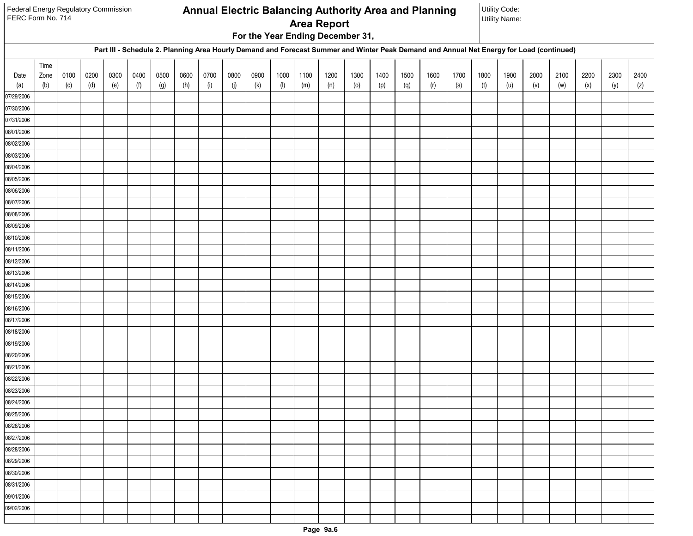| Federal Energy Regulatory Commission<br>FERC Form No. 714 |             |             |             |             |             |             |             |                    |             |             |                   |             | <b>Area Report</b>               |             |             |             | Annual Electric Balancing Authority Area and Planning                                                                                    |             |             | Utility Code:<br><b>Utility Name:</b> |             |             |             |             |             |
|-----------------------------------------------------------|-------------|-------------|-------------|-------------|-------------|-------------|-------------|--------------------|-------------|-------------|-------------------|-------------|----------------------------------|-------------|-------------|-------------|------------------------------------------------------------------------------------------------------------------------------------------|-------------|-------------|---------------------------------------|-------------|-------------|-------------|-------------|-------------|
|                                                           |             |             |             |             |             |             |             |                    |             |             |                   |             | For the Year Ending December 31, |             |             |             |                                                                                                                                          |             |             |                                       |             |             |             |             |             |
|                                                           |             |             |             |             |             |             |             |                    |             |             |                   |             |                                  |             |             |             | Part III - Schedule 2. Planning Area Hourly Demand and Forecast Summer and Winter Peak Demand and Annual Net Energy for Load (continued) |             |             |                                       |             |             |             |             |             |
|                                                           | Time        |             |             |             |             |             |             |                    |             |             |                   |             |                                  |             |             |             |                                                                                                                                          |             |             |                                       |             |             |             |             |             |
| Date<br>(a)                                               | Zone<br>(b) | 0100<br>(c) | 0200<br>(d) | 0300<br>(e) | 0400<br>(f) | 0500<br>(g) | 0600<br>(h) | 0700<br>$(\sf{i})$ | 0800<br>(j) | 0900<br>(k) | 1000<br>$($ l $)$ | 1100<br>(m) | 1200<br>(n)                      | 1300<br>(0) | 1400<br>(p) | 1500<br>(q) | 1600<br>(r)                                                                                                                              | 1700<br>(s) | 1800<br>(t) | 1900<br>(u)                           | 2000<br>(v) | 2100<br>(w) | 2200<br>(x) | 2300<br>(y) | 2400<br>(z) |
| 07/29/2006                                                |             |             |             |             |             |             |             |                    |             |             |                   |             |                                  |             |             |             |                                                                                                                                          |             |             |                                       |             |             |             |             |             |
| 07/30/2006                                                |             |             |             |             |             |             |             |                    |             |             |                   |             |                                  |             |             |             |                                                                                                                                          |             |             |                                       |             |             |             |             |             |
| 07/31/2006                                                |             |             |             |             |             |             |             |                    |             |             |                   |             |                                  |             |             |             |                                                                                                                                          |             |             |                                       |             |             |             |             |             |
| 08/01/2006                                                |             |             |             |             |             |             |             |                    |             |             |                   |             |                                  |             |             |             |                                                                                                                                          |             |             |                                       |             |             |             |             |             |
| 08/02/2006                                                |             |             |             |             |             |             |             |                    |             |             |                   |             |                                  |             |             |             |                                                                                                                                          |             |             |                                       |             |             |             |             |             |
| 08/03/2006                                                |             |             |             |             |             |             |             |                    |             |             |                   |             |                                  |             |             |             |                                                                                                                                          |             |             |                                       |             |             |             |             |             |
| 08/04/2006                                                |             |             |             |             |             |             |             |                    |             |             |                   |             |                                  |             |             |             |                                                                                                                                          |             |             |                                       |             |             |             |             |             |
| 08/05/2006                                                |             |             |             |             |             |             |             |                    |             |             |                   |             |                                  |             |             |             |                                                                                                                                          |             |             |                                       |             |             |             |             |             |
| 08/06/2006                                                |             |             |             |             |             |             |             |                    |             |             |                   |             |                                  |             |             |             |                                                                                                                                          |             |             |                                       |             |             |             |             |             |
| 08/07/2006                                                |             |             |             |             |             |             |             |                    |             |             |                   |             |                                  |             |             |             |                                                                                                                                          |             |             |                                       |             |             |             |             |             |
| 08/08/2006                                                |             |             |             |             |             |             |             |                    |             |             |                   |             |                                  |             |             |             |                                                                                                                                          |             |             |                                       |             |             |             |             |             |
| 08/09/2006                                                |             |             |             |             |             |             |             |                    |             |             |                   |             |                                  |             |             |             |                                                                                                                                          |             |             |                                       |             |             |             |             |             |
| 08/10/2006                                                |             |             |             |             |             |             |             |                    |             |             |                   |             |                                  |             |             |             |                                                                                                                                          |             |             |                                       |             |             |             |             |             |
| 08/11/2006                                                |             |             |             |             |             |             |             |                    |             |             |                   |             |                                  |             |             |             |                                                                                                                                          |             |             |                                       |             |             |             |             |             |
| 08/12/2006                                                |             |             |             |             |             |             |             |                    |             |             |                   |             |                                  |             |             |             |                                                                                                                                          |             |             |                                       |             |             |             |             |             |
| 08/13/2006                                                |             |             |             |             |             |             |             |                    |             |             |                   |             |                                  |             |             |             |                                                                                                                                          |             |             |                                       |             |             |             |             |             |
| 08/14/2006                                                |             |             |             |             |             |             |             |                    |             |             |                   |             |                                  |             |             |             |                                                                                                                                          |             |             |                                       |             |             |             |             |             |
| 08/15/2006                                                |             |             |             |             |             |             |             |                    |             |             |                   |             |                                  |             |             |             |                                                                                                                                          |             |             |                                       |             |             |             |             |             |
| 08/16/2006                                                |             |             |             |             |             |             |             |                    |             |             |                   |             |                                  |             |             |             |                                                                                                                                          |             |             |                                       |             |             |             |             |             |
| 08/17/2006                                                |             |             |             |             |             |             |             |                    |             |             |                   |             |                                  |             |             |             |                                                                                                                                          |             |             |                                       |             |             |             |             |             |
| 08/18/2006<br>08/19/2006                                  |             |             |             |             |             |             |             |                    |             |             |                   |             |                                  |             |             |             |                                                                                                                                          |             |             |                                       |             |             |             |             |             |
| 08/20/2006                                                |             |             |             |             |             |             |             |                    |             |             |                   |             |                                  |             |             |             |                                                                                                                                          |             |             |                                       |             |             |             |             |             |
| 08/21/2006                                                |             |             |             |             |             |             |             |                    |             |             |                   |             |                                  |             |             |             |                                                                                                                                          |             |             |                                       |             |             |             |             |             |
| 08/22/2006                                                |             |             |             |             |             |             |             |                    |             |             |                   |             |                                  |             |             |             |                                                                                                                                          |             |             |                                       |             |             |             |             |             |
| 08/23/2006                                                |             |             |             |             |             |             |             |                    |             |             |                   |             |                                  |             |             |             |                                                                                                                                          |             |             |                                       |             |             |             |             |             |
| 08/24/2006                                                |             |             |             |             |             |             |             |                    |             |             |                   |             |                                  |             |             |             |                                                                                                                                          |             |             |                                       |             |             |             |             |             |
| 08/25/2006                                                |             |             |             |             |             |             |             |                    |             |             |                   |             |                                  |             |             |             |                                                                                                                                          |             |             |                                       |             |             |             |             |             |
| 08/26/2006                                                |             |             |             |             |             |             |             |                    |             |             |                   |             |                                  |             |             |             |                                                                                                                                          |             |             |                                       |             |             |             |             |             |
| 08/27/2006                                                |             |             |             |             |             |             |             |                    |             |             |                   |             |                                  |             |             |             |                                                                                                                                          |             |             |                                       |             |             |             |             |             |
| 08/28/2006                                                |             |             |             |             |             |             |             |                    |             |             |                   |             |                                  |             |             |             |                                                                                                                                          |             |             |                                       |             |             |             |             |             |
| 08/29/2006                                                |             |             |             |             |             |             |             |                    |             |             |                   |             |                                  |             |             |             |                                                                                                                                          |             |             |                                       |             |             |             |             |             |
| 08/30/2006                                                |             |             |             |             |             |             |             |                    |             |             |                   |             |                                  |             |             |             |                                                                                                                                          |             |             |                                       |             |             |             |             |             |
| 08/31/2006                                                |             |             |             |             |             |             |             |                    |             |             |                   |             |                                  |             |             |             |                                                                                                                                          |             |             |                                       |             |             |             |             |             |
| 09/01/2006                                                |             |             |             |             |             |             |             |                    |             |             |                   |             |                                  |             |             |             |                                                                                                                                          |             |             |                                       |             |             |             |             |             |
| 09/02/2006                                                |             |             |             |             |             |             |             |                    |             |             |                   |             |                                  |             |             |             |                                                                                                                                          |             |             |                                       |             |             |             |             |             |
|                                                           |             |             |             |             |             |             |             |                    |             |             |                   |             |                                  |             |             |             |                                                                                                                                          |             |             |                                       |             |             |             |             |             |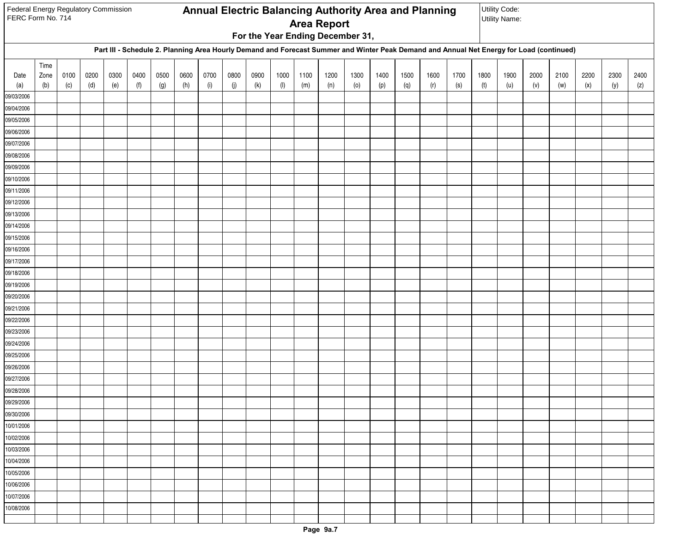| Federal Energy Regulatory Commission<br>FERC Form No. 714 |      |      |      |      |      |      |      |            |      |      |           |      | <b>Area Report</b><br>For the Year Ending December 31, |      |      |      | Annual Electric Balancing Authority Area and Planning                                                                                    |      |      | Utility Code:<br><b>Utility Name:</b> |      |      |      |      |      |
|-----------------------------------------------------------|------|------|------|------|------|------|------|------------|------|------|-----------|------|--------------------------------------------------------|------|------|------|------------------------------------------------------------------------------------------------------------------------------------------|------|------|---------------------------------------|------|------|------|------|------|
|                                                           |      |      |      |      |      |      |      |            |      |      |           |      |                                                        |      |      |      | Part III - Schedule 2. Planning Area Hourly Demand and Forecast Summer and Winter Peak Demand and Annual Net Energy for Load (continued) |      |      |                                       |      |      |      |      |      |
|                                                           | Time |      |      |      |      |      |      |            |      |      |           |      |                                                        |      |      |      |                                                                                                                                          |      |      |                                       |      |      |      |      |      |
| Date                                                      | Zone | 0100 | 0200 | 0300 | 0400 | 0500 | 0600 | 0700       | 0800 | 0900 | 1000      | 1100 | 1200                                                   | 1300 | 1400 | 1500 | 1600                                                                                                                                     | 1700 | 1800 | 1900                                  | 2000 | 2100 | 2200 | 2300 | 2400 |
| (a)<br>09/03/2006                                         | (b)  | (c)  | (d)  | (e)  | (f)  | (g)  | (h)  | $(\sf{i})$ | (j)  | (k)  | $($ l $)$ | (m)  | (n)                                                    | (0)  | (p)  | (q)  | (r)                                                                                                                                      | (s)  | (t)  | (u)                                   | (v)  | (w)  | (x)  | (y)  | (z)  |
| 09/04/2006                                                |      |      |      |      |      |      |      |            |      |      |           |      |                                                        |      |      |      |                                                                                                                                          |      |      |                                       |      |      |      |      |      |
| 09/05/2006                                                |      |      |      |      |      |      |      |            |      |      |           |      |                                                        |      |      |      |                                                                                                                                          |      |      |                                       |      |      |      |      |      |
| 09/06/2006                                                |      |      |      |      |      |      |      |            |      |      |           |      |                                                        |      |      |      |                                                                                                                                          |      |      |                                       |      |      |      |      |      |
| 09/07/2006                                                |      |      |      |      |      |      |      |            |      |      |           |      |                                                        |      |      |      |                                                                                                                                          |      |      |                                       |      |      |      |      |      |
| 09/08/2006                                                |      |      |      |      |      |      |      |            |      |      |           |      |                                                        |      |      |      |                                                                                                                                          |      |      |                                       |      |      |      |      |      |
| 09/09/2006                                                |      |      |      |      |      |      |      |            |      |      |           |      |                                                        |      |      |      |                                                                                                                                          |      |      |                                       |      |      |      |      |      |
| 09/10/2006                                                |      |      |      |      |      |      |      |            |      |      |           |      |                                                        |      |      |      |                                                                                                                                          |      |      |                                       |      |      |      |      |      |
| 09/11/2006                                                |      |      |      |      |      |      |      |            |      |      |           |      |                                                        |      |      |      |                                                                                                                                          |      |      |                                       |      |      |      |      |      |
| 09/12/2006                                                |      |      |      |      |      |      |      |            |      |      |           |      |                                                        |      |      |      |                                                                                                                                          |      |      |                                       |      |      |      |      |      |
| 09/13/2006                                                |      |      |      |      |      |      |      |            |      |      |           |      |                                                        |      |      |      |                                                                                                                                          |      |      |                                       |      |      |      |      |      |
| 09/14/2006                                                |      |      |      |      |      |      |      |            |      |      |           |      |                                                        |      |      |      |                                                                                                                                          |      |      |                                       |      |      |      |      |      |
| 09/15/2006                                                |      |      |      |      |      |      |      |            |      |      |           |      |                                                        |      |      |      |                                                                                                                                          |      |      |                                       |      |      |      |      |      |
| 09/16/2006                                                |      |      |      |      |      |      |      |            |      |      |           |      |                                                        |      |      |      |                                                                                                                                          |      |      |                                       |      |      |      |      |      |
| 09/17/2006                                                |      |      |      |      |      |      |      |            |      |      |           |      |                                                        |      |      |      |                                                                                                                                          |      |      |                                       |      |      |      |      |      |
| 09/18/2006                                                |      |      |      |      |      |      |      |            |      |      |           |      |                                                        |      |      |      |                                                                                                                                          |      |      |                                       |      |      |      |      |      |
| 09/19/2006                                                |      |      |      |      |      |      |      |            |      |      |           |      |                                                        |      |      |      |                                                                                                                                          |      |      |                                       |      |      |      |      |      |
| 09/20/2006                                                |      |      |      |      |      |      |      |            |      |      |           |      |                                                        |      |      |      |                                                                                                                                          |      |      |                                       |      |      |      |      |      |
| 09/21/2006                                                |      |      |      |      |      |      |      |            |      |      |           |      |                                                        |      |      |      |                                                                                                                                          |      |      |                                       |      |      |      |      |      |
| 09/22/2006                                                |      |      |      |      |      |      |      |            |      |      |           |      |                                                        |      |      |      |                                                                                                                                          |      |      |                                       |      |      |      |      |      |
| 09/23/2006                                                |      |      |      |      |      |      |      |            |      |      |           |      |                                                        |      |      |      |                                                                                                                                          |      |      |                                       |      |      |      |      |      |
| 09/24/2006<br>09/25/2006                                  |      |      |      |      |      |      |      |            |      |      |           |      |                                                        |      |      |      |                                                                                                                                          |      |      |                                       |      |      |      |      |      |
| 09/26/2006                                                |      |      |      |      |      |      |      |            |      |      |           |      |                                                        |      |      |      |                                                                                                                                          |      |      |                                       |      |      |      |      |      |
| 09/27/2006                                                |      |      |      |      |      |      |      |            |      |      |           |      |                                                        |      |      |      |                                                                                                                                          |      |      |                                       |      |      |      |      |      |
| 09/28/2006                                                |      |      |      |      |      |      |      |            |      |      |           |      |                                                        |      |      |      |                                                                                                                                          |      |      |                                       |      |      |      |      |      |
| 09/29/2006                                                |      |      |      |      |      |      |      |            |      |      |           |      |                                                        |      |      |      |                                                                                                                                          |      |      |                                       |      |      |      |      |      |
| 09/30/2006                                                |      |      |      |      |      |      |      |            |      |      |           |      |                                                        |      |      |      |                                                                                                                                          |      |      |                                       |      |      |      |      |      |
| 10/01/2006                                                |      |      |      |      |      |      |      |            |      |      |           |      |                                                        |      |      |      |                                                                                                                                          |      |      |                                       |      |      |      |      |      |
| 10/02/2006                                                |      |      |      |      |      |      |      |            |      |      |           |      |                                                        |      |      |      |                                                                                                                                          |      |      |                                       |      |      |      |      |      |
| 10/03/2006                                                |      |      |      |      |      |      |      |            |      |      |           |      |                                                        |      |      |      |                                                                                                                                          |      |      |                                       |      |      |      |      |      |
| 10/04/2006                                                |      |      |      |      |      |      |      |            |      |      |           |      |                                                        |      |      |      |                                                                                                                                          |      |      |                                       |      |      |      |      |      |
| 10/05/2006                                                |      |      |      |      |      |      |      |            |      |      |           |      |                                                        |      |      |      |                                                                                                                                          |      |      |                                       |      |      |      |      |      |
| 10/06/2006                                                |      |      |      |      |      |      |      |            |      |      |           |      |                                                        |      |      |      |                                                                                                                                          |      |      |                                       |      |      |      |      |      |
| 10/07/2006                                                |      |      |      |      |      |      |      |            |      |      |           |      |                                                        |      |      |      |                                                                                                                                          |      |      |                                       |      |      |      |      |      |
| 10/08/2006                                                |      |      |      |      |      |      |      |            |      |      |           |      |                                                        |      |      |      |                                                                                                                                          |      |      |                                       |      |      |      |      |      |
|                                                           |      |      |      |      |      |      |      |            |      |      |           |      |                                                        |      |      |      |                                                                                                                                          |      |      |                                       |      |      |      |      |      |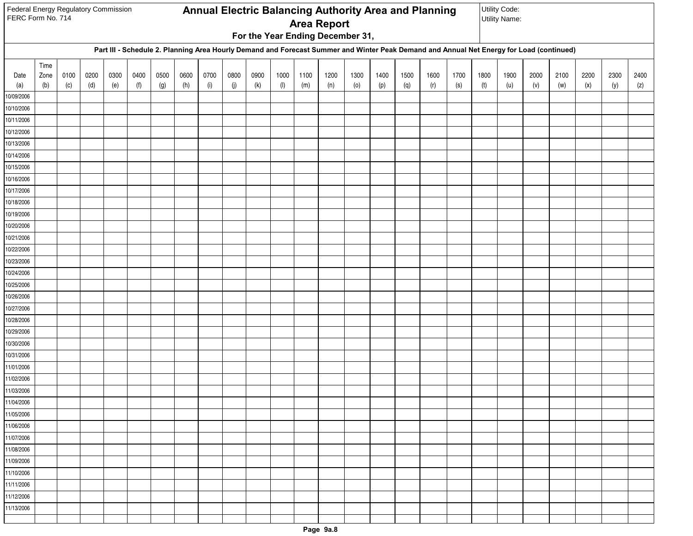| Federal Energy Regulatory Commission<br>FERC Form No. 714 |             |             |             |             |             |             |             |             |             |             |             |             | <b>Area Report</b> |                                  |             |             | Annual Electric Balancing Authority Area and Planning                                                                                    |             |             | Utility Code:<br><b>Utility Name:</b> |             |             |             |             |             |
|-----------------------------------------------------------|-------------|-------------|-------------|-------------|-------------|-------------|-------------|-------------|-------------|-------------|-------------|-------------|--------------------|----------------------------------|-------------|-------------|------------------------------------------------------------------------------------------------------------------------------------------|-------------|-------------|---------------------------------------|-------------|-------------|-------------|-------------|-------------|
|                                                           |             |             |             |             |             |             |             |             |             |             |             |             |                    | For the Year Ending December 31, |             |             |                                                                                                                                          |             |             |                                       |             |             |             |             |             |
|                                                           |             |             |             |             |             |             |             |             |             |             |             |             |                    |                                  |             |             | Part III - Schedule 2. Planning Area Hourly Demand and Forecast Summer and Winter Peak Demand and Annual Net Energy for Load (continued) |             |             |                                       |             |             |             |             |             |
|                                                           | Time        |             |             |             |             |             |             |             |             |             |             |             |                    |                                  |             |             |                                                                                                                                          |             |             |                                       |             |             |             |             |             |
| Date<br>(a)                                               | Zone<br>(b) | 0100<br>(c) | 0200<br>(d) | 0300<br>(e) | 0400<br>(f) | 0500<br>(g) | 0600<br>(h) | 0700<br>(i) | 0800<br>(j) | 0900<br>(k) | 1000<br>(1) | 1100<br>(m) | 1200<br>(n)        | 1300<br>(0)                      | 1400<br>(p) | 1500<br>(q) | 1600<br>(r)                                                                                                                              | 1700<br>(s) | 1800<br>(t) | 1900<br>(u)                           | 2000<br>(v) | 2100<br>(w) | 2200<br>(x) | 2300<br>(y) | 2400<br>(z) |
| 10/09/2006                                                |             |             |             |             |             |             |             |             |             |             |             |             |                    |                                  |             |             |                                                                                                                                          |             |             |                                       |             |             |             |             |             |
| 10/10/2006                                                |             |             |             |             |             |             |             |             |             |             |             |             |                    |                                  |             |             |                                                                                                                                          |             |             |                                       |             |             |             |             |             |
| 10/11/2006                                                |             |             |             |             |             |             |             |             |             |             |             |             |                    |                                  |             |             |                                                                                                                                          |             |             |                                       |             |             |             |             |             |
| 10/12/2006                                                |             |             |             |             |             |             |             |             |             |             |             |             |                    |                                  |             |             |                                                                                                                                          |             |             |                                       |             |             |             |             |             |
| 10/13/2006                                                |             |             |             |             |             |             |             |             |             |             |             |             |                    |                                  |             |             |                                                                                                                                          |             |             |                                       |             |             |             |             |             |
| 10/14/2006                                                |             |             |             |             |             |             |             |             |             |             |             |             |                    |                                  |             |             |                                                                                                                                          |             |             |                                       |             |             |             |             |             |
| 10/15/2006                                                |             |             |             |             |             |             |             |             |             |             |             |             |                    |                                  |             |             |                                                                                                                                          |             |             |                                       |             |             |             |             |             |
| 10/16/2006                                                |             |             |             |             |             |             |             |             |             |             |             |             |                    |                                  |             |             |                                                                                                                                          |             |             |                                       |             |             |             |             |             |
| 10/17/2006                                                |             |             |             |             |             |             |             |             |             |             |             |             |                    |                                  |             |             |                                                                                                                                          |             |             |                                       |             |             |             |             |             |
| 10/18/2006                                                |             |             |             |             |             |             |             |             |             |             |             |             |                    |                                  |             |             |                                                                                                                                          |             |             |                                       |             |             |             |             |             |
| 10/19/2006                                                |             |             |             |             |             |             |             |             |             |             |             |             |                    |                                  |             |             |                                                                                                                                          |             |             |                                       |             |             |             |             |             |
| 10/20/2006                                                |             |             |             |             |             |             |             |             |             |             |             |             |                    |                                  |             |             |                                                                                                                                          |             |             |                                       |             |             |             |             |             |
| 10/21/2006                                                |             |             |             |             |             |             |             |             |             |             |             |             |                    |                                  |             |             |                                                                                                                                          |             |             |                                       |             |             |             |             |             |
| 10/22/2006                                                |             |             |             |             |             |             |             |             |             |             |             |             |                    |                                  |             |             |                                                                                                                                          |             |             |                                       |             |             |             |             |             |
| 10/23/2006                                                |             |             |             |             |             |             |             |             |             |             |             |             |                    |                                  |             |             |                                                                                                                                          |             |             |                                       |             |             |             |             |             |
| 10/24/2006<br>10/25/2006                                  |             |             |             |             |             |             |             |             |             |             |             |             |                    |                                  |             |             |                                                                                                                                          |             |             |                                       |             |             |             |             |             |
| 10/26/2006                                                |             |             |             |             |             |             |             |             |             |             |             |             |                    |                                  |             |             |                                                                                                                                          |             |             |                                       |             |             |             |             |             |
| 10/27/2006                                                |             |             |             |             |             |             |             |             |             |             |             |             |                    |                                  |             |             |                                                                                                                                          |             |             |                                       |             |             |             |             |             |
| 10/28/2006                                                |             |             |             |             |             |             |             |             |             |             |             |             |                    |                                  |             |             |                                                                                                                                          |             |             |                                       |             |             |             |             |             |
| 10/29/2006                                                |             |             |             |             |             |             |             |             |             |             |             |             |                    |                                  |             |             |                                                                                                                                          |             |             |                                       |             |             |             |             |             |
| 10/30/2006                                                |             |             |             |             |             |             |             |             |             |             |             |             |                    |                                  |             |             |                                                                                                                                          |             |             |                                       |             |             |             |             |             |
| 10/31/2006                                                |             |             |             |             |             |             |             |             |             |             |             |             |                    |                                  |             |             |                                                                                                                                          |             |             |                                       |             |             |             |             |             |
| 11/01/2006                                                |             |             |             |             |             |             |             |             |             |             |             |             |                    |                                  |             |             |                                                                                                                                          |             |             |                                       |             |             |             |             |             |
| 11/02/2006                                                |             |             |             |             |             |             |             |             |             |             |             |             |                    |                                  |             |             |                                                                                                                                          |             |             |                                       |             |             |             |             |             |
| 11/03/2006                                                |             |             |             |             |             |             |             |             |             |             |             |             |                    |                                  |             |             |                                                                                                                                          |             |             |                                       |             |             |             |             |             |
| 11/04/2006                                                |             |             |             |             |             |             |             |             |             |             |             |             |                    |                                  |             |             |                                                                                                                                          |             |             |                                       |             |             |             |             |             |
| 11/05/2006                                                |             |             |             |             |             |             |             |             |             |             |             |             |                    |                                  |             |             |                                                                                                                                          |             |             |                                       |             |             |             |             |             |
| 11/06/2006                                                |             |             |             |             |             |             |             |             |             |             |             |             |                    |                                  |             |             |                                                                                                                                          |             |             |                                       |             |             |             |             |             |
| 11/07/2006                                                |             |             |             |             |             |             |             |             |             |             |             |             |                    |                                  |             |             |                                                                                                                                          |             |             |                                       |             |             |             |             |             |
| 11/08/2006                                                |             |             |             |             |             |             |             |             |             |             |             |             |                    |                                  |             |             |                                                                                                                                          |             |             |                                       |             |             |             |             |             |
| $\sqrt{11/09/2006}$                                       |             |             |             |             |             |             |             |             |             |             |             |             |                    |                                  |             |             |                                                                                                                                          |             |             |                                       |             |             |             |             |             |
| 11/10/2006                                                |             |             |             |             |             |             |             |             |             |             |             |             |                    |                                  |             |             |                                                                                                                                          |             |             |                                       |             |             |             |             |             |
| 11/11/2006                                                |             |             |             |             |             |             |             |             |             |             |             |             |                    |                                  |             |             |                                                                                                                                          |             |             |                                       |             |             |             |             |             |
| 11/12/2006                                                |             |             |             |             |             |             |             |             |             |             |             |             |                    |                                  |             |             |                                                                                                                                          |             |             |                                       |             |             |             |             |             |
| 11/13/2006                                                |             |             |             |             |             |             |             |             |             |             |             |             |                    |                                  |             |             |                                                                                                                                          |             |             |                                       |             |             |             |             |             |
|                                                           |             |             |             |             |             |             |             |             |             |             |             |             |                    |                                  |             |             |                                                                                                                                          |             |             |                                       |             |             |             |             |             |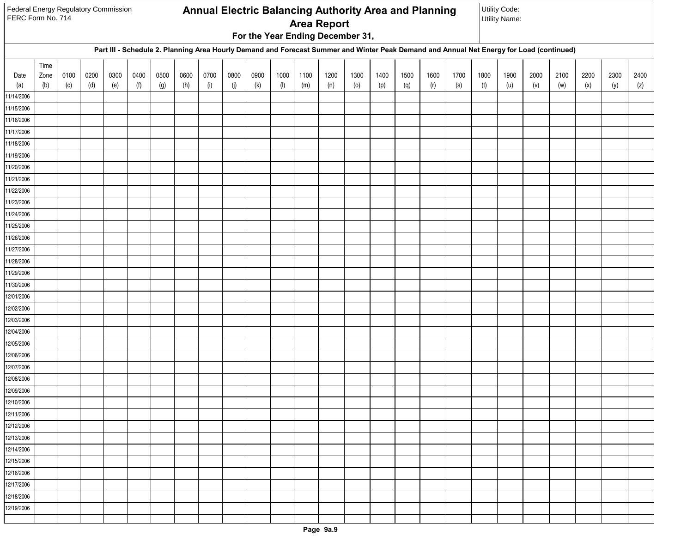| Federal Energy Regulatory Commission<br>FERC Form No. 714 |      |      |      |      |      |      |      |      |      |      |      |      | <b>Area Report</b> |                                  |      |      | Annual Electric Balancing Authority Area and Planning                                                                                    |      |      | Utility Code:<br><b>Utility Name:</b> |      |      |      |      |      |
|-----------------------------------------------------------|------|------|------|------|------|------|------|------|------|------|------|------|--------------------|----------------------------------|------|------|------------------------------------------------------------------------------------------------------------------------------------------|------|------|---------------------------------------|------|------|------|------|------|
|                                                           |      |      |      |      |      |      |      |      |      |      |      |      |                    | For the Year Ending December 31, |      |      |                                                                                                                                          |      |      |                                       |      |      |      |      |      |
|                                                           |      |      |      |      |      |      |      |      |      |      |      |      |                    |                                  |      |      | Part III - Schedule 2. Planning Area Hourly Demand and Forecast Summer and Winter Peak Demand and Annual Net Energy for Load (continued) |      |      |                                       |      |      |      |      |      |
|                                                           | Time |      |      |      |      |      |      |      |      |      |      |      |                    |                                  |      |      |                                                                                                                                          |      |      |                                       |      |      |      |      |      |
| Date                                                      | Zone | 0100 | 0200 | 0300 | 0400 | 0500 | 0600 | 0700 | 0800 | 0900 | 1000 | 1100 | 1200               | 1300                             | 1400 | 1500 | 1600                                                                                                                                     | 1700 | 1800 | 1900                                  | 2000 | 2100 | 2200 | 2300 | 2400 |
| (a)<br>11/14/2006                                         | (b)  | (c)  | (d)  | (e)  | (f)  | (g)  | (h)  | (i)  | (j)  | (k)  | (1)  | (m)  | (n)                | (0)                              | (p)  | (q)  | (r)                                                                                                                                      | (s)  | (t)  | (u)                                   | (v)  | (w)  | (x)  | (y)  | (z)  |
| 11/15/2006                                                |      |      |      |      |      |      |      |      |      |      |      |      |                    |                                  |      |      |                                                                                                                                          |      |      |                                       |      |      |      |      |      |
| 11/16/2006                                                |      |      |      |      |      |      |      |      |      |      |      |      |                    |                                  |      |      |                                                                                                                                          |      |      |                                       |      |      |      |      |      |
| 11/17/2006                                                |      |      |      |      |      |      |      |      |      |      |      |      |                    |                                  |      |      |                                                                                                                                          |      |      |                                       |      |      |      |      |      |
| 11/18/2006                                                |      |      |      |      |      |      |      |      |      |      |      |      |                    |                                  |      |      |                                                                                                                                          |      |      |                                       |      |      |      |      |      |
| 11/19/2006                                                |      |      |      |      |      |      |      |      |      |      |      |      |                    |                                  |      |      |                                                                                                                                          |      |      |                                       |      |      |      |      |      |
| 11/20/2006                                                |      |      |      |      |      |      |      |      |      |      |      |      |                    |                                  |      |      |                                                                                                                                          |      |      |                                       |      |      |      |      |      |
| 11/21/2006                                                |      |      |      |      |      |      |      |      |      |      |      |      |                    |                                  |      |      |                                                                                                                                          |      |      |                                       |      |      |      |      |      |
| 11/22/2006                                                |      |      |      |      |      |      |      |      |      |      |      |      |                    |                                  |      |      |                                                                                                                                          |      |      |                                       |      |      |      |      |      |
| 11/23/2006                                                |      |      |      |      |      |      |      |      |      |      |      |      |                    |                                  |      |      |                                                                                                                                          |      |      |                                       |      |      |      |      |      |
| 11/24/2006                                                |      |      |      |      |      |      |      |      |      |      |      |      |                    |                                  |      |      |                                                                                                                                          |      |      |                                       |      |      |      |      |      |
| 11/25/2006                                                |      |      |      |      |      |      |      |      |      |      |      |      |                    |                                  |      |      |                                                                                                                                          |      |      |                                       |      |      |      |      |      |
| 11/26/2006                                                |      |      |      |      |      |      |      |      |      |      |      |      |                    |                                  |      |      |                                                                                                                                          |      |      |                                       |      |      |      |      |      |
| 11/27/2006                                                |      |      |      |      |      |      |      |      |      |      |      |      |                    |                                  |      |      |                                                                                                                                          |      |      |                                       |      |      |      |      |      |
| 11/28/2006                                                |      |      |      |      |      |      |      |      |      |      |      |      |                    |                                  |      |      |                                                                                                                                          |      |      |                                       |      |      |      |      |      |
| 11/29/2006                                                |      |      |      |      |      |      |      |      |      |      |      |      |                    |                                  |      |      |                                                                                                                                          |      |      |                                       |      |      |      |      |      |
| 11/30/2006                                                |      |      |      |      |      |      |      |      |      |      |      |      |                    |                                  |      |      |                                                                                                                                          |      |      |                                       |      |      |      |      |      |
| 12/01/2006                                                |      |      |      |      |      |      |      |      |      |      |      |      |                    |                                  |      |      |                                                                                                                                          |      |      |                                       |      |      |      |      |      |
| 12/02/2006                                                |      |      |      |      |      |      |      |      |      |      |      |      |                    |                                  |      |      |                                                                                                                                          |      |      |                                       |      |      |      |      |      |
| 12/03/2006                                                |      |      |      |      |      |      |      |      |      |      |      |      |                    |                                  |      |      |                                                                                                                                          |      |      |                                       |      |      |      |      |      |
| 12/04/2006<br>12/05/2006                                  |      |      |      |      |      |      |      |      |      |      |      |      |                    |                                  |      |      |                                                                                                                                          |      |      |                                       |      |      |      |      |      |
| 12/06/2006                                                |      |      |      |      |      |      |      |      |      |      |      |      |                    |                                  |      |      |                                                                                                                                          |      |      |                                       |      |      |      |      |      |
| 12/07/2006                                                |      |      |      |      |      |      |      |      |      |      |      |      |                    |                                  |      |      |                                                                                                                                          |      |      |                                       |      |      |      |      |      |
| 12/08/2006                                                |      |      |      |      |      |      |      |      |      |      |      |      |                    |                                  |      |      |                                                                                                                                          |      |      |                                       |      |      |      |      |      |
| 12/09/2006                                                |      |      |      |      |      |      |      |      |      |      |      |      |                    |                                  |      |      |                                                                                                                                          |      |      |                                       |      |      |      |      |      |
| 12/10/2006                                                |      |      |      |      |      |      |      |      |      |      |      |      |                    |                                  |      |      |                                                                                                                                          |      |      |                                       |      |      |      |      |      |
| 12/11/2006                                                |      |      |      |      |      |      |      |      |      |      |      |      |                    |                                  |      |      |                                                                                                                                          |      |      |                                       |      |      |      |      |      |
| 12/12/2006                                                |      |      |      |      |      |      |      |      |      |      |      |      |                    |                                  |      |      |                                                                                                                                          |      |      |                                       |      |      |      |      |      |
| 12/13/2006                                                |      |      |      |      |      |      |      |      |      |      |      |      |                    |                                  |      |      |                                                                                                                                          |      |      |                                       |      |      |      |      |      |
| 12/14/2006                                                |      |      |      |      |      |      |      |      |      |      |      |      |                    |                                  |      |      |                                                                                                                                          |      |      |                                       |      |      |      |      |      |
| 12/15/2006                                                |      |      |      |      |      |      |      |      |      |      |      |      |                    |                                  |      |      |                                                                                                                                          |      |      |                                       |      |      |      |      |      |
| 12/16/2006                                                |      |      |      |      |      |      |      |      |      |      |      |      |                    |                                  |      |      |                                                                                                                                          |      |      |                                       |      |      |      |      |      |
| 12/17/2006                                                |      |      |      |      |      |      |      |      |      |      |      |      |                    |                                  |      |      |                                                                                                                                          |      |      |                                       |      |      |      |      |      |
| 12/18/2006                                                |      |      |      |      |      |      |      |      |      |      |      |      |                    |                                  |      |      |                                                                                                                                          |      |      |                                       |      |      |      |      |      |
| 12/19/2006                                                |      |      |      |      |      |      |      |      |      |      |      |      |                    |                                  |      |      |                                                                                                                                          |      |      |                                       |      |      |      |      |      |
|                                                           |      |      |      |      |      |      |      |      |      |      |      |      |                    |                                  |      |      |                                                                                                                                          |      |      |                                       |      |      |      |      |      |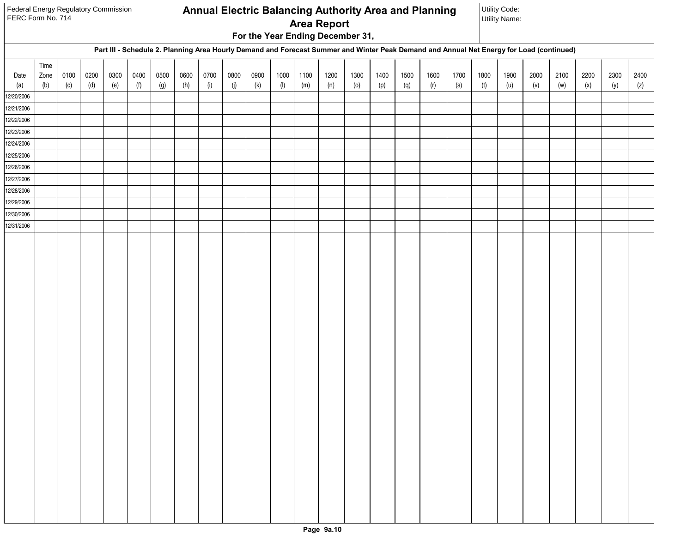| Federal Energy Regulatory Commission<br>FERC Form No. 714 |             |             |             |             |             |             |             |             |             |             |             |             |                                  |             |             |             | <b>Annual Electric Balancing Authority Area and Planning</b>                                                                             |             |             | Utility Code:<br><b>Utility Name:</b> |             |             |             |             |             |
|-----------------------------------------------------------|-------------|-------------|-------------|-------------|-------------|-------------|-------------|-------------|-------------|-------------|-------------|-------------|----------------------------------|-------------|-------------|-------------|------------------------------------------------------------------------------------------------------------------------------------------|-------------|-------------|---------------------------------------|-------------|-------------|-------------|-------------|-------------|
|                                                           |             |             |             |             |             |             |             |             |             |             |             |             | <b>Area Report</b>               |             |             |             |                                                                                                                                          |             |             |                                       |             |             |             |             |             |
|                                                           |             |             |             |             |             |             |             |             |             |             |             |             | For the Year Ending December 31, |             |             |             |                                                                                                                                          |             |             |                                       |             |             |             |             |             |
|                                                           |             |             |             |             |             |             |             |             |             |             |             |             |                                  |             |             |             | Part III - Schedule 2. Planning Area Hourly Demand and Forecast Summer and Winter Peak Demand and Annual Net Energy for Load (continued) |             |             |                                       |             |             |             |             |             |
|                                                           | Time        |             |             |             |             |             |             |             |             |             |             |             |                                  |             |             |             |                                                                                                                                          |             |             |                                       |             |             |             |             |             |
| Date<br>(a)                                               | Zone<br>(b) | 0100<br>(c) | 0200<br>(d) | 0300<br>(e) | 0400<br>(f) | 0500<br>(g) | 0600<br>(h) | 0700<br>(i) | 0800<br>(j) | 0900<br>(k) | 1000<br>(1) | 1100<br>(m) | 1200<br>(n)                      | 1300<br>(0) | 1400<br>(p) | 1500<br>(q) | 1600<br>(r)                                                                                                                              | 1700<br>(s) | 1800<br>(t) | 1900<br>(u)                           | 2000<br>(v) | 2100<br>(w) | 2200<br>(x) | 2300<br>(y) | 2400<br>(z) |
| 12/20/2006                                                |             |             |             |             |             |             |             |             |             |             |             |             |                                  |             |             |             |                                                                                                                                          |             |             |                                       |             |             |             |             |             |
| 12/21/2006                                                |             |             |             |             |             |             |             |             |             |             |             |             |                                  |             |             |             |                                                                                                                                          |             |             |                                       |             |             |             |             |             |
| 12/22/2006                                                |             |             |             |             |             |             |             |             |             |             |             |             |                                  |             |             |             |                                                                                                                                          |             |             |                                       |             |             |             |             |             |
| 12/23/2006                                                |             |             |             |             |             |             |             |             |             |             |             |             |                                  |             |             |             |                                                                                                                                          |             |             |                                       |             |             |             |             |             |
| 12/24/2006                                                |             |             |             |             |             |             |             |             |             |             |             |             |                                  |             |             |             |                                                                                                                                          |             |             |                                       |             |             |             |             |             |
| 12/25/2006                                                |             |             |             |             |             |             |             |             |             |             |             |             |                                  |             |             |             |                                                                                                                                          |             |             |                                       |             |             |             |             |             |
| 12/26/2006                                                |             |             |             |             |             |             |             |             |             |             |             |             |                                  |             |             |             |                                                                                                                                          |             |             |                                       |             |             |             |             |             |
| 12/27/2006                                                |             |             |             |             |             |             |             |             |             |             |             |             |                                  |             |             |             |                                                                                                                                          |             |             |                                       |             |             |             |             |             |
| 12/28/2006                                                |             |             |             |             |             |             |             |             |             |             |             |             |                                  |             |             |             |                                                                                                                                          |             |             |                                       |             |             |             |             |             |
| 12/29/2006<br>12/30/2006                                  |             |             |             |             |             |             |             |             |             |             |             |             |                                  |             |             |             |                                                                                                                                          |             |             |                                       |             |             |             |             |             |
| 12/31/2006                                                |             |             |             |             |             |             |             |             |             |             |             |             |                                  |             |             |             |                                                                                                                                          |             |             |                                       |             |             |             |             |             |
|                                                           |             |             |             |             |             |             |             |             |             |             |             |             |                                  |             |             |             |                                                                                                                                          |             |             |                                       |             |             |             |             |             |
|                                                           |             |             |             |             |             |             |             |             |             |             |             |             |                                  |             |             |             |                                                                                                                                          |             |             |                                       |             |             |             |             |             |
|                                                           |             |             |             |             |             |             |             |             |             |             |             |             |                                  |             |             |             |                                                                                                                                          |             |             |                                       |             |             |             |             |             |
|                                                           |             |             |             |             |             |             |             |             |             |             |             |             |                                  |             |             |             |                                                                                                                                          |             |             |                                       |             |             |             |             |             |
|                                                           |             |             |             |             |             |             |             |             |             |             |             |             |                                  |             |             |             |                                                                                                                                          |             |             |                                       |             |             |             |             |             |
|                                                           |             |             |             |             |             |             |             |             |             |             |             |             |                                  |             |             |             |                                                                                                                                          |             |             |                                       |             |             |             |             |             |
|                                                           |             |             |             |             |             |             |             |             |             |             |             |             |                                  |             |             |             |                                                                                                                                          |             |             |                                       |             |             |             |             |             |
|                                                           |             |             |             |             |             |             |             |             |             |             |             |             |                                  |             |             |             |                                                                                                                                          |             |             |                                       |             |             |             |             |             |
|                                                           |             |             |             |             |             |             |             |             |             |             |             |             |                                  |             |             |             |                                                                                                                                          |             |             |                                       |             |             |             |             |             |
|                                                           |             |             |             |             |             |             |             |             |             |             |             |             |                                  |             |             |             |                                                                                                                                          |             |             |                                       |             |             |             |             |             |
|                                                           |             |             |             |             |             |             |             |             |             |             |             |             |                                  |             |             |             |                                                                                                                                          |             |             |                                       |             |             |             |             |             |
|                                                           |             |             |             |             |             |             |             |             |             |             |             |             |                                  |             |             |             |                                                                                                                                          |             |             |                                       |             |             |             |             |             |
|                                                           |             |             |             |             |             |             |             |             |             |             |             |             |                                  |             |             |             |                                                                                                                                          |             |             |                                       |             |             |             |             |             |
|                                                           |             |             |             |             |             |             |             |             |             |             |             |             |                                  |             |             |             |                                                                                                                                          |             |             |                                       |             |             |             |             |             |
|                                                           |             |             |             |             |             |             |             |             |             |             |             |             |                                  |             |             |             |                                                                                                                                          |             |             |                                       |             |             |             |             |             |
|                                                           |             |             |             |             |             |             |             |             |             |             |             |             |                                  |             |             |             |                                                                                                                                          |             |             |                                       |             |             |             |             |             |
|                                                           |             |             |             |             |             |             |             |             |             |             |             |             |                                  |             |             |             |                                                                                                                                          |             |             |                                       |             |             |             |             |             |
|                                                           |             |             |             |             |             |             |             |             |             |             |             |             |                                  |             |             |             |                                                                                                                                          |             |             |                                       |             |             |             |             |             |
|                                                           |             |             |             |             |             |             |             |             |             |             |             |             |                                  |             |             |             |                                                                                                                                          |             |             |                                       |             |             |             |             |             |
|                                                           |             |             |             |             |             |             |             |             |             |             |             |             |                                  |             |             |             |                                                                                                                                          |             |             |                                       |             |             |             |             |             |
|                                                           |             |             |             |             |             |             |             |             |             |             |             |             |                                  |             |             |             |                                                                                                                                          |             |             |                                       |             |             |             |             |             |
|                                                           |             |             |             |             |             |             |             |             |             |             |             |             |                                  |             |             |             |                                                                                                                                          |             |             |                                       |             |             |             |             |             |
|                                                           |             |             |             |             |             |             |             |             |             |             |             |             |                                  |             |             |             |                                                                                                                                          |             |             |                                       |             |             |             |             |             |
|                                                           |             |             |             |             |             |             |             |             |             |             |             |             |                                  |             |             |             |                                                                                                                                          |             |             |                                       |             |             |             |             |             |